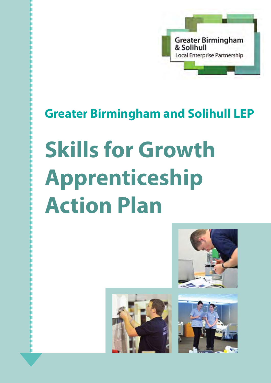

# **Greater Birmingham and Solihull LEP**

# **Skills for Growth Apprenticeship Action Plan**





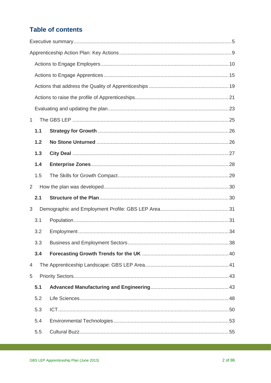## **Table of contents**

| $\mathbf{1}$ |     |  |  |  |  |
|--------------|-----|--|--|--|--|
|              | 1.1 |  |  |  |  |
|              | 1.2 |  |  |  |  |
|              | 1.3 |  |  |  |  |
|              | 1.4 |  |  |  |  |
|              | 1.5 |  |  |  |  |
| 2            |     |  |  |  |  |
|              | 2.1 |  |  |  |  |
| 3            |     |  |  |  |  |
|              | 3.1 |  |  |  |  |
|              | 3.2 |  |  |  |  |
|              |     |  |  |  |  |
|              | 3.4 |  |  |  |  |
| 4            |     |  |  |  |  |
| 5            |     |  |  |  |  |
|              | 5.1 |  |  |  |  |
|              | 5.2 |  |  |  |  |
|              | 5.3 |  |  |  |  |
|              | 5.4 |  |  |  |  |
|              | 5.5 |  |  |  |  |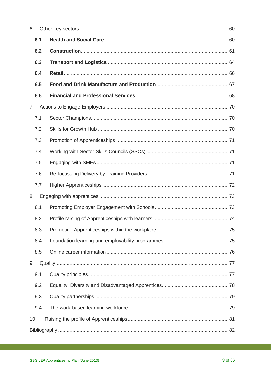| 6              |  |
|----------------|--|
| 6.1            |  |
| 6.2            |  |
| 6.3            |  |
| 6.4            |  |
| 6.5            |  |
| 6.6            |  |
| $\overline{7}$ |  |
| 7.1            |  |
| 7.2            |  |
| 7.3            |  |
| 7.4            |  |
| 7.5            |  |
| 7.6            |  |
| 7.7            |  |
| 8              |  |
| 8.1            |  |
| 8.2            |  |
| 8.3            |  |
| 8.4            |  |
| 8.5            |  |
| 9              |  |
| 9.1            |  |
| 9.2            |  |
| 9.3            |  |
| 9.4            |  |
| 10             |  |
|                |  |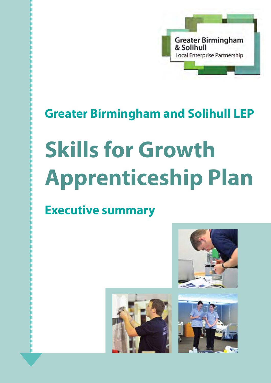

# **Greater Birmingham and Solihull LEP**

# **Skills for Growth Apprenticeship Plan**

# **Executive summary**





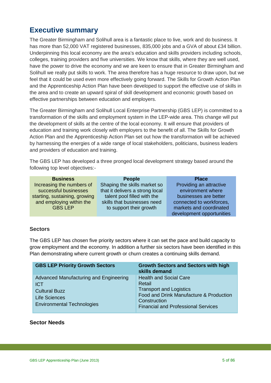## <span id="page-4-0"></span>**Executive summary**

The Greater Birmingham and Solihull area is a fantastic place to live, work and do business. It has more than 52,000 VAT registered businesses, 835,000 jobs and a GVA of about £34 billion. Underpinning this local economy are the area's education and skills providers including schools, colleges, training providers and five universities. We know that skills, where they are well used, have the power to drive the economy and we are keen to ensure that in Greater Birmingham and Solihull we really put skills to work. The area therefore has a huge resource to draw upon, but we feel that it could be used even more effectively going forward. The Skills for Growth Action Plan and the Apprenticeship Action Plan have been developed to support the effective use of skills in the area and to create an upward spiral of skill development and economic growth based on effective partnerships between education and employers.

The Greater Birmingham and Solihull Local Enterprise Partnership (GBS LEP) is committed to a transformation of the skills and employment system in the LEP-wide area. This change will put the development of skills at the centre of the local economy. It will ensure that providers of education and training work closely with employers to the benefit of all. The Skills for Growth Action Plan and the Apprenticeship Action Plan set out how the transformation will be achieved by harnessing the energies of a wide range of local stakeholders, politicians, business leaders and providers of education and training.

The GBS LEP has developed a three pronged local development strategy based around the following top level objectives:-

| <b>Business</b>               | <b>People</b>                   | <b>Place</b>              |
|-------------------------------|---------------------------------|---------------------------|
| Increasing the numbers of     | Shaping the skills market so    | Providing an attractive   |
| successful businesses         | that it delivers a strong local | environment where         |
| starting, sustaining, growing | talent pool filled with the     | businesses are better     |
| and employing within the      | skills that businesses need     | connected to workforces,  |
| <b>GBS LEP</b>                | to support their growth         | markets and coordinated   |
|                               |                                 | development opportunities |

#### **Sectors**

The GBS LEP has chosen five priority sectors where it can set the pace and build capacity to grow employment and the economy. In addition a further six sectors have been identified in this Plan demonstrating where current growth or churn creates a continuing skills demand.

| <b>GBS LEP Priority Growth Sectors</b>                                                                                                    | <b>Growth Sectors and Sectors with high</b><br>skills demand                                                                                                                       |
|-------------------------------------------------------------------------------------------------------------------------------------------|------------------------------------------------------------------------------------------------------------------------------------------------------------------------------------|
| Advanced Manufacturing and Engineering<br><b>ICT</b><br><b>Cultural Buzz</b><br><b>Life Sciences</b><br><b>Environmental Technologies</b> | <b>Health and Social Care</b><br>Retail<br><b>Transport and Logistics</b><br>Food and Drink Manufacture & Production<br>Construction<br><b>Financial and Professional Services</b> |

#### **Sector Needs**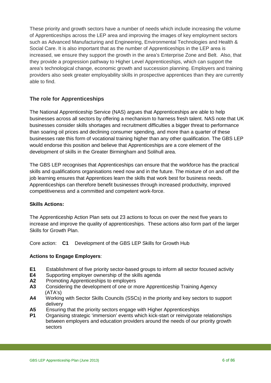These priority and growth sectors have a number of needs which include increasing the volume of Apprenticeships across the LEP area and improving the images of key employment sectors such as Advanced Manufacturing and Engineering, Environmental Technologies and Health & Social Care. It is also important that as the number of Apprenticeships in the LEP area is increased, we ensure they support the growth in the area's Enterprise Zone and Belt. Also, that they provide a progression pathway to Higher Level Apprenticeships, which can support the area's technological change, economic growth and succession planning. Employers and training providers also seek greater employability skills in prospective apprentices than they are currently able to find.

#### **The role for Apprenticeships**

The National Apprenticeship Service (NAS) argues that Apprenticeships are able to help businesses across all sectors by offering a mechanism to harness fresh talent. NAS note that UK businesses consider skills shortages and recruitment difficulties a bigger threat to performance than soaring oil prices and declining consumer spending, and more than a quarter of these businesses rate this form of vocational training higher than any other qualification. The GBS LEP would endorse this position and believe that Apprenticeships are a core element of the development of skills in the Greater Birmingham and Solihull area.

The GBS LEP recognises that Apprenticeships can ensure that the workforce has the practical skills and qualifications organisations need now and in the future. The mixture of on and off the job learning ensures that Apprentices learn the skills that work best for business needs. Apprenticeships can therefore benefit businesses through increased productivity, improved competitiveness and a committed and competent work-force.

#### **Skills Actions:**

The Apprenticeship Action Plan sets out 23 actions to focus on over the next five years to increase and improve the quality of apprenticeships. These actions also form part of the larger Skills for Growth Plan.

Core action: **C1** Development of the GBS LEP Skills for Growth Hub

#### **Actions to Engage Employers**:

- **E1** Establishment of five priority sector-based groups to inform all sector focused activity<br>**E4** Supporting employer ownership of the skills agenda
- Supporting employer ownership of the skills agenda
- **A2** Promoting Apprenticeships to employers
- **A3** Considering the development of one or more Apprenticeship Training Agency  $(ATA's)$ <br>Morking
- **A4** Working with Sector Skills Councils (SSCs) in the priority and key sectors to support delivery
- **A5** Ensuring that the priority sectors engage with Higher Apprenticeships<br>**P1** Organising strategic 'immersion' events which kick-start or reinvigorate
- **P1** Organising strategic 'immersion' events which kick-start or reinvigorate relationships between employers and education providers around the needs of our priority growth sectors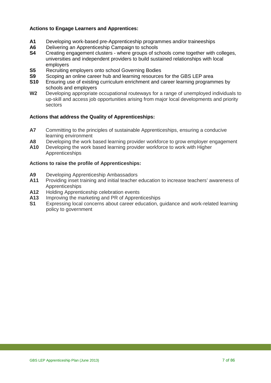#### **Actions to Engage Learners and Apprentices:**

- **A1** Developing work-based pre-Apprenticeship programmes and/or traineeships
- **A6** Delivering an Apprenticeship Campaign to schools<br>**S4** Creating engagement clusters where groups of sc
- **S4** Creating engagement clusters where groups of schools come together with colleges, universities and independent providers to build sustained relationships with local employers
- **S5** Recruiting employers onto school Governing Bodies<br>**S9** Scoping an online career hub and learning resources
- **S9** Scoping an online career hub and learning resources for the GBS LEP area<br>**S10** Ensuring use of existing curriculum enrichment and career learning programi
- **S10** Ensuring use of existing curriculum enrichment and career learning programmes by schools and employers
- **W2** Developing appropriate occupational routeways for a range of unemployed individuals to up-skill and access job opportunities arising from major local developments and priority sectors

#### **Actions that address the Quality of Apprenticeships:**

- **A7** Committing to the principles of sustainable Apprenticeships, ensuring a conducive learning environment
- A8 Developing the work based learning provider workforce to grow employer engagement<br>A10 Developing the work based learning provider workforce to work with Higher
- **A10** Developing the work based learning provider workforce to work with Higher Apprenticeships

#### **Actions to raise the profile of Apprenticeships:**

- **A9** Developing Apprenticeship Ambassadors
- **A11** Providing inset training and initial teacher education to increase teachers' awareness of Apprenticeships
- **A12** Holding Apprenticeship celebration events<br>**A13** Improving the marketing and PR of Appren
- **A13** Improving the marketing and PR of Apprenticeships<br>**S1** Expressing local concerns about career education of
- Expressing local concerns about career education, guidance and work-related learning policy to government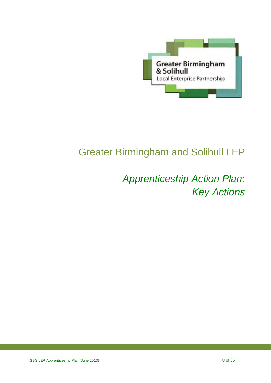

# Greater Birmingham and Solihull LEP

# *Apprenticeship Action Plan: Key Actions*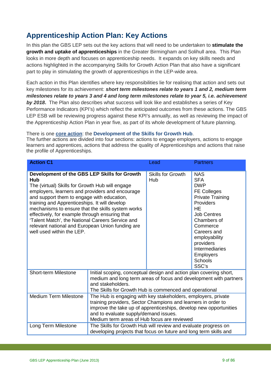## <span id="page-8-0"></span>**Apprenticeship Action Plan: Key Actions**

In this plan the GBS LEP sets out the key actions that will need to be undertaken to **stimulate the growth and uptake of apprenticeships** in the Greater Birmingham and Solihull area. This Plan looks in more depth and focuses on apprenticeship needs. It expands on key skills needs and actions highlighted in the accompanying Skills for Growth Action Plan that also have a significant part to play in stimulating the growth of apprenticeships in the LEP-wide area.

Each action in this Plan identifies where key responsibilities lie for realising that action and sets out key milestones for its achievement: *short term milestones relate to years 1 and 2, medium term milestones relate to years 3 and 4 and long term milestones relate to year 5, i.e. achievement by 2018***.** The Plan also describes what success will look like and establishes a series of Key Performance Indicators (KPI's) which reflect the anticipated outcomes from these actions. The GBS LEP ESB will be reviewing progress against these KPI's annually, as well as reviewing the impact of the Apprenticeship Action Plan in year five, as part of its whole development of future planning.

There is one **core action**: the **Development of the Skills for Growth Hub**.

The further actions are divided into four sections: actions to engage employers, actions to engage learners and apprentices, actions that address the quality of Apprenticeships and actions that raise the profile of Apprenticeships.

| <b>Action C1</b>                                                                                                                                                                                                                                                                                                                                                                                                                                                                                            |                                                                                                                                     | Lead                                                   | <b>Partners</b>                                                                                                                                                                                                                                                                         |
|-------------------------------------------------------------------------------------------------------------------------------------------------------------------------------------------------------------------------------------------------------------------------------------------------------------------------------------------------------------------------------------------------------------------------------------------------------------------------------------------------------------|-------------------------------------------------------------------------------------------------------------------------------------|--------------------------------------------------------|-----------------------------------------------------------------------------------------------------------------------------------------------------------------------------------------------------------------------------------------------------------------------------------------|
| Development of the GBS LEP Skills for Growth<br><b>Hub</b><br>The (virtual) Skills for Growth Hub will engage<br>employers, learners and providers and encourage<br>and support them to engage with education,<br>training and Apprenticeships. It will develop<br>mechanisms to ensure that the skills system works<br>effectively, for example through ensuring that<br>'Talent Match', the National Careers Service and<br>relevant national and European Union funding are<br>well used within the LEP. |                                                                                                                                     | <b>Skills for Growth</b><br>Hub                        | <b>NAS</b><br><b>SFA</b><br><b>DWP</b><br><b>FE Colleges</b><br><b>Private Training</b><br>Providers<br><b>HE</b><br><b>Job Centres</b><br>Chambers of<br>Commerce<br>Careers and<br>employability<br>providers<br><b>Intermediaries</b><br><b>Employers</b><br><b>Schools</b><br>SSC's |
| <b>Short-term Milestone</b><br>Initial scoping, conceptual design and action plan covering short,<br>medium and long term areas of focus and development with partners<br>and stakeholders.                                                                                                                                                                                                                                                                                                                 |                                                                                                                                     | The Skills for Growth Hub is commenced and operational |                                                                                                                                                                                                                                                                                         |
| <b>Medium Term Milestone</b><br>The Hub is engaging with key stakeholders, employers, private<br>training providers, Sector Champions and learners in order to<br>improve the take up of apprenticeships, develop new opportunities<br>and to evaluate supply/demand issues.<br>Medium term areas of Hub focus are reviewed                                                                                                                                                                                 |                                                                                                                                     |                                                        |                                                                                                                                                                                                                                                                                         |
| Long Term Milestone                                                                                                                                                                                                                                                                                                                                                                                                                                                                                         | The Skills for Growth Hub will review and evaluate progress on<br>developing projects that focus on future and long term skills and |                                                        |                                                                                                                                                                                                                                                                                         |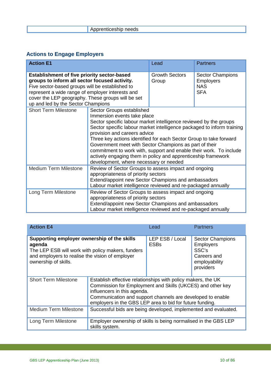<span id="page-9-0"></span>

## **Actions to Engage Employers**

| <b>Action E1</b>                                                                                                                                                                                                                                                                                      |                                                                                                                                                                                                                                                                                                                                                                                                                                                                                                                                                          | Lead                           | <b>Partners</b>                                                         |
|-------------------------------------------------------------------------------------------------------------------------------------------------------------------------------------------------------------------------------------------------------------------------------------------------------|----------------------------------------------------------------------------------------------------------------------------------------------------------------------------------------------------------------------------------------------------------------------------------------------------------------------------------------------------------------------------------------------------------------------------------------------------------------------------------------------------------------------------------------------------------|--------------------------------|-------------------------------------------------------------------------|
| <b>Establishment of five priority sector-based</b><br>groups to inform all sector focused activity.<br>Five sector-based groups will be established to<br>represent a wide range of employer interests and<br>cover the LEP geography. These groups will be set<br>up and led by the Sector Champions |                                                                                                                                                                                                                                                                                                                                                                                                                                                                                                                                                          | <b>Growth Sectors</b><br>Group | <b>Sector Champions</b><br><b>Employers</b><br><b>NAS</b><br><b>SFA</b> |
| <b>Short Term Milestone</b>                                                                                                                                                                                                                                                                           | Sector Groups established<br>Immersion events take place<br>Sector specific labour market intelligence reviewed by the groups<br>Sector specific labour market intelligence packaged to inform training<br>provision and careers advice<br>Three key actions identified for each Sector Group to take forward<br>Government meet with Sector Champions as part of their<br>commitment to work with, support and enable their work. To include<br>actively engaging them in policy and apprenticeship framework<br>development, where necessary or needed |                                |                                                                         |
| <b>Medium Term Milestone</b>                                                                                                                                                                                                                                                                          | Review of Sector Groups to assess impact and ongoing<br>appropriateness of priority sectors<br>Extend/appoint new Sector Champions and ambassadors<br>Labour market intelligence reviewed and re-packaged annually                                                                                                                                                                                                                                                                                                                                       |                                |                                                                         |
| Review of Sector Groups to assess impact and ongoing<br>Long Term Milestone<br>appropriateness of priority sectors<br>Extend/appoint new Sector Champions and ambassadors<br>Labour market intelligence reviewed and re-packaged annually                                                             |                                                                                                                                                                                                                                                                                                                                                                                                                                                                                                                                                          |                                |                                                                         |

| <b>Action E4</b>                                                                                                                                                                                                                                       |  | Lead                                                     | <b>Partners</b>                                                                                   |
|--------------------------------------------------------------------------------------------------------------------------------------------------------------------------------------------------------------------------------------------------------|--|----------------------------------------------------------|---------------------------------------------------------------------------------------------------|
| Supporting employer ownership of the skills<br>agenda<br>The LEP ESB will work with policy makers, funders<br>and employers to realise the vision of employer<br>ownership of skills.                                                                  |  | LEP ESB / Local<br><b>ESBs</b>                           | <b>Sector Champions</b><br><b>Employers</b><br>SSC's<br>Careers and<br>employability<br>providers |
| <b>Short Term Milestone</b><br>Establish effective relationships with policy makers, the UK<br>Commission for Employment and Skills (UKCES) and other key<br>influencers in this agenda.<br>Communication and support channels are developed to enable |  | employers in the GBS LEP area to bid for future funding. |                                                                                                   |
| <b>Medium Term Milestone</b><br>Successful bids are being developed, implemented and evaluated.                                                                                                                                                        |  |                                                          |                                                                                                   |
| Employer ownership of skills is being normalised in the GBS LEP<br>Long Term Milestone<br>skills system.                                                                                                                                               |  |                                                          |                                                                                                   |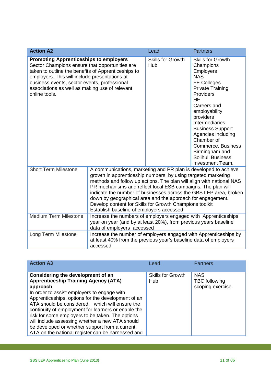| <b>Action A2</b>                                                                                                                                                                                                                                                                                                           |                                                                                                                                                                                                                                                                                                                                                                                                                                                                                                                    | Lead                            | <b>Partners</b>                                                                                                                                                                                                                                                                                                                                                                 |
|----------------------------------------------------------------------------------------------------------------------------------------------------------------------------------------------------------------------------------------------------------------------------------------------------------------------------|--------------------------------------------------------------------------------------------------------------------------------------------------------------------------------------------------------------------------------------------------------------------------------------------------------------------------------------------------------------------------------------------------------------------------------------------------------------------------------------------------------------------|---------------------------------|---------------------------------------------------------------------------------------------------------------------------------------------------------------------------------------------------------------------------------------------------------------------------------------------------------------------------------------------------------------------------------|
| <b>Promoting Apprenticeships to employers</b><br>Sector Champions ensure that opportunities are<br>taken to outline the benefits of Apprenticeships to<br>employers. This will include presentations at<br>business events, sector events, professional<br>associations as well as making use of relevant<br>online tools. |                                                                                                                                                                                                                                                                                                                                                                                                                                                                                                                    | <b>Skills for Growth</b><br>Hub | <b>Skills for Growth</b><br>Champions<br>Employers<br><b>NAS</b><br><b>FE Colleges</b><br><b>Private Training</b><br>Providers<br><b>HE</b><br>Careers and<br>employability<br>providers<br><b>Intermediaries</b><br><b>Business Support</b><br>Agencies including<br>Chamber of<br>Commerce, Business<br>Birmingham and<br><b>Solihull Business</b><br><b>Investment Team.</b> |
| <b>Short Term Milestone</b>                                                                                                                                                                                                                                                                                                | A communications, marketing and PR plan is developed to achieve<br>growth in apprenticeship numbers, by using targeted marketing<br>methods and follow up actions. The plan will align with national NAS<br>PR mechanisms and reflect local ESB campaigns. The plan will<br>indicate the number of businesses across the GBS LEP area, broken<br>down by geographical area and the approach for engagement.<br>Develop content for Skills for Growth Champions toolkit<br>Establish baseline of employers accessed |                                 |                                                                                                                                                                                                                                                                                                                                                                                 |
| <b>Medium Term Milestone</b><br>Increase the numbers of employers engaged with Apprenticeships<br>year on year (and by at least 20%), from previous years baseline<br>data of employers accessed                                                                                                                           |                                                                                                                                                                                                                                                                                                                                                                                                                                                                                                                    |                                 |                                                                                                                                                                                                                                                                                                                                                                                 |
| Long Term Milestone                                                                                                                                                                                                                                                                                                        | Increase the number of employers engaged with Apprenticeships by<br>at least 40% from the previous year's baseline data of employers<br>accessed                                                                                                                                                                                                                                                                                                                                                                   |                                 |                                                                                                                                                                                                                                                                                                                                                                                 |

| <b>Action A3</b>                                                                                                                                                                                                                                                                                                                                                                                                                                                                                                          | Lead                            | <b>Partners</b>                                        |
|---------------------------------------------------------------------------------------------------------------------------------------------------------------------------------------------------------------------------------------------------------------------------------------------------------------------------------------------------------------------------------------------------------------------------------------------------------------------------------------------------------------------------|---------------------------------|--------------------------------------------------------|
| Considering the development of an<br><b>Apprenticeship Training Agency (ATA)</b><br>approach<br>In order to assist employers to engage with<br>Apprenticeships, options for the development of an<br>ATA should be considered. which will ensure the<br>continuity of employment for learners or enable the<br>risk for some employers to be taken. The options<br>will include assessing whether a new ATA should<br>be developed or whether support from a current<br>ATA on the national register can be harnessed and | <b>Skills for Growth</b><br>Hub | <b>NAS</b><br><b>TBC</b> following<br>scoping exercise |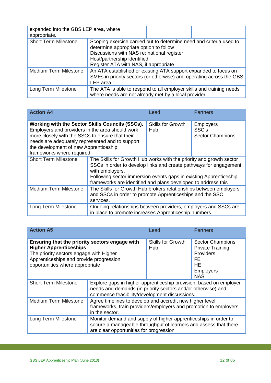| expanded into the GBS LEP area, where<br>appropriate.                                                                                               |                                                                                                                                                                                                                                     |  |  |
|-----------------------------------------------------------------------------------------------------------------------------------------------------|-------------------------------------------------------------------------------------------------------------------------------------------------------------------------------------------------------------------------------------|--|--|
| <b>Short Term Milestone</b>                                                                                                                         | Scoping exercise carried out to determine need and criteria used to<br>determine appropriate option to follow<br>Discussions with NAS re: national register<br>Host/partnership identified<br>Register ATA with NAS, if appropriate |  |  |
| <b>Medium Term Milestone</b>                                                                                                                        | An ATA established or existing ATA support expanded to focus on<br>SMEs in priority sectors (or otherwise) and operating across the GBS<br>LEP area.                                                                                |  |  |
| The ATA is able to respond to all employer skills and training needs<br>Long Term Milestone<br>where needs are not already met by a local provider. |                                                                                                                                                                                                                                     |  |  |

| <b>Action A4</b>                                                                                                                                                                                                                                                                |                                                       | Lead                                                            | <b>Partners</b>                                      |
|---------------------------------------------------------------------------------------------------------------------------------------------------------------------------------------------------------------------------------------------------------------------------------|-------------------------------------------------------|-----------------------------------------------------------------|------------------------------------------------------|
| Working with the Sector Skills Councils (SSCs).<br>Employers and providers in the area should work<br>more closely with the SSCs to ensure that their<br>needs are adequately represented and to support<br>the development of new Apprenticeship<br>frameworks where required. |                                                       | <b>Skills for Growth</b><br>Hub                                 | <b>Employers</b><br>SSC's<br><b>Sector Champions</b> |
| <b>Short Term Milestone</b><br>The Skills for Growth Hub works with the priority and growth sector<br>SSCs in order to develop links and create pathways for engagement<br>with employers.<br>Following sector immersion events gaps in existing Apprenticeship                 |                                                       | frameworks are identified and plans developed to address this   |                                                      |
| <b>Medium Term Milestone</b><br>The Skills for Growth Hub brokers relationships between employers<br>and SSCs in order to promote Apprenticeships and the SSC<br>services.                                                                                                      |                                                       |                                                                 |                                                      |
| Long Term Milestone                                                                                                                                                                                                                                                             | in place to promote increases Apprenticeship numbers. | Ongoing relationships between providers, employers and SSCs are |                                                      |

| <b>Action A5</b>                                                                                                                                                                                         |                                                                                                                                                                                     |                                 | <b>Partners</b>                                                                                                             |
|----------------------------------------------------------------------------------------------------------------------------------------------------------------------------------------------------------|-------------------------------------------------------------------------------------------------------------------------------------------------------------------------------------|---------------------------------|-----------------------------------------------------------------------------------------------------------------------------|
| Ensuring that the priority sectors engage with<br><b>Higher Apprenticeships</b><br>The priority sectors engage with Higher<br>Apprenticeships and provide progression<br>opportunities where appropriate |                                                                                                                                                                                     | <b>Skills for Growth</b><br>Hub | <b>Sector Champions</b><br><b>Private Training</b><br><b>Providers</b><br>FE<br><b>HE</b><br><b>Employers</b><br><b>NAS</b> |
| <b>Short Term Milestone</b>                                                                                                                                                                              | Explore gaps in higher apprenticeship provision, based on employer<br>needs and demands (in priority sectors and/or otherwise) and<br>commence feasibility/development discussions. |                                 |                                                                                                                             |
| <b>Medium Term Milestone</b>                                                                                                                                                                             | Agree timelines to develop and accredit new higher level<br>frameworks, train providers/employers and promotion to employers<br>in the sector.                                      |                                 |                                                                                                                             |
| Long Term Milestone                                                                                                                                                                                      | Monitor demand and supply of higher apprenticeships in order to<br>secure a manageable throughput of learners and assess that there<br>are clear opportunities for progression      |                                 |                                                                                                                             |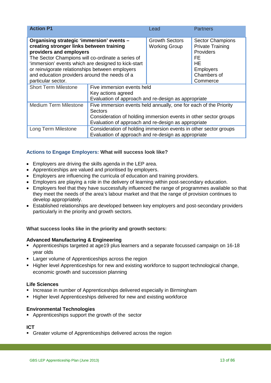| <b>Action P1</b>                                                                                                                                                                                                                                                                                                                                       |                                                                                                                                                                                                         | Lead                                          | <b>Partners</b>                                                                                                                   |
|--------------------------------------------------------------------------------------------------------------------------------------------------------------------------------------------------------------------------------------------------------------------------------------------------------------------------------------------------------|---------------------------------------------------------------------------------------------------------------------------------------------------------------------------------------------------------|-----------------------------------------------|-----------------------------------------------------------------------------------------------------------------------------------|
| Organising strategic 'immersion' events -<br>creating stronger links between training<br>providers and employers<br>The Sector Champions will co-ordinate a series of<br>'immersion' events which are designed to kick-start<br>or reinvigorate relationships between employers<br>and education providers around the needs of a<br>particular sector. |                                                                                                                                                                                                         | <b>Growth Sectors</b><br><b>Working Group</b> | <b>Sector Champions</b><br><b>Private Training</b><br><b>Providers</b><br>FE<br>HE<br><b>Employers</b><br>Chambers of<br>Commerce |
| <b>Short Term Milestone</b>                                                                                                                                                                                                                                                                                                                            | Five immersion events held<br>Key actions agreed<br>Evaluation of approach and re-design as appropriate                                                                                                 |                                               |                                                                                                                                   |
| <b>Medium Term Milestone</b>                                                                                                                                                                                                                                                                                                                           | Five immersion events held annually, one for each of the Priority<br>Sectors<br>Consideration of holding immersion events in other sector groups<br>Evaluation of approach and re-design as appropriate |                                               |                                                                                                                                   |
| Long Term Milestone                                                                                                                                                                                                                                                                                                                                    | Consideration of holding immersion events in other sector groups<br>Evaluation of approach and re-design as appropriate                                                                                 |                                               |                                                                                                                                   |

#### **Actions to Engage Employers: What will success look like?**

- Employers are driving the skills agenda in the LEP area.
- Apprenticeships are valued and prioritised by employers.
- Employers are influencing the curricula of education and training providers.
- Employers are playing a role in the delivery of learning within post-secondary education.
- Employers feel that they have successfully influenced the range of programmes available so that they meet the needs of the area's labour market and that the range of provision continues to develop appropriately.
- Established relationships are developed between key employers and post-secondary providers particularly in the priority and growth sectors.

#### **What success looks like in the priority and growth sectors:**

#### **Advanced Manufacturing & Engineering**

- Apprenticeships targeted at age19 plus learners and a separate focussed campaign on 16-18 year olds
- **EXEC** Larger volume of Apprenticeships across the region
- **Higher level Apprenticeships for new and existing workforce to support technological change,** economic growth and succession planning

#### **Life Sciences**

- **Increase in number of Apprenticeships delivered especially in Birmingham**
- **Higher level Apprenticeships delivered for new and existing workforce**

#### **Environmental Technologies**

**•** Apprenticeships support the growth of the sector

#### **ICT**

Greater volume of Apprenticeships delivered across the region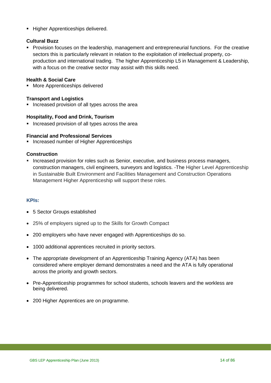**Higher Apprenticeships delivered.** 

#### **Cultural Buzz**

 Provision focuses on the leadership, management and entrepreneurial functions. For the creative sectors this is particularly relevant in relation to the exploitation of intellectual property, coproduction and international trading. The higher Apprenticeship L5 in Management & Leadership, with a focus on the creative sector may assist with this skills need.

#### **Health & Social Care**

**More Apprenticeships delivered** 

#### **Transport and Logistics**

**Increased provision of all types across the area** 

#### **Hospitality, Food and Drink, Tourism**

**Increased provision of all types across the area** 

#### **Financial and Professional Services**

**Increased number of Higher Apprenticeships** 

#### **Construction**

**Increased provision for roles such as Senior, executive, and business process managers,** construction managers, civil engineers, surveyors and logistics. -The Higher Level Apprenticeship in Sustainable Built Environment and Facilities Management and Construction Operations Management Higher Apprenticeship will support these roles.

#### **KPIs:**

- 5 Sector Groups established
- 25% of employers signed up to the Skills for Growth Compact
- 200 employers who have never engaged with Apprenticeships do so.
- 1000 additional apprentices recruited in priority sectors.
- The appropriate development of an Apprenticeship Training Agency (ATA) has been considered where employer demand demonstrates a need and the ATA is fully operational across the priority and growth sectors.
- Pre-Apprenticeship programmes for school students, schools leavers and the workless are being delivered.
- 200 Higher Apprentices are on programme.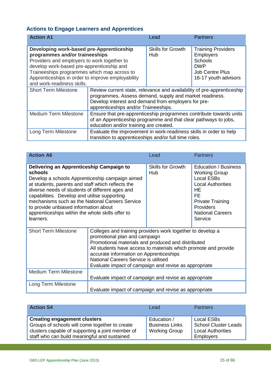## <span id="page-14-0"></span>**Actions to Engage Learners and Apprentices**

| <b>Action A1</b>                                                                                                                                                                                                                                                                                         |                                                                                                                                                                                                                                  | Lead                            | <b>Partners</b>                                                                                                          |
|----------------------------------------------------------------------------------------------------------------------------------------------------------------------------------------------------------------------------------------------------------------------------------------------------------|----------------------------------------------------------------------------------------------------------------------------------------------------------------------------------------------------------------------------------|---------------------------------|--------------------------------------------------------------------------------------------------------------------------|
| Developing work-based pre-Apprenticeship<br>programmes and/or traineeships<br>Providers and employers to work together to<br>develop work-based pre-apprenticeship and<br>Traineeships programmes which map across to<br>Apprenticeships in order to improve employability<br>and work-readiness skills. |                                                                                                                                                                                                                                  | <b>Skills for Growth</b><br>Hub | <b>Training Providers</b><br><b>Employers</b><br>Schools<br><b>DWP</b><br><b>Job Centre Plus</b><br>16-17 youth advisors |
| <b>Short Term Milestone</b>                                                                                                                                                                                                                                                                              | Review current state, relevance and availability of pre-apprenticeship<br>programmes. Assess demand, supply and market readiness.<br>Develop interest and demand from employers for pre-<br>apprenticeships and/or Traineeships. |                                 |                                                                                                                          |
| <b>Medium Term Milestone</b>                                                                                                                                                                                                                                                                             | Ensure that pre-apprenticeship programmes contribute towards units<br>of an Apprenticeship programme and that clear pathways to jobs,<br>education and/or training are created.                                                  |                                 |                                                                                                                          |
| Long Term Milestone                                                                                                                                                                                                                                                                                      | Evaluate the improvement in work-readiness skills in order to help<br>transition to apprenticeships and/or full time roles.                                                                                                      |                                 |                                                                                                                          |

| <b>Action A6</b>                                                                                                                                                                                                                                                                                                                                                                                                            |                                                                                                                                                                                                                                                                                                                                                                  | Lead                            | <b>Partners</b>                                                                                                                                                                                |
|-----------------------------------------------------------------------------------------------------------------------------------------------------------------------------------------------------------------------------------------------------------------------------------------------------------------------------------------------------------------------------------------------------------------------------|------------------------------------------------------------------------------------------------------------------------------------------------------------------------------------------------------------------------------------------------------------------------------------------------------------------------------------------------------------------|---------------------------------|------------------------------------------------------------------------------------------------------------------------------------------------------------------------------------------------|
| Delivering an Apprenticeship Campaign to<br>schools<br>Develop a schools Apprenticeship campaign aimed<br>at students, parents and staff which reflects the<br>diverse needs of students of different ages and<br>capabilities. Develop and utilise supporting<br>mechanisms such as the National Careers Service<br>to provide unbiased information about<br>apprenticeships within the whole skills offer to<br>learners. |                                                                                                                                                                                                                                                                                                                                                                  | <b>Skills for Growth</b><br>Hub | Education / Business<br><b>Working Group</b><br><b>Local ESBs</b><br><b>Local Authorities</b><br>HE<br>FF<br><b>Private Training</b><br><b>Providers</b><br><b>National Careers</b><br>Service |
| <b>Short Term Milestone</b>                                                                                                                                                                                                                                                                                                                                                                                                 | Colleges and training providers work together to develop a<br>promotional plan and campaign<br>Promotional materials and produced and distributed<br>All students have access to materials which promote and provide<br>accurate information on Apprenticeships<br>National Careers Service is utilised<br>Evaluate impact of campaign and revise as appropriate |                                 |                                                                                                                                                                                                |
| <b>Medium Term Milestone</b>                                                                                                                                                                                                                                                                                                                                                                                                | Evaluate impact of campaign and revise as appropriate                                                                                                                                                                                                                                                                                                            |                                 |                                                                                                                                                                                                |
| Long Term Milestone                                                                                                                                                                                                                                                                                                                                                                                                         | Evaluate impact of campaign and revise as appropriate                                                                                                                                                                                                                                                                                                            |                                 |                                                                                                                                                                                                |

| <b>Action S4</b>                                                                                                                                                                          | Lead                                                         | <b>Partners</b>                                                                           |
|-------------------------------------------------------------------------------------------------------------------------------------------------------------------------------------------|--------------------------------------------------------------|-------------------------------------------------------------------------------------------|
| <b>Creating engagement clusters</b><br>Groups of schools will come together to create<br>clusters capable of supporting a joint member of<br>staff who can build meaningful and sustained | Education /<br><b>Business Links</b><br><b>Working Group</b> | <b>Local ESBs</b><br>School Cluster Leads<br><b>Local Authorities</b><br><b>Employers</b> |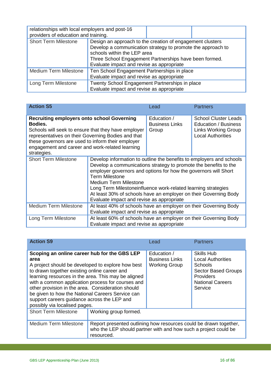| relationships with local employers and post-16<br>providers of education and training. |                                                                                                                                                                                                                                                                |  |  |
|----------------------------------------------------------------------------------------|----------------------------------------------------------------------------------------------------------------------------------------------------------------------------------------------------------------------------------------------------------------|--|--|
| <b>Short Term Milestone</b>                                                            | Design an approach to the creation of engagement clusters<br>Develop a communication strategy to promote the approach to<br>schools within the LEP area<br>Three School Engagement Partnerships have been formed.<br>Evaluate impact and revise as appropriate |  |  |
| <b>Medium Term Milestone</b>                                                           | Ten School Engagement Partnerships in place<br>Evaluate impact and revise as appropriate                                                                                                                                                                       |  |  |
| Long Term Milestone                                                                    | Twenty School Engagement Partnerships in place<br>Evaluate impact and revise as appropriate                                                                                                                                                                    |  |  |

| <b>Action S5</b>                                                                                                                                                                                                                                                                                 |                                                                                                                                                                                                                                                                                                                                                                                                                                                        | Lead                                                             | <b>Partners</b>                                                                                               |
|--------------------------------------------------------------------------------------------------------------------------------------------------------------------------------------------------------------------------------------------------------------------------------------------------|--------------------------------------------------------------------------------------------------------------------------------------------------------------------------------------------------------------------------------------------------------------------------------------------------------------------------------------------------------------------------------------------------------------------------------------------------------|------------------------------------------------------------------|---------------------------------------------------------------------------------------------------------------|
| <b>Recruiting employers onto school Governing</b><br>Bodies.<br>Schools will seek to ensure that they have employer<br>representatives on their Governing Bodies and that<br>these governors are used to inform their employer<br>engagement and career and work-related learning<br>strategies. |                                                                                                                                                                                                                                                                                                                                                                                                                                                        | Education /<br><b>Business Links</b><br>Group                    | <b>School Cluster Leads</b><br>Education / Business<br><b>Links Working Group</b><br><b>Local Authorities</b> |
| <b>Short Term Milestone</b>                                                                                                                                                                                                                                                                      | Develop information to outline the benefits to employers and schools<br>Develop a communications strategy to promote the benefits to the<br>employer governors and options for how the governors will Short<br><b>Term Milestone</b><br><b>Medium Term Milestone</b><br>Long Term Milestoneinfluence work-related learning strategies<br>At least 30% of schools have an employer on their Governing Body<br>Evaluate impact and revise as appropriate |                                                                  |                                                                                                               |
| <b>Medium Term Milestone</b>                                                                                                                                                                                                                                                                     | At least 40% of schools have an employer on their Governing Body<br>Evaluate impact and revise as appropriate                                                                                                                                                                                                                                                                                                                                          |                                                                  |                                                                                                               |
| Long Term Milestone                                                                                                                                                                                                                                                                              | Evaluate impact and revise as appropriate                                                                                                                                                                                                                                                                                                                                                                                                              | At least 60% of schools have an employer on their Governing Body |                                                                                                               |

| <b>Action S9</b>                                                                                                                                                                                                                                                                                                                                                                                                                                               |                                                                                                                                                    | Lead                                                         | <b>Partners</b>                                                                                                                           |
|----------------------------------------------------------------------------------------------------------------------------------------------------------------------------------------------------------------------------------------------------------------------------------------------------------------------------------------------------------------------------------------------------------------------------------------------------------------|----------------------------------------------------------------------------------------------------------------------------------------------------|--------------------------------------------------------------|-------------------------------------------------------------------------------------------------------------------------------------------|
| Scoping an online career hub for the GBS LEP<br>area<br>A project should be developed to explore how best<br>to drawn together existing online career and<br>learning resources in the area. This may be aligned<br>with a common application process for courses and<br>other provision in the area. Consideration should<br>be given to how the National Careers Service can<br>support careers guidance across the LEP and<br>possibly via localised pages. |                                                                                                                                                    | Education /<br><b>Business Links</b><br><b>Working Group</b> | Skills Hub<br><b>Local Authorities</b><br>Schools<br><b>Sector Based Groups</b><br><b>Providers</b><br><b>National Careers</b><br>Service |
| <b>Short Term Milestone</b>                                                                                                                                                                                                                                                                                                                                                                                                                                    | Working group formed.                                                                                                                              |                                                              |                                                                                                                                           |
| <b>Medium Term Milestone</b>                                                                                                                                                                                                                                                                                                                                                                                                                                   | Report presented outlining how resources could be drawn together,<br>who the LEP should partner with and how such a project could be<br>resourced. |                                                              |                                                                                                                                           |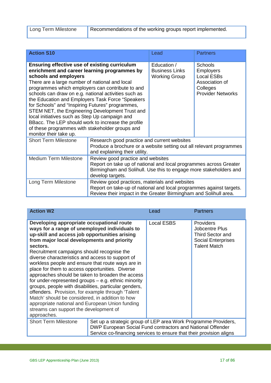| <b>Action S10</b>                                                                                                                                                                                                                                                                                                                                                                                                                                                                                                                                                                                                                    |                                                                                                                                                                                                 | Lead                                                         | <b>Partners</b>                                                                                            |  |
|--------------------------------------------------------------------------------------------------------------------------------------------------------------------------------------------------------------------------------------------------------------------------------------------------------------------------------------------------------------------------------------------------------------------------------------------------------------------------------------------------------------------------------------------------------------------------------------------------------------------------------------|-------------------------------------------------------------------------------------------------------------------------------------------------------------------------------------------------|--------------------------------------------------------------|------------------------------------------------------------------------------------------------------------|--|
| Ensuring effective use of existing curriculum<br>enrichment and career learning programmes by<br>schools and employers<br>There are a large number of national and local<br>programmes which employers can contribute to and<br>schools can draw on e.g. national activities such as<br>the Education and Employers Task Force "Speakers<br>for Schools" and "Inspiring Futures" programmes,<br>STEM NET, the Engineering Development Trust and<br>local initiatives such as Step Up campaign and<br>BBacc. The LEP should work to increase the profile<br>of these programmes with stakeholder groups and<br>monitor their take up. |                                                                                                                                                                                                 | Education /<br><b>Business Links</b><br><b>Working Group</b> | <b>Schools</b><br><b>Employers</b><br>Local ESBs<br>Association of<br>Colleges<br><b>Provider Networks</b> |  |
| <b>Short Term Milestone</b>                                                                                                                                                                                                                                                                                                                                                                                                                                                                                                                                                                                                          | Research good practice and current websites<br>Produce a brochure or a website setting out all relevant programmes<br>and explaining their utility.                                             |                                                              |                                                                                                            |  |
| <b>Medium Term Milestone</b>                                                                                                                                                                                                                                                                                                                                                                                                                                                                                                                                                                                                         | Review good practice and websites<br>Report on take up of national and local programmes across Greater<br>Birmingham and Solihull. Use this to engage more stakeholders and<br>develop targets. |                                                              |                                                                                                            |  |
| Long Term Milestone                                                                                                                                                                                                                                                                                                                                                                                                                                                                                                                                                                                                                  | Review good practices, materials and websites<br>Report on take-up of national and local programmes against targets.<br>Review their impact in the Greater Birmingham and Solihull area.        |                                                              |                                                                                                            |  |

| <b>Action W2</b>                                                                                                                                                                                                                                                                                                                                                                                                                                                                                                                                                                                                                                                                                                                                                                                          |                                                                                                                                                                                                     | Lead              | <b>Partners</b>                                                                                            |  |
|-----------------------------------------------------------------------------------------------------------------------------------------------------------------------------------------------------------------------------------------------------------------------------------------------------------------------------------------------------------------------------------------------------------------------------------------------------------------------------------------------------------------------------------------------------------------------------------------------------------------------------------------------------------------------------------------------------------------------------------------------------------------------------------------------------------|-----------------------------------------------------------------------------------------------------------------------------------------------------------------------------------------------------|-------------------|------------------------------------------------------------------------------------------------------------|--|
| Developing appropriate occupational route<br>ways for a range of unemployed individuals to<br>up-skill and access job opportunities arising<br>from major local developments and priority<br>sectors.<br>Recruitment campaigns should recognise the<br>diverse characteristics and access to support of<br>workless people and ensure that route ways are in<br>place for them to access opportunities. Diverse<br>approaches should be taken to broaden the access<br>for under-represented groups $-$ e.g. ethnic minority<br>groups, people with disabilities, particular genders,<br>offenders. Provision, for example through 'Talent<br>Match' should be considered, in addition to how<br>appropriate national and European Union funding<br>streams can support the development of<br>approaches. |                                                                                                                                                                                                     | <b>Local ESBS</b> | <b>Providers</b><br>Jobcentre Plus<br>Third Sector and<br><b>Social Enterprises</b><br><b>Talent Match</b> |  |
| <b>Short Term Milestone</b>                                                                                                                                                                                                                                                                                                                                                                                                                                                                                                                                                                                                                                                                                                                                                                               | Set up a strategic group of LEP area Work Programme Providers,<br>DWP European Social Fund contractors and National Offender<br>Service co-financing services to ensure that their provision aligns |                   |                                                                                                            |  |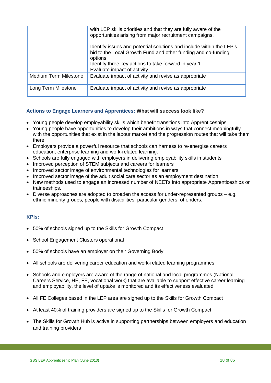|                              | with LEP skills priorities and that they are fully aware of the<br>opportunities arising from major recruitment campaigns.                       |
|------------------------------|--------------------------------------------------------------------------------------------------------------------------------------------------|
|                              | Identify issues and potential solutions and include within the LEP's<br>bid to the Local Growth Fund and other funding and co-funding<br>options |
|                              | Identify three key actions to take forward in year 1<br>Evaluate impact of activity                                                              |
| <b>Medium Term Milestone</b> | Evaluate impact of activity and revise as appropriate                                                                                            |
| Long Term Milestone          | Evaluate impact of activity and revise as appropriate                                                                                            |

#### **Actions to Engage Learners and Apprentices: What will success look like?**

- Young people develop employability skills which benefit transitions into Apprenticeships
- Young people have opportunities to develop their ambitions in ways that connect meaningfully with the opportunities that exist in the labour market and the progression routes that will take them there.
- Employers provide a powerful resource that schools can harness to re-energise careers education, enterprise learning and work-related learning.
- Schools are fully engaged with employers in delivering employability skills in students
- Improved perception of STEM subjects and careers for learners
- Improved sector image of environmental technologies for learners
- Improved sector image of the adult social care sector as an employment destination
- New methods used to engage an increased number of NEETs into appropriate Apprenticeships or traineeships.
- Diverse approaches are adopted to broaden the access for under-represented groups  $-e.a.$ ethnic minority groups, people with disabilities, particular genders, offenders.

#### **KPIs:**

- 50% of schools signed up to the Skills for Growth Compact
- School Engagement Clusters operational
- 50% of schools have an employer on their Governing Body
- All schools are delivering career education and work-related learning programmes
- Schools and employers are aware of the range of national and local programmes (National Careers Service, HE, FE, vocational work) that are available to support effective career learning and employability, the level of uptake is monitored and its effectiveness evaluated
- All FE Colleges based in the LEP area are signed up to the Skills for Growth Compact
- At least 40% of training providers are signed up to the Skills for Growth Compact
- The Skills for Growth Hub is active in supporting partnerships between employers and education and training providers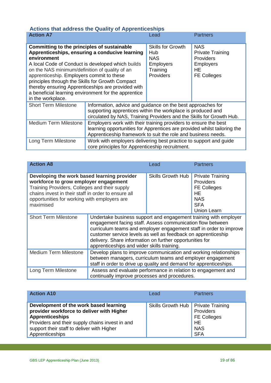<span id="page-18-0"></span>

|   |  |  | <b>Actions that address the Quality of Apprenticeships</b> |  |
|---|--|--|------------------------------------------------------------|--|
| . |  |  |                                                            |  |

| <b>Action A7</b>                                                                                                                                                                                                                                                                                                                                                                                                                                        |                                                                                                                                                                                                              | Lead                                                                                              | <b>Partners</b>                                                                                           |
|---------------------------------------------------------------------------------------------------------------------------------------------------------------------------------------------------------------------------------------------------------------------------------------------------------------------------------------------------------------------------------------------------------------------------------------------------------|--------------------------------------------------------------------------------------------------------------------------------------------------------------------------------------------------------------|---------------------------------------------------------------------------------------------------|-----------------------------------------------------------------------------------------------------------|
| Committing to the principles of sustainable<br>Apprenticeships, ensuring a conducive learning<br>environment<br>A local Code of Conduct is developed which builds<br>on the NAS minimum/definition of quality of an<br>apprenticeship. Employers commit to these<br>principles through the Skills for Growth Compact<br>thereby ensuring Apprenticeships are provided with<br>a beneficial learning environment for the apprentice<br>in the workplace. |                                                                                                                                                                                                              | <b>Skills for Growth</b><br>Hub<br><b>NAS</b><br><b>Employers</b><br>Training<br><b>Providers</b> | <b>NAS</b><br><b>Private Training</b><br><b>Providers</b><br><b>Employers</b><br>HE<br><b>FE Colleges</b> |
| <b>Short Term Milestone</b>                                                                                                                                                                                                                                                                                                                                                                                                                             | Information, advice and guidance on the best approaches for<br>supporting apprentices within the workplace is produced and<br>circulated by NAS, Training Providers and the Skills for Growth Hub.           |                                                                                                   |                                                                                                           |
| <b>Medium Term Milestone</b>                                                                                                                                                                                                                                                                                                                                                                                                                            | Employers work with their training providers to ensure the best<br>learning opportunities for Apprentices are provided whilst tailoring the<br>Apprenticeship framework to suit the role and business needs. |                                                                                                   |                                                                                                           |
| Long Term Milestone                                                                                                                                                                                                                                                                                                                                                                                                                                     | Work with employers delivering best practice to support and guide<br>core principles for Apprenticeship recruitment.                                                                                         |                                                                                                   |                                                                                                           |

| <b>Action A8</b>                                                                                                                                                                                                                                          |                                                                                                                                                                                                                                                                                                                                                                                 | Lead                     | <b>Partners</b>                                                                                             |
|-----------------------------------------------------------------------------------------------------------------------------------------------------------------------------------------------------------------------------------------------------------|---------------------------------------------------------------------------------------------------------------------------------------------------------------------------------------------------------------------------------------------------------------------------------------------------------------------------------------------------------------------------------|--------------------------|-------------------------------------------------------------------------------------------------------------|
| Developing the work based learning provider<br>workforce to grow employer engagement<br>Training Providers, Colleges and their supply<br>chains invest in their staff in order to ensure all<br>opportunities for working with employers are<br>maximised |                                                                                                                                                                                                                                                                                                                                                                                 | <b>Skills Growth Hub</b> | <b>Private Training</b><br>Providers<br><b>FE Colleges</b><br>HE<br><b>NAS</b><br><b>SFA</b><br>Union Learn |
| <b>Short Term Milestone</b>                                                                                                                                                                                                                               | Undertake business support and engagement training with employer<br>engagement facing staff. Assess communication flow between<br>curriculum teams and employer engagement staff in order to improve<br>customer service levels as well as feedback on apprenticeship<br>delivery. Share information on further opportunities for<br>apprenticeships and wider skills training. |                          |                                                                                                             |
| <b>Medium Term Milestone</b>                                                                                                                                                                                                                              | Develop plans to improve communication and working relationships<br>between managers, curriculum teams and employer engagement<br>staff in order to drive up quality and demand for apprenticeships.                                                                                                                                                                            |                          |                                                                                                             |
| Long Term Milestone                                                                                                                                                                                                                                       | Assess and evaluate performance in relation to engagement and<br>continually improve processes and procedures.                                                                                                                                                                                                                                                                  |                          |                                                                                                             |

| <b>Action A10</b>                                                                                                                                                                                                                 | Lead                                 | <b>Partners</b>                                                          |
|-----------------------------------------------------------------------------------------------------------------------------------------------------------------------------------------------------------------------------------|--------------------------------------|--------------------------------------------------------------------------|
| Development of the work based learning<br>provider workforce to deliver with Higher<br><b>Apprenticeships</b><br>Providers and their supply chains invest in and<br>support their staff to deliver with Higher<br>Apprenticeships | Skills Growth Hub   Private Training | Providers<br><b>FE Colleges</b><br><b>HE</b><br><b>NAS</b><br><b>SFA</b> |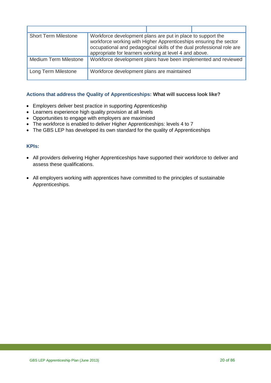| <b>Short Term Milestone</b>  | Workforce development plans are put in place to support the<br>workforce working with Higher Apprenticeships ensuring the sector<br>occupational and pedagogical skills of the dual professional role are<br>appropriate for learners working at level 4 and above. |  |
|------------------------------|---------------------------------------------------------------------------------------------------------------------------------------------------------------------------------------------------------------------------------------------------------------------|--|
| <b>Medium Term Milestone</b> | Workforce development plans have been implemented and reviewed                                                                                                                                                                                                      |  |
| Long Term Milestone          | Workforce development plans are maintained                                                                                                                                                                                                                          |  |

#### **Actions that address the Quality of Apprenticeships: What will success look like?**

- Employers deliver best practice in supporting Apprenticeship
- Learners experience high quality provision at all levels
- Opportunities to engage with employers are maximised
- The workforce is enabled to deliver Higher Apprenticeships: levels 4 to 7
- The GBS LEP has developed its own standard for the quality of Apprenticeships

#### **KPIs:**

- All providers delivering Higher Apprenticeships have supported their workforce to deliver and assess these qualifications.
- All employers working with apprentices have committed to the principles of sustainable Apprenticeships.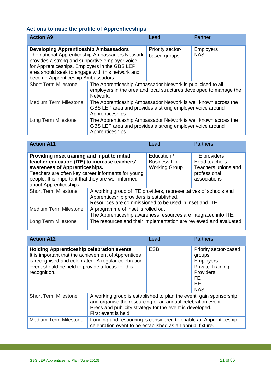## <span id="page-20-0"></span>**Actions to raise the profile of Apprenticeships**

| <b>Action A9</b>                                                                                                                                                                                                                                                                              |                                                                                                                                                | Lead                             | Partner                        |
|-----------------------------------------------------------------------------------------------------------------------------------------------------------------------------------------------------------------------------------------------------------------------------------------------|------------------------------------------------------------------------------------------------------------------------------------------------|----------------------------------|--------------------------------|
| <b>Developing Apprenticeship Ambassadors</b><br>The national Apprenticeship Ambassadors Network<br>provides a strong and supportive employer voice<br>for Apprenticeships. Employers in the GBS LEP<br>area should seek to engage with this network and<br>become Apprenticeship Ambassadors. |                                                                                                                                                | Priority sector-<br>based groups | <b>Employers</b><br><b>NAS</b> |
| <b>Short Term Milestone</b>                                                                                                                                                                                                                                                                   | The Apprenticeship Ambassador Network is publicised to all<br>employers in the area and local structures developed to manage the<br>Network.   |                                  |                                |
| <b>Medium Term Milestone</b>                                                                                                                                                                                                                                                                  | The Apprenticeship Ambassador Network is well known across the<br>GBS LEP area and provides a strong employer voice around<br>Apprenticeships. |                                  |                                |
| Long Term Milestone                                                                                                                                                                                                                                                                           | The Apprenticeship Ambassador Network is well known across the<br>GBS LEP area and provides a strong employer voice around<br>Apprenticeships. |                                  |                                |

| <b>Action A11</b>                                                                                                                                                                                                                                                      |                                                                                                                                                                         | Lead                                                        | <b>Partners</b>                                                                              |
|------------------------------------------------------------------------------------------------------------------------------------------------------------------------------------------------------------------------------------------------------------------------|-------------------------------------------------------------------------------------------------------------------------------------------------------------------------|-------------------------------------------------------------|----------------------------------------------------------------------------------------------|
| Providing inset training and input to initial<br>teacher education (ITE) to increase teachers'<br>awareness of Apprenticeships.<br>Teachers are often key career informants for young<br>people. It is important that they are well informed<br>about Apprenticeships. |                                                                                                                                                                         | Education /<br><b>Business Link</b><br><b>Working Group</b> | <b>ITE</b> providers<br>Head teachers<br>Teachers unions and<br>professional<br>associations |
| <b>Short Term Milestone</b>                                                                                                                                                                                                                                            | A working group of ITE providers, representatives of schools and<br>Apprenticeship providers is established.<br>Resources are commissioned to be used in inset and ITE. |                                                             |                                                                                              |
| <b>Medium Term Milestone</b>                                                                                                                                                                                                                                           | A programme of inset is rolled out.<br>The Apprenticeship awareness resources are integrated into ITE.                                                                  |                                                             |                                                                                              |
| Long Term Milestone                                                                                                                                                                                                                                                    | The resources and their implementation are reviewed and evaluated.                                                                                                      |                                                             |                                                                                              |

| <b>Action A12</b>                                                                                                                                                                                                                  |                                                                                                                                                                                                                      | Lead       | <b>Partners</b>                                                                                                                     |
|------------------------------------------------------------------------------------------------------------------------------------------------------------------------------------------------------------------------------------|----------------------------------------------------------------------------------------------------------------------------------------------------------------------------------------------------------------------|------------|-------------------------------------------------------------------------------------------------------------------------------------|
| <b>Holding Apprenticeship celebration events</b><br>It is important that the achievement of Apprentices<br>is recognised and celebrated. A regular celebration<br>event should be held to provide a focus for this<br>recognition. |                                                                                                                                                                                                                      | <b>ESB</b> | Priority sector-based<br>groups<br><b>Employers</b><br><b>Private Training</b><br>Providers<br><b>FE</b><br><b>HE</b><br><b>NAS</b> |
| <b>Short Term Milestone</b>                                                                                                                                                                                                        | A working group is established to plan the event, gain sponsorship<br>and organise the resourcing of an annual celebration event.<br>Press and publicity strategy for the event is developed.<br>First event is held |            |                                                                                                                                     |
| <b>Medium Term Milestone</b>                                                                                                                                                                                                       | Funding and resourcing is considered to enable an Apprenticeship<br>celebration event to be established as an annual fixture.                                                                                        |            |                                                                                                                                     |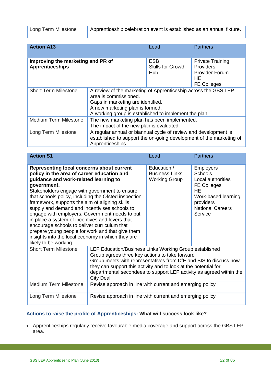|  | Long Term Milestone |
|--|---------------------|
|--|---------------------|

Apprenticeship celebration event is established as an annual fixture.

| <b>Action A13</b>                                           |                                                                                                                                                                                                                          | Lead                                    | <b>Partners</b>                                                                           |
|-------------------------------------------------------------|--------------------------------------------------------------------------------------------------------------------------------------------------------------------------------------------------------------------------|-----------------------------------------|-------------------------------------------------------------------------------------------|
| Improving the marketing and PR of<br><b>Apprenticeships</b> |                                                                                                                                                                                                                          | ESB.<br><b>Skills for Growth</b><br>Hub | <b>Private Training</b><br>Providers<br><b>Provider Forum</b><br>HЕ<br><b>FE Colleges</b> |
| <b>Short Term Milestone</b>                                 | A review of the marketing of Apprenticeship across the GBS LEP<br>area is commissioned.<br>Gaps in marketing are identified.<br>A new marketing plan is formed.<br>A working group is established to implement the plan. |                                         |                                                                                           |
| <b>Medium Term Milestone</b>                                | The new marketing plan has been implemented.<br>The impact of the new plan is evaluated.                                                                                                                                 |                                         |                                                                                           |
| Long Term Milestone                                         | A regular annual or biannual cycle of review and development is<br>established to support the on-going development of the marketing of<br>Apprenticeships.                                                               |                                         |                                                                                           |

| <b>Action S1</b>                                                                                                                                                                                                                                                                                                                                                                                                                                                                                                                                                                                                                                   |                                                                                                                                                                                                                                                                                                                                     | Lead                                                         | <b>Partners</b>                                                                                                                                                      |
|----------------------------------------------------------------------------------------------------------------------------------------------------------------------------------------------------------------------------------------------------------------------------------------------------------------------------------------------------------------------------------------------------------------------------------------------------------------------------------------------------------------------------------------------------------------------------------------------------------------------------------------------------|-------------------------------------------------------------------------------------------------------------------------------------------------------------------------------------------------------------------------------------------------------------------------------------------------------------------------------------|--------------------------------------------------------------|----------------------------------------------------------------------------------------------------------------------------------------------------------------------|
| Representing local concerns about current<br>policy in the area of career education and<br>guidance and work-related learning to<br>government.<br>Stakeholders engage with government to ensure<br>that schools policy, including the Ofsted inspection<br>framework, supports the aim of aligning skills<br>supply and demand and incentivises schools to<br>engage with employers. Government needs to put<br>in place a system of incentives and levers that<br>encourage schools to deliver curriculum that<br>prepare young people for work and that give them<br>insights into the local economy in which they are<br>likely to be working. |                                                                                                                                                                                                                                                                                                                                     | Education /<br><b>Business Links</b><br><b>Working Group</b> | <b>Employers</b><br><b>Schools</b><br>Local authorities<br><b>FE Colleges</b><br><b>HE</b><br>Work-based learning<br>providers<br><b>National Careers</b><br>Service |
| <b>Short Term Milestone</b>                                                                                                                                                                                                                                                                                                                                                                                                                                                                                                                                                                                                                        | LEP Education/Business Links Working Group established<br>Group agrees three key actions to take forward<br>Group meets with representatives from DfE and BIS to discuss how<br>they can support this activity and to look at the potential for<br>departmental secondees to support LEP activity as agreed within the<br>City Deal |                                                              |                                                                                                                                                                      |
| <b>Medium Term Milestone</b>                                                                                                                                                                                                                                                                                                                                                                                                                                                                                                                                                                                                                       | Revise approach in line with current and emerging policy                                                                                                                                                                                                                                                                            |                                                              |                                                                                                                                                                      |
| Long Term Milestone                                                                                                                                                                                                                                                                                                                                                                                                                                                                                                                                                                                                                                | Revise approach in line with current and emerging policy                                                                                                                                                                                                                                                                            |                                                              |                                                                                                                                                                      |

#### **Actions to raise the profile of Apprenticeships: What will success look like?**

• Apprenticeships regularly receive favourable media coverage and support across the GBS LEP area.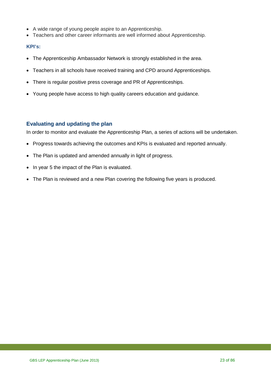- A wide range of young people aspire to an Apprenticeship.
- Teachers and other career informants are well informed about Apprenticeship.

#### **KPI's:**

- The Apprenticeship Ambassador Network is strongly established in the area.
- Teachers in all schools have received training and CPD around Apprenticeships.
- There is regular positive press coverage and PR of Apprenticeships.
- Young people have access to high quality careers education and guidance.

#### <span id="page-22-0"></span>**Evaluating and updating the plan**

In order to monitor and evaluate the Apprenticeship Plan, a series of actions will be undertaken.

- Progress towards achieving the outcomes and KPIs is evaluated and reported annually.
- The Plan is updated and amended annually in light of progress.
- In year 5 the impact of the Plan is evaluated.
- The Plan is reviewed and a new Plan covering the following five years is produced.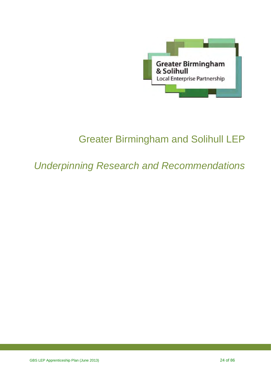

# Greater Birmingham and Solihull LEP

## *Underpinning Research and Recommendations*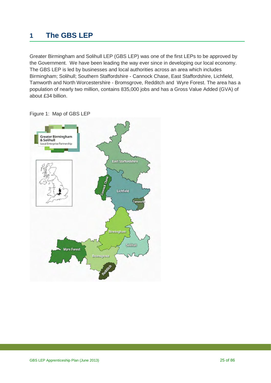## <span id="page-24-0"></span>**1 The GBS LEP**

Greater Birmingham and Solihull LEP (GBS LEP) was one of the first LEPs to be approved by the Government. We have been leading the way ever since in developing our local economy. The GBS LEP is led by businesses and local authorities across an area which includes Birmingham; Solihull; Southern Staffordshire - Cannock Chase, East Staffordshire, Lichfield, Tamworth and North Worcestershire - Bromsgrove, Redditch and Wyre Forest. The area has a population of nearly two million, contains 835,000 jobs and has a Gross Value Added (GVA) of about £34 billion.



Figure 1: Map of GBS LEP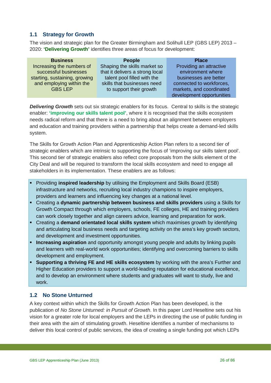#### <span id="page-25-0"></span>**1.1 Strategy for Growth**

The vision and strategic plan for the Greater Birmingham and Solihull LEP (GBS LEP) 2013 – 2020: **'Delivering Growth'** identifies three areas of focus for development:

| <b>Business</b>               | <b>People</b>                   | <b>Place</b>              |
|-------------------------------|---------------------------------|---------------------------|
| Increasing the numbers of     | Shaping the skills market so    | Providing an attractive   |
| successful businesses         | that it delivers a strong local | environment where         |
| starting, sustaining, growing | talent pool filled with the     | businesses are better     |
| and employing within the      | skills that businesses need     | connected to workforces,  |
| <b>GBS LEP</b>                | to support their growth         | markets, and coordinated  |
|                               |                                 | development opportunities |

**Delivering Growth** sets out six strategic enablers for its focus. Central to skills is the strategic enabler: **'improving our skills talent pool'**, where it is recognised that the skills ecosystem needs radical reform and that there is a need to bring about an alignment between employers and education and training providers within a partnership that helps create a demand-led skills system.

The Skills for Growth Action Plan and Apprenticeship Action Plan refers to a second tier of strategic enablers which are intrinsic to supporting the focus of 'improving our skills talent pool'. This second tier of strategic enablers also reflect core proposals from the skills element of the City Deal and will be required to transform the local skills ecosystem and need to engage all stakeholders in its implementation. These enablers are as follows:

- Providing **inspired leadership** by utilising the Employment and Skills Board (ESB) infrastructure and networks, recruiting local industry champions to inspire employers, providers and learners and influencing key changes at a national level.
- Creating a **dynamic partnership between business and skills providers** using a Skills for Growth Compact through which employers, schools, FE colleges, HE and training providers can work closely together and align careers advice, learning and preparation for work.
- Creating a **demand orientated local skills system** which maximises growth by identifying and articulating local business needs and targeting activity on the area's key growth sectors, and development and investment opportunities.
- **Increasing aspiration** and opportunity amongst young people and adults by linking pupils and learners with real-world work opportunities; identifying and overcoming barriers to skills development and employment.
- **Supporting a thriving FE and HE skills ecosystem** by working with the area's Further and Higher Education providers to support a world-leading reputation for educational excellence, and to develop an environment where students and graduates will want to study, live and work.

#### <span id="page-25-1"></span>**1.2 No Stone Unturned**

A key context within which the Skills for Growth Action Plan has been developed, is the publication of *No Stone Unturned: in Pursuit of Growth*. In this paper Lord Heseltine sets out his vision for a greater role for local employers and the LEPs in directing the use of public funding in their area with the aim of stimulating growth. Heseltine identifies a number of mechanisms to deliver this local control of public services, the idea of creating a single funding pot which LEPs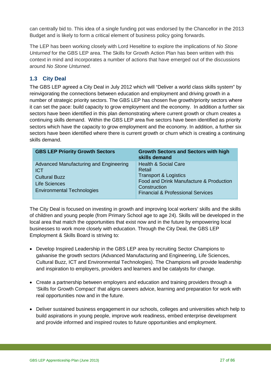can centrally bid to. This idea of a single funding pot was endorsed by the Chancellor in the 2013 Budget and is likely to form a critical element of business policy going forwards.

The LEP has been working closely with Lord Heseltine to explore the implications of *No Stone Unturned* for the GBS LEP area. The Skills for Growth Action Plan has been written with this context in mind and incorporates a number of actions that have emerged out of the discussions around *No Stone Unturned*.

#### <span id="page-26-0"></span>**1.3 City Deal**

The GBS LEP agreed a City Deal in July 2012 which will "Deliver a world class skills system" by reinvigorating the connections between education and employment and driving growth in a number of strategic priority sectors. The GBS LEP has chosen five growth/priority sectors where it can set the pace: build capacity to grow employment and the economy. In addition a further six sectors have been identified in this plan demonstrating where current growth or churn creates a continuing skills demand. Within the GBS LEP area five sectors have been identified as priority sectors which have the capacity to grow employment and the economy. In addition, a further six sectors have been identified where there is current growth or churn which is creating a continuing skills demand.

| <b>GBS LEP Priority Growth Sectors</b>                                                                                                    | <b>Growth Sectors and Sectors with high</b><br>skills demand                                                                                                                             |
|-------------------------------------------------------------------------------------------------------------------------------------------|------------------------------------------------------------------------------------------------------------------------------------------------------------------------------------------|
| Advanced Manufacturing and Engineering<br><b>ICT</b><br><b>Cultural Buzz</b><br><b>Life Sciences</b><br><b>Environmental Technologies</b> | <b>Health &amp; Social Care</b><br>Retail<br><b>Transport &amp; Logistics</b><br>Food and Drink Manufacture & Production<br>Construction<br><b>Financial &amp; Professional Services</b> |

The City Deal is focused on investing in growth and improving local workers' skills and the skills of children and young people (from Primary School age to age 24). Skills will be developed in the local area that match the opportunities that exist now and in the future by empowering local businesses to work more closely with education. Through the City Deal, the GBS LEP Employment & Skills Board is striving to:

- Develop Inspired Leadership in the GBS LEP area by recruiting Sector Champions to galvanise the growth sectors (Advanced Manufacturing and Engineering, Life Sciences, Cultural Buzz, ICT and Environmental Technologies). The Champions will provide leadership and inspiration to employers, providers and learners and be catalysts for change.
- Create a partnership between employers and education and training providers through a 'Skills for Growth Compact' that aligns careers advice, learning and preparation for work with real opportunities now and in the future.
- Deliver sustained business engagement in our schools, colleges and universities which help to build aspirations in young people, improve work readiness, embed enterprise development and provide informed and inspired routes to future opportunities and employment.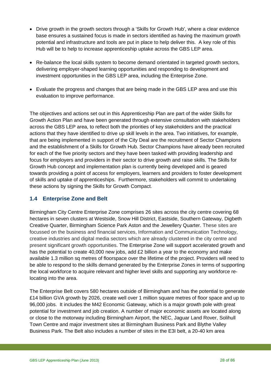- Drive growth in the growth sectors through a 'Skills for Growth Hub', where a clear evidence base ensures a sustained focus is made in sectors identified as having the maximum growth potential and infrastructure and tools are put in place to help deliver this. A key role of this Hub will be to help to increase apprenticeship uptake across the GBS LEP area.
- Re-balance the local skills system to become demand orientated in targeted growth sectors, delivering employer-shaped learning opportunities and responding to development and investment opportunities in the GBS LEP area, including the Enterprise Zone.
- Evaluate the progress and changes that are being made in the GBS LEP area and use this evaluation to improve performance.

The objectives and actions set out in this Apprenticeship Plan are part of the wider Skills for Growth Action Plan and have been generated through extensive consultation with stakeholders across the GBS LEP area, to reflect both the priorities of key stakeholders and the practical actions that they have identified to drive up skill levels in the area. Two initiatives, for example, that are being implemented in support of the City Deal are the recruitment of Sector Champions and the establishment of a Skills for Growth Hub. Sector Champions have already been recruited for each of the five priority sectors and they have been tasked with providing leadership and focus for employers and providers in their sector to drive growth and raise skills. The Skills for Growth Hub concept and implementation plan is currently being developed and is geared towards providing a point of access for employers, learners and providers to foster development of skills and uptake of apprenticeships. Furthermore, stakeholders will commit to undertaking these actions by signing the Skills for Growth Compact.

#### <span id="page-27-0"></span>**1.4 Enterprise Zone and Belt**

Birmingham City Centre Enterprise Zone comprises 26 sites across the city centre covering 68 hectares in seven clusters at Westside, Snow Hill District, Eastside, Southern Gateway, Digbeth Creative Quarter, Birmingham Science Park Aston and the Jewellery Quarter. These sites are focussed on the business and financial services, Information and Communication Technology, creative industries and digital media sectors which are already clustered in the city centre and present significant growth opportunities. The Enterprise Zone will support accelerated growth and has the potential to create 40,000 new jobs, add £2 billion a year to the economy and make available 1.3 million sq metres of floorspace over the lifetime of the project. Providers will need to be able to respond to the skills demand generated by the Enterprise Zones in terms of supporting the local workforce to acquire relevant and higher level skills and supporting any workforce relocating into the area.

The Enterprise Belt covers 580 hectares outside of Birmingham and has the potential to generate £14 billion GVA growth by 2026, create well over 1 million square metres of floor space and up to 96,000 jobs. It includes the M42 Economic Gateway, which is a major growth pole with great potential for investment and job creation. A number of major economic assets are located along or close to the motorway including Birmingham Airport, the NEC, Jaguar Land Rover, Solihull Town Centre and major investment sites at Birmingham Business Park and Blythe Valley Business Park. The Belt also includes a number of sites in the E3I belt, a 20-40 km area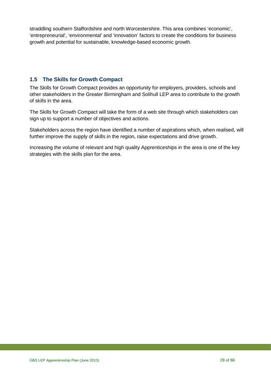straddling southern Staffordshire and north Worcestershire. This area combines 'economic', 'entrepreneurial', 'environmental' and 'innovation' factors to create the conditions for business growth and potential for sustainable, knowledge-based economic growth.

#### <span id="page-28-0"></span>**1.5 The Skills for Growth Compact**

The Skills for Growth Compact provides an opportunity for employers, providers, schools and other stakeholders in the Greater Birmingham and Solihull LEP area to contribute to the growth of skills in the area.

The Skills for Growth Compact will take the form of a web site through which stakeholders can sign up to support a number of objectives and actions.

Stakeholders across the region have identified a number of aspirations which, when realised, will further improve the supply of skills in the region, raise expectations and drive growth.

Increasing the volume of relevant and high quality Apprenticeships in the area is one of the key strategies with the skills plan for the area.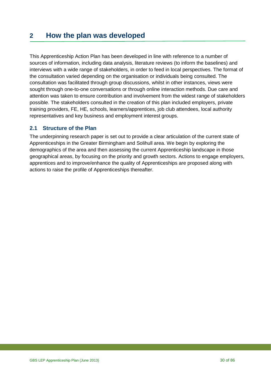### <span id="page-29-0"></span>**2 How the plan was developed**

This Apprenticeship Action Plan has been developed in line with reference to a number of sources of information, including data analysis, literature reviews (to inform the baselines) and interviews with a wide range of stakeholders, in order to feed in local perspectives. The format of the consultation varied depending on the organisation or individuals being consulted. The consultation was facilitated through group discussions, whilst in other instances, views were sought through one-to-one conversations or through online interaction methods. Due care and attention was taken to ensure contribution and involvement from the widest range of stakeholders possible. The stakeholders consulted in the creation of this plan included employers, private training providers, FE, HE, schools, learners/apprentices, job club attendees, local authority representatives and key business and employment interest groups.

#### <span id="page-29-1"></span>**2.1 Structure of the Plan**

The underpinning research paper is set out to provide a clear articulation of the current state of Apprenticeships in the Greater Birmingham and Solihull area. We begin by exploring the demographics of the area and then assessing the current Apprenticeship landscape in those geographical areas, by focusing on the priority and growth sectors. Actions to engage employers, apprentices and to improve/enhance the quality of Apprenticeships are proposed along with actions to raise the profile of Apprenticeships thereafter.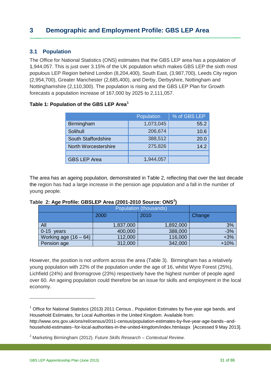#### <span id="page-30-1"></span><span id="page-30-0"></span>**3.1 Population**

The Office for National Statistics (ONS) estimates that the GBS LEP area has a population of 1,944,057. This is just over 3.15% of the UK population which makes GBS LEP the sixth most populous LEP Region behind London (8,204,400), South East, (3,987,700), Leeds City region (2,954,700), Greater Manchester (2,685,400), and Derby, Derbyshire, Nottingham and Nottinghamshire (2,110,300). The population is rising and the GBS LEP Plan for Growth forecasts a population increase of 167,000 by 2025 to 2,111,057.

#### **Table 1: Population of the GBS LEP Area[1](#page-30-2)**

|                            | Population | % of GBS LEP |
|----------------------------|------------|--------------|
| <b>Birmingham</b>          | 1,073,045  | 55.2         |
| Solihull                   | 206,674    | 10.6         |
| <b>South Staffordshire</b> | 388,512    | 20.0         |
| North Worcestershire       | 275,826    | 14.2         |
|                            |            |              |
| <b>GBS LEP Area</b>        | 1,944,057  |              |

The area has an ageing population, demonstrated in Table 2, reflecting that over the last decade the region has had a large increase in the pension age population and a fall in the number of young people.

|                         | Population (thousands) |           |        |
|-------------------------|------------------------|-----------|--------|
|                         | 2000                   | 2010      | Change |
| All                     | 1,837,000              | 1,892,000 | 3%     |
| 0-15 years              | 400,000                | 388,000   | $-3%$  |
| Working age $(16 - 64)$ | 112,000                | 116,000   | $+3%$  |
| Pension age             | 312,000                | 342,000   | $+10%$ |

#### **Table 2: Age Profile: GBSLEP Area (2001-2010 Source: ONS[2](#page-30-3) )**

However, the position is not uniform across the area (Table 3). Birmingham has a relatively young population with 22% of the population under the age of 16, whilst Wyre Forest (25%), Lichfield (24%) and Bromsgrove (23%) respectively have the highest number of people aged over 60. An ageing population could therefore be an issue for skills and employment in the local economy.

<span id="page-30-2"></span> $1$  Office for National Statistics (2013) 2011 Census, Population Estimates by five-year age bands, and Household Estimates, for Local Authorities in the United Kingdom. Available from: http://www.ons.gov.uk/ons/rel/census/2011-census/population-estimates-by-five-year-age-bands--andhousehold-estimates--for-local-authorities-in-the-united-kingdom/index.htmlaspx [Accessed 9 May 2013].

<span id="page-30-3"></span><sup>2</sup> Marketing Birmingham (2012). *Future Skills Research – Contextual Review.*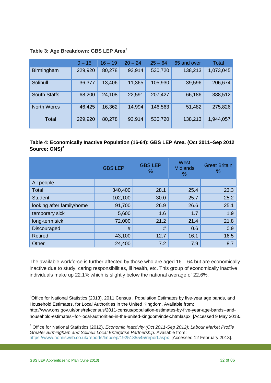|                     | $0 - 15$ | $16 - 19$ | $20 - 24$ | $25 - 64$ | 65 and over | Total     |
|---------------------|----------|-----------|-----------|-----------|-------------|-----------|
| <b>Birmingham</b>   | 229,920  | 80,278    | 93,914    | 530,720   | 138,213     | 1,073,045 |
| Solihull            | 36,377   | 13,406    | 11,365    | 105,930   | 39,596      | 206,674   |
| <b>South Staffs</b> | 68,200   | 24,108    | 22,591    | 207,427   | 66,186      | 388,512   |
| <b>North Worcs</b>  | 46,425   | 16,362    | 14,994    | 146,563   | 51,482      | 275,826   |
| Total               | 229,920  | 80,278    | 93,914    | 530,720   | 138,213     | 1,944,057 |

#### **Table 3: Age Breakdown: GBS LEP Area[3](#page-31-0)**

#### **Table 4: Economically Inactive Population (16-64): GBS LEP Area. (Oct 2011–Sep 2012 Source: ONS)[4](#page-31-1)**

|                           | <b>GBS LEP</b> | <b>GBS LEP</b><br>% | West<br><b>Midlands</b><br>℅ | <b>Great Britain</b><br>℅ |
|---------------------------|----------------|---------------------|------------------------------|---------------------------|
| All people                |                |                     |                              |                           |
| Total                     | 340,400        | 28.1                | 25.4                         | 23.3                      |
| <b>Student</b>            | 102,100        | 30.0                | 25.7                         | 25.2                      |
| looking after family/home | 91,700         | 26.9                | 26.6                         | 25.1                      |
| temporary sick            | 5,600          | 1.6                 | 1.7                          | 1.9                       |
| long-term sick            | 72,000         | 21.2                | 21.4                         | 21.8                      |
| Discouraged               | #              | #                   | 0.6                          | 0.9                       |
| <b>Retired</b>            | 43,100         | 12.7                | 16.1                         | 16.5                      |
| Other                     | 24,400         | 7.2                 | 7.9                          | 8.7                       |

The available workforce is further affected by those who are aged  $16 - 64$  but are economically inactive due to study, caring responsibilities, ill health, etc. This group of economically inactive individuals make up 22.1% which is slightly below the national average of 22.6%.

<span id="page-31-0"></span> $3$ Office for National Statistics (2013). 2011 Census , Population Estimates by five-year age bands, and Household Estimates, for Local Authorities in the United Kingdom. Available from: http://www.ons.gov.uk/ons/rel/census/2011-census/population-estimates-by-five-year-age-bands--andhousehold-estimates--for-local-authorities-in-the-united-kingdom/index.htmlaspx [Accessed 9 May 2013..

<span id="page-31-1"></span><sup>4</sup> Office for National Statistics (2012). *Economic Inactivity (Oct 2011-Sep 2012): Labour Market Profile Greater Birmingham and Solihull Local Enterprise Partnership*. Available from: <https://www.nomisweb.co.uk/reports/lmp/lep/1925185545/report.aspx>[Accessed 12 February 2013].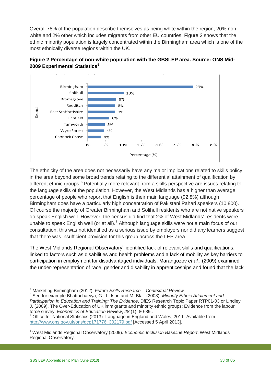Overall 78% of the population describe themselves as being white within the region, 20% nonwhite and 2% other which includes migrants from other EU countries. Figure 2 shows that the ethnic minority population is largely concentrated within the Birmingham area which is one of the most ethnically diverse regions within the UK.





The ethnicity of the area does not necessarily have any major implications related to skills policy in the area beyond some broad trends relating to the differential attainment of qualification by different ethnic groups.<sup>[6](#page-32-1)</sup> Potentially more relevant from a skills perspective are issues relating to the language skills of the population. However, the West Midlands has a higher than average percentage of people who report that English is their main language (92.8%) although Birmingham does have a particularly high concentration of Pakistani Pahari speakers (10,800). Of course the majority of Greater Birmingham and Solihull residents who are not native speakers do speak English well. However, the census did find that 2% of West Midlands' residents were unable to speak English well (or at all).<sup>[7](#page-32-2)</sup> Although language skills were not a main focus of our consultation, this was not identified as a serious issue by employers nor did any learners suggest that there was insufficient provision for this group across the LEP area.

The West Midlands Regional Observatory<sup>[8](#page-32-3)</sup> identified lack of relevant skills and qualifications, linked to factors such as disabilities and health problems and a lack of mobility as key barriers to participation in employment for disadvantaged individuals. Marangozov *et al.*, (2009) examined the under-representation of race, gender and disability in apprenticeships and found that the lack

<span id="page-32-2"></span>force survey. *Economics of Education Review*, *28* (1), 80-89.. 7 Office for National Statistics (2013). Language in England and Wales, 2011. Available from [http://www.ons.gov.uk/ons/dcp171776\\_302179.pdf](http://www.ons.gov.uk/ons/dcp171776_302179.pdf) [Accessed 5 April 2013].

<span id="page-32-0"></span><sup>5</sup> Marketing Birmingham (2012). *Future Skills Research – Contextual Review.*

<span id="page-32-1"></span><sup>6</sup> See for example Bhattacharyya, G., L. Ison and M. Blair (2003). *Minority Ethnic Attainment and Participation in Education and Training: The Evidence*, DfES Research Topic Paper RTP01-03 or Lindley, J. (2009). The Over-Education of UK immigrants and minority ethnic groups: Evidence from the labour<br>force survey. *Economics of Education Review. 28* (1), 80-89..

<span id="page-32-3"></span><sup>8</sup> West Midlands Regional Observatory (2009). *Economic Inclusion Baseline Report*. West Midlands Regional Observatory.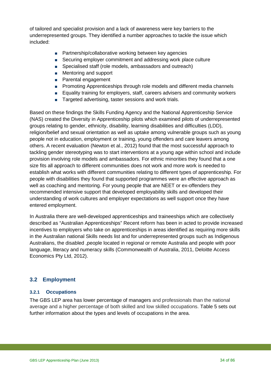of tailored and specialist provision and a lack of awareness were key barriers to the underrepresented groups. They identified a number approaches to tackle the issue which included:

- Partnership/collaborative working between key agencies
- Securing employer commitment and addressing work place culture
- **Specialised staff (role models, ambassadors and outreach)**
- **Mentoring and support**
- **Parental engagement**
- **Promoting Apprenticeships through role models and different media channels**
- **Equality training for employers, staff, careers advisers and community workers**
- Targeted advertising, taster sessions and work trials.

Based on these findings the Skills Funding Agency and the National Apprenticeship Service (NAS) created the Diversity in Apprenticeship pilots which examined pilots of underrepresented groups relating to gender, ethnicity, disability, learning disabilities and difficulties (LDD), religion/belief and sexual orientation as well as uptake among vulnerable groups such as young people not in education, employment or training, young offenders and care leavers among others. A recent evaluation (Newton et al., 2012) found that the most successful approach to tackling gender stereotyping was to start interventions at a young age within school and include provision involving role models and ambassadors. For ethnic minorities they found that a one size fits all approach to different communities does not work and more work is needed to establish what works with different communities relating to different types of apprenticeship. For people with disabilities they found that supported programmes were an effective approach as well as coaching and mentoring. For young people that are NEET or ex-offenders they recommended intensive support that developed employability skills and developed their understanding of work cultures and employer expectations as well support once they have entered employment.

In Australia there are well-developed apprenticeships and traineeships which are collectively described as "Australian Apprenticeships" Recent reform has been in acted to provide increased incentives to employers who take on apprenticeships in areas identified as requiring more skills in the Australian national Skills needs list and for underrepresented groups such as Indigenous Australians, the disabled ,people located in regional or remote Australia and people with poor language, literacy and numeracy skills (Commonwealth of Australia, 2011, Deloitte Access Economics Pty Ltd, 2012).

#### <span id="page-33-0"></span>**3.2 Employment**

#### **3.2.1 Occupations**

The GBS LEP area has lower percentage of managers and professionals than the national average and a higher percentage of both skilled and low skilled occupations. Table 5 sets out further information about the types and levels of occupations in the area.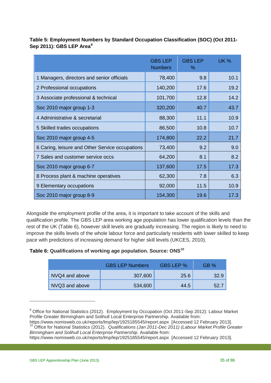|                                                 | <b>GBS LEP</b><br><b>Numbers</b> | <b>GBS LEP</b><br>$\%$ | <b>UK %</b> |
|-------------------------------------------------|----------------------------------|------------------------|-------------|
| 1 Managers, directors and senior officials      | 78,400                           | 9.8                    | 10.1        |
| 2 Professional occupations                      | 140,200                          | 17.6                   | 19.2        |
| 3 Associate professional & technical            | 101,700                          | 12.8                   | 14.2        |
| Soc 2010 major group 1-3                        | 320,200                          | 40.7                   | 43.7        |
| 4 Administrative & secretarial                  | 88,300                           | 11.1                   | 10.9        |
| 5 Skilled trades occupations                    | 86,500                           | 10.8                   | 10.7        |
| Soc 2010 major group 4-5                        | 174,800                          | 22.2                   | 21.7        |
| 6 Caring, leisure and Other Service occupations | 73,400                           | 9.2                    | 9.0         |
| 7 Sales and customer service occs               | 64,200                           | 8.1                    | 8.2         |
| Soc 2010 major group 6-7                        | 137,600                          | 17.5                   | 17.3        |
| 8 Process plant & machine operatives            | 62,300                           | 7.8                    | 6.3         |
| 9 Elementary occupations                        | 92,000                           | 11.5                   | 10.9        |
| Soc 2010 major group 8-9                        | 154,300                          | 19.6                   | 17.3        |

**Table 5: Employment Numbers by Standard Occupation Classification (SOC) (Oct 2011- Sep 2011): GBS LEP Area[9](#page-34-0)**

Alongside the employment profile of the area, it is important to take account of the skills and qualification profile. The GBS LEP area working age population has lower qualification levels than the rest of the UK (Table 6), however skill levels are gradually increasing. The region is likely to need to improve the skills levels of the whole labour force and particularly residents with lower skilled to keep pace with predictions of increasing demand for higher skill levels (UKCES, 2010).

#### **Table 6: Qualifications of working age population. Source: ONS[10](#page-34-1)**

|                | <b>GBS LEP Numbers</b> | GBS LEP % | GB % |
|----------------|------------------------|-----------|------|
| NVQ4 and above | 307,600                | 25.6      | 32.9 |
| NVQ3 and above | 534,600                | 44.5      | 52.7 |

<span id="page-34-0"></span><sup>&</sup>lt;sup>9</sup> Office for National Statistics (2012). Employment by Occupation (Oct 2011-Sep 2012): Labour Market Profile Greater Birmingham and Solihull Local Enterprise Partnership. Available from:

<span id="page-34-1"></span>https://www.nomisweb.co.uk/reports/lmp/lep/1925185545/report.aspx [Accessed 12 February 2013]. <sup>10</sup> Office for National Statistics (2012). *Qualifications (Jan 2011-Dec 2011) (Labour Market Profile Greater Birmingham and Solihull Local Enterprise Partnership*. Available from:

https://www.nomisweb.co.uk/reports/lmp/lep/1925185545/report.aspx [Accessed 12 February 2013].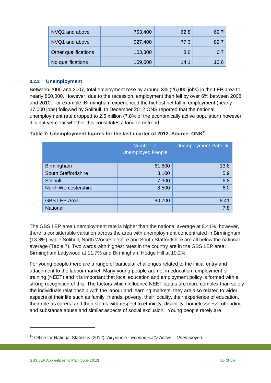| NVQ2 and above       | 753,400 | 62.8 | 69.7 |
|----------------------|---------|------|------|
| NVQ1 and above       | 927,400 | 77.3 | 82.7 |
| Other qualifications | 103,300 | 8.6  | 6.7  |
| No qualifications    | 169,600 | 14.1 | 10.6 |

#### **3.2.2 Unemployment**

Between 2000 and 2007, total employment rose by around 3% (26,000 jobs) in the LEP area to nearly 860,000. However, due to the recession, employment then fell by over 6% between 2008 and 2010. For example, Birmingham experienced the highest net fall in employment (nearly 37,000 jobs) followed by Solihull. In December 2012 ONS reported that the national unemployment rate dropped to 2.5 million (7.8% of the economically active population) however it is not yet clear whether this constitutes a long-term trend.

#### **Table 7: Unemployment figures for the last quarter of 2012. Source: ONS[11](#page-35-0)**

|                      | Number of<br><b>Unemployed People</b> | Unemployment Rate % |
|----------------------|---------------------------------------|---------------------|
| Birmingham           | 61,800                                | 13.8                |
| South Staffordshire  | 3,100                                 | 5.9                 |
| Solihull             | 7,300                                 | 6.8                 |
| North Worcestershire | 8,500                                 | 6.0                 |
|                      |                                       |                     |
| <b>GBS LEP Area</b>  | 90,700                                | 8.41                |
| <b>National</b>      |                                       | 7.8                 |

The GBS LEP area unemployment rate is higher than the national average at 8.41%, however, there is considerable variation across the area with unemployment concentrated in Birmingham (13.8%), while Solihull, North Worcestershire and South Staffordshire are all below the national average (Table 7). Two wards with highest rates in the country are in the GBS LEP area: Birmingham Ladywood at 11.7% and Birmingham Hodge Hill at 10.2%.

For young people there are a range of particular challenges related to the initial entry and attachment to the labour market. Many young people are not in education, employment or training (NEET) and it is important that local education and employment policy is formed with a strong recognition of this. The factors which influence NEET status are more complex than solely the individuals relationship with the labour and learning markets, they are also related to wider aspects of their life such as family, friends, poverty, their locality, their experience of education, their role as carers, and their status with respect to ethnicity, disability, homelessness, offending and substance abuse and similar aspects of social exclusion. Young people rarely are

<span id="page-35-0"></span><sup>11</sup> Office for National Statistics (2012). *All people - Economically Active – Unemployed*.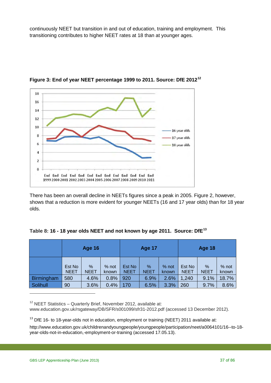continuously NEET but transition in and out of education, training and employment. This transitioning contributes to higher NEET rates at 18 than at younger ages.



**Figure 3: End of year NEET percentage 1999 to 2011. Source: DfE 2012[12](#page-36-0)**

There has been an overall decline in NEETs figures since a peak in 2005. Figure 2, however, shows that a reduction is more evident for younger NEETs (16 and 17 year olds) than for 18 year olds.

|  |  | Table 8: 16 - 18 year olds NEET and not known by age 2011. Source: DfE <sup>13</sup> |  |  |
|--|--|--------------------------------------------------------------------------------------|--|--|
|--|--|--------------------------------------------------------------------------------------|--|--|

|            | <b>Age 16</b>         |                  |                | <b>Age 17</b>         |                     | <b>Age 18</b>  |                       |                     |                  |
|------------|-----------------------|------------------|----------------|-----------------------|---------------------|----------------|-----------------------|---------------------|------------------|
|            | Est No<br><b>NEET</b> | %<br><b>NEET</b> | % not<br>known | Est No<br><b>NEET</b> | $\%$<br><b>NEET</b> | % not<br>known | Est No<br><b>NEET</b> | $\%$<br><b>NEET</b> | $%$ not<br>known |
| Birmingham | 580                   | 4.6%             | 0.8%           | 920                   | 6.9%                | 2.6%           | 1,240                 | 9.1%                | 18.7%            |
| Solihull   | 90                    | 3.6%             | 0.4%           | 170                   | 6.5%                | 3.3%           | 260                   | 9.7%                | 8.6%             |

<span id="page-36-0"></span> $12$  NEET Statistics – Quarterly Brief, November 2012, available at: www.education.gov.uk/rsgateway/DB/SFR/s001099/sfr31-2012.pdf (accessed 13 December 2012).

<span id="page-36-1"></span> $13$  DfE 16- to 18-year-olds not in education, employment or training (NEET) 2011 available at:

[http://www.education.gov.uk/childrenandyoungpeople/youngpeople/participation/neet/a0064101/16--to-18](http://www.education.gov.uk/childrenandyoungpeople/youngpeople/participation/neet/a0064101/16--to-18-year-olds-not-in-education,-employment-or-training) [year-olds-not-in-education,-employment-or-training](http://www.education.gov.uk/childrenandyoungpeople/youngpeople/participation/neet/a0064101/16--to-18-year-olds-not-in-education,-employment-or-training) (accessed 17.05.13).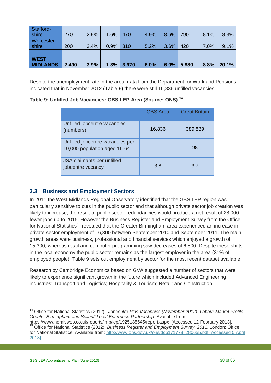| Stafford-         |       |      |      |               |      |      |       |      |       |
|-------------------|-------|------|------|---------------|------|------|-------|------|-------|
| shire             | 270   | 2.9% | 1.6% | 470           | 4.9% | 8.6% | 790   | 8.1% | 18.3% |
| <b>Worcester-</b> |       |      |      |               |      |      |       |      |       |
| shire             | 200   | 3.4% | 0.9% | 310           | 5.2% | 3.6% | 420   | 7.0% | 9.1%  |
|                   |       |      |      |               |      |      |       |      |       |
| <b>WEST</b>       |       |      |      |               |      |      |       |      |       |
| <b>MIDLANDS</b>   | 2,490 | 3.9% |      | $1.3\%$ 3,970 | 6.0% | 6.0% | 5,830 | 8.8% | 20.1% |

Despite the unemployment rate in the area, data from the Department for Work and Pensions indicated that in November 2012 (Table 9) there were still 16,836 unfilled vacancies.

#### **Table 9: Unfilled Job Vacancies: GBS LEP Area (Source: ONS).[14](#page-37-0)**

|                                                                  | <b>GBS</b> Area | <b>Great Britain</b> |
|------------------------------------------------------------------|-----------------|----------------------|
| Unfilled jobcentre vacancies<br>(numbers)                        | 16,836          | 389,889              |
| Unfilled jobcentre vacancies per<br>10,000 population aged 16-64 |                 | 98                   |
| JSA claimants per unfilled<br>jobcentre vacancy                  | 3.8             | 3.7                  |

## **3.3 Business and Employment Sectors**

In 2011 the West Midlands Regional Observatory identified that the GBS LEP region was particularly sensitive to cuts in the public sector and that although private sector job creation was likely to increase, the result of public sector redundancies would produce a net result of 28,000 fewer jobs up to 2015. However the Business Register and Employment Survey from the Office for National Statistics<sup>[15](#page-37-1)</sup> revealed that the Greater Birmingham area experienced an increase in private sector employment of 16,300 between September 2010 and September 2011. The main growth areas were business, professional and financial services which enjoyed a growth of 15,300, whereas retail and computer programming saw decreases of 6,500. Despite these shifts in the local economy the public sector remains as the largest employer in the area (31% of employed people). Table 9 sets out employment by sector for the most recent dataset available.

Research by Cambridge Economics based on GVA suggested a number of sectors that were likely to experience significant growth in the future which included Advanced Engineering industries; Transport and Logistics; Hospitality & Tourism; Retail; and Construction.

<span id="page-37-0"></span><sup>14</sup> Office for National Statistics (2012). *Jobcentre Plus Vacancies (November 2012): Labour Market Profile Greater Birmingham and Solihull Local Enterprise Partnership*. Available from:

<span id="page-37-1"></span>https://www.nomisweb.co.uk/reports/lmp/lep/1925185545/report.aspx [Accessed 12 February 2013]. <sup>15</sup> Office for National Statistics (2012). *Business Register and Employment Survey, 2011*. London: Office for National Statistics. Available from: [http://www.ons.gov.uk/ons/dcp171778\\_280655.pdf](http://www.ons.gov.uk/ons/dcp171778_280655.pdf) [Accessed 5 April 2013].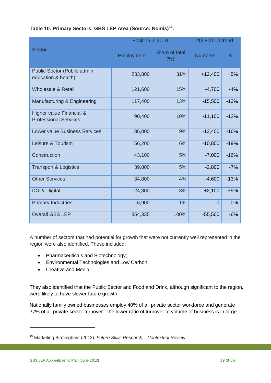|                                                          | Position in 2010 |                       | 2008-2010 trend |        |
|----------------------------------------------------------|------------------|-----------------------|-----------------|--------|
| <b>Sector</b>                                            | Employment       | Share of total<br>(%) | <b>Numbers</b>  | %      |
| Public Sector (Public admin,<br>education & health)      | 233,800          | 31%                   | $+12,400$       | $+5%$  |
| Wholesale & Retail                                       | 121,600          | 15%                   | $-4,700$        | $-4%$  |
| Manufacturing & Engineering                              | 117,400          | 13%                   | $-15,500$       | $-13%$ |
| Higher value Financial &<br><b>Professional Services</b> | 90,400           | 10%                   | $-11,100$       | $-12%$ |
| <b>Lower value Business Services</b>                     | 86,000           | 9%                    | $-13,400$       | $-16%$ |
| Leisure & Tourism                                        | 56,200           | 6%                    | $-10,800$       | $-19%$ |
| Construction                                             | 43,100           | 5%                    | $-7,000$        | $-16%$ |
| <b>Transport &amp; Logistics</b>                         | 39,800           | 5%                    | $-2,800$        | $-7%$  |
| <b>Other Services</b>                                    | 34,800           | 4%                    | $-4,600$        | $-13%$ |
| ICT & Digital                                            | 24,300           | 3%                    | $+2,100$        | $+9%$  |
| <b>Primary Industries</b>                                | 6,900            | 1%                    | $\Omega$        | 0%     |
| <b>Overall GBS LEP</b>                                   | 854,335          | 100%                  | $-55,500$       | $-6%$  |

## **Table 10: Primary Sectors: GBS LEP Area (Source: Nomis)[16](#page-38-0).**

A number of sectors that had potential for growth that were not currently well represented in the region were also identified. These included:

- Pharmaceuticals and Biotechnology;
- Environmental Technologies and Low Carbon;
- Creative and Media.

They also identified that the Public Sector and Food and Drink, although significant to the region, were likely to have slower future growth.

Nationally family owned businesses employ 40% of all private sector workforce and generate 37% of all private sector turnover. The lower ratio of turnover to volume of business is in large

<span id="page-38-0"></span><sup>16</sup> Marketing Birmingham (2012). *Future Skills Research – Contextual Review.*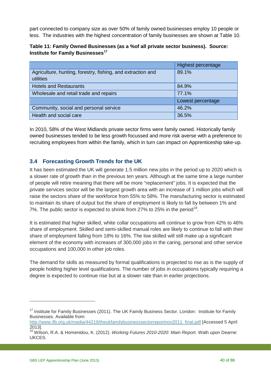part connected to company size as over 50% of family owned businesses employ 10 people or less. The industries with the highest concentration of family businesses are shown at Table 10.

| Table 11: Family Owned Businesses (as a % of all private sector business). Source: |  |
|------------------------------------------------------------------------------------|--|
| Institute for Family Businesses <sup>17</sup>                                      |  |

|                                                                          | Highest percentage |
|--------------------------------------------------------------------------|--------------------|
| Agriculture, hunting, forestry, fishing, and extraction and<br>utilities | 89.1%              |
|                                                                          |                    |
| <b>Hotels and Restaurants</b>                                            | 84.9%              |
| Wholesale and retail trade and repairs                                   | 77.1%              |
|                                                                          | Lowest percentage  |
| Community, social and personal service                                   | 46.2%              |
| Health and social care                                                   | 36.5%              |

In 2010, 58% of the West Midlands private sector firms were family owned. Historically family owned businesses tended to be less growth focussed and more risk averse with a preference to recruiting employees from within the family, which in turn can impact on Apprenticeship take-up.

# **3.4 Forecasting Growth Trends for the UK**

It has been estimated the UK will generate 1.5 million new jobs in the period up to 2020 which is a slower rate of growth than in the previous ten years. Although at the same time a large number of people will retire meaning that there will be more "replacement" jobs. It is expected that the private services sector will be the largest growth area with an increase of 1 million jobs which will raise the sectors share of the workforce from 55% to 58%. The manufacturing sector is estimated to maintain its share of output but the share of employment is likely to fall by between 1% and 7%. The public sector is expected to shrink from 27% to 25% in the period<sup>[18](#page-39-1)</sup>.

It is estimated that higher skilled, white collar occupations will continue to grow from 42% to 46% share of employment. Skilled and semi-skilled manual roles are likely to continue to fall with their share of employment falling from 18% to 16%. The low skilled will still make up a significant element of the economy with increases of 300,000 jobs in the caring, personal and other service occupations and 100,000 in other job roles.

The demand for skills as measured by formal qualifications is projected to rise as is the supply of people holding higher level qualifications. The number of jobs in occupations typically requiring a degree is expected to continue rise but at a slower rate than in earlier projections.

<span id="page-39-0"></span><sup>&</sup>lt;sup>17</sup> Institute for Family Businesses (2011). The UK Family Business Sector. London: Institute for Family Businesses. Available from:

[http://www.ifb.org.uk/media/44219/theukfamilybusinesssectorreportnov2011\\_final.pdf](http://www.ifb.org.uk/media/44219/theukfamilybusinesssectorreportnov2011_final.pdf) [Accessed 5 April 2013].

<span id="page-39-1"></span><sup>18</sup> Wilson, R.A. & Homenidou, K. (2012). *Working Futures 2010-2020: Main Report*. Wath upon Dearne: UKCES.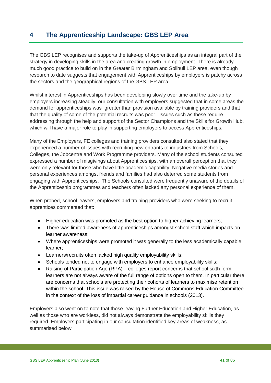# **4 The Apprenticeship Landscape: GBS LEP Area**

The GBS LEP recognises and supports the take-up of Apprenticeships as an integral part of the strategy in developing skills in the area and creating growth in employment. There is already much good practice to build on in the Greater Birmingham and Solihull LEP area, even though research to date suggests that engagement with Apprenticeships by employers is patchy across the sectors and the geographical regions of the GBS LEP area.

Whilst interest in Apprenticeships has been developing slowly over time and the take-up by employers increasing steadily, our consultation with employers suggested that in some areas the demand for apprenticeships was greater than provision available by training providers and that that the quality of some of the potential recruits was poor. Issues such as these require addressing through the help and support of the Sector Champions and the Skills for Growth Hub, which will have a major role to play in supporting employers to access Apprenticeships.

Many of the Employers, FE colleges and training providers consulted also stated that they experienced a number of issues with recruiting new entrants to industries from Schools, Colleges, the Jobcentre and Work Programme providers. Many of the school students consulted expressed a number of misgivings about Apprenticeships, with an overall perception that they were only relevant for those who have little academic capability. Negative media stories and personal experiences amongst friends and families had also deterred some students from engaging with Apprenticeships. The Schools consulted were frequently unaware of the details of the Apprenticeship programmes and teachers often lacked any personal experience of them.

When probed, school leavers, employers and training providers who were seeking to recruit apprentices commented that:

- Higher education was promoted as the best option to higher achieving learners;
- There was limited awareness of apprenticeships amongst school staff which impacts on learner awareness;
- Where apprenticeships were promoted it was generally to the less academically capable learner;
- Learners/recruits often lacked high quality employability skills;
- Schools tended not to engage with employers to enhance employability skills;
- Raising of Participation Age (RPA) colleges report concerns that school sixth form learners are not always aware of the full range of options open to them. In particular there are concerns that schools are protecting their cohorts of learners to maximise retention within the school. This issue was raised by the House of Commons Education Committee in the context of the loss of impartial career guidance in schools (2013).

Employers also went on to note that those leaving Further Education and Higher Education, as well as those who are workless, did not always demonstrate the employability skills they required. Employers participating in our consultation identified key areas of weakness, as summarised below.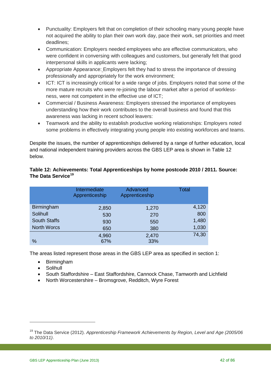- Punctuality: Employers felt that on completion of their schooling many young people have not acquired the ability to plan their own work day, pace their work, set priorities and meet deadlines;
- Communication: Employers needed employees who are effective communicators, who were confident in conversing with colleagues and customers, but generally felt that good interpersonal skills in applicants were lacking;
- Appropriate Appearance: Employers felt they had to stress the importance of dressing professionally and appropriately for the work environment;
- ICT: ICT is increasingly critical for a wide range of jobs. Employers noted that some of the more mature recruits who were re-joining the labour market after a period of worklessness, were not competent in the effective use of ICT;
- Commercial / Business Awareness: Employers stressed the importance of employees understanding how their work contributes to the overall business and found that this awareness was lacking in recent school leavers:
- Teamwork and the ability to establish productive working relationships: Employers noted some problems in effectively integrating young people into existing workforces and teams.

Despite the issues, the number of apprenticeships delivered by a range of further education, local and national independent training providers across the GBS LEP area is shown in Table 12 below.

## **Table 12: Achievements: Total Apprenticeships by home postcode 2010 / 2011. Source: The Data Service[19](#page-41-0)**

|                     | Intermediate<br>Apprenticeship | Advanced<br>Apprenticeship | <b>Total</b> |
|---------------------|--------------------------------|----------------------------|--------------|
| <b>Birmingham</b>   | 2,850                          | 1,270                      | 4,120        |
| Solihull            | 530                            | 270                        | 800          |
| <b>South Staffs</b> | 930                            | 550                        | 1,480        |
| <b>North Worcs</b>  | 650                            | 380                        | 1,030        |
|                     | 4,960                          | 2,470                      | 74,30        |
| %                   | 67%                            | 33%                        |              |

The areas listed represent those areas in the GBS LEP area as specified in section 1:

- Birmingham
- **Solihull**

- South Staffordshire East Staffordshire, Cannock Chase, Tamworth and Lichfield
- North Worcestershire Bromsgrove, Redditch, Wyre Forest

<span id="page-41-0"></span><sup>19</sup> The Data Service (2012). *Apprenticeship Framework Achievements by Region, Level and Age (2005/06 to 2010/11)*.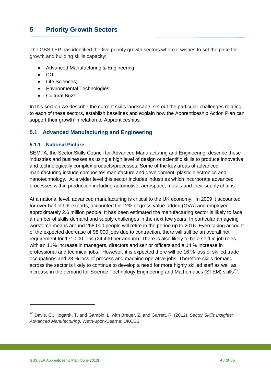The GBS LEP has identified the five priority growth sectors where it wishes to set the pace for growth and building skills capacity:

- Advanced Manufacturing & Engineering;
- ICT;
- Life Sciences;
- Environmental Technologies;
- Cultural Buzz.

In this section we describe the current skills landscape, set out the particular challenges relating to each of these sectors, establish baselines and explain how the Apprenticeship Action Plan can support their growth in relation to Apprenticeships.

# **5.1 Advanced Manufacturing and Engineering**

#### **5.1.1 National Picture**

SEMTA, the Sector Skills Council for Advanced Manufacturing and Engineering, describe these industries and businesses as using a high level of design or scientific skills to produce innovative and technologically complex products/processes. Some of the key areas of advanced manufacturing include composites manufacture and development, plastic electronics and nanotechnology. At a wider level this sector includes industries which incorporate advanced processes within production including automotive, aerospace, metals and their supply chains.

At a national level, advanced manufacturing is critical to the UK economy. In 2009 it accounted for over half of UK exports, accounted for 12% of gross value-added (GVA) and employed approximately 2.6 million people. It has been estimated the manufacturing sector is likely to face a number of skills demand and supply challenges in the next few years. In particular an ageing workforce means around 268,000 people will retire in the period up to 2016. Even taking account of the expected decrease of 98,000 jobs due to contraction, there will still be an overall net requirement for 171,000 jobs (24,400 per annum). There is also likely to be a shift in job roles with an 11% increase in managers, directors and senior officers and a 14 % increase in professional and technical jobs. However, it is expected there will be 16 % loss of skilled trade occupations and 23 % loss of process and machine operative jobs. Therefore skills demand across the sector is likely to continue to develop a need for more highly skilled staff as well as increase in the demand for Science Technology Engineering and Mathematics (STEM) skills<sup>[20](#page-42-0)</sup>.

<span id="page-42-0"></span><sup>20</sup> Davis, C., Hogarth, T. and Gambin, L. with Breuer, Z. and Garrett, R. (2012). *Sector Skills Insights: Advanced Manufacturing*. Wath-upon-Dearne: UKCES.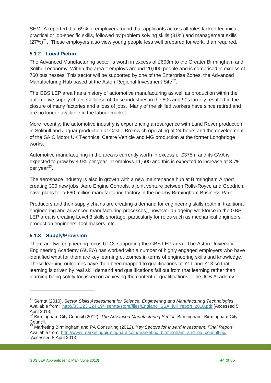SEMTA reported that 69% of employers found that applicants across all roles lacked technical, practical or job-specific skills, followed by problem solving skills (31%) and management skills  $(27%)<sup>21</sup>$ . These employers also view young people less well prepared for work, than required.

# **5.1.2 Local Picture**

The Advanced Manufacturing sector is worth in excess of £600m to the Greater Birmingham and Solihull economy. Within the area it employs around 20,000 people and is comprised in excess of 760 businesses. This sector will be supported by one of the Enterprise Zones, the Advanced Manufacturing Hub based at the Aston Regional Investment Site<sup>22</sup>.

The GBS LEP area has a history of automotive manufacturing as well as production within the automotive supply chain. Collapse of these industries in the 80s and 90s largely resulted in the closure of many factories and a loss of jobs. Many of the skilled workers have since retired and are no longer available in the labour market.

More recently, the automotive industry is experiencing a resurgence with Land Rover production in Solihull and Jaguar production at Castle Bromwich operating at 24 hours and the development of the SAIC Motor UK Technical Centre Vehicle and MG production at the former Longbridge works.

Automotive manufacturing in the area is currently worth in excess of £375m and its GVA is expected to grow by 4.9% per year. It employs 11,600 and this is expected to increase at 3.7% per vear $^{23}$ .

The aerospace industry is also in growth with a new maintenance hub at Birmingham Airport creating 300 new jobs. Aero Engine Controls, a joint venture between Rolls-Royce and Goodrich, have plans for a £60 million manufacturing factory in the nearby Birmingham Business Park.

Producers and their supply chains are creating a demand for engineering skills (both in traditional engineering and advanced manufacturing processes), however an ageing workforce in the GBS LEP area is creating Level 3 skills shortage, particularly for roles such as mechanical engineers, production engineers, tool makers, etc.

## **5.1.3 Supply/Provision**

 $\overline{a}$ 

There are two engineering focus UTCs supporting the GBS LEP area. The Aston University Engineering Academy (AUEA) has worked with a number of highly engaged employers who have identified what for them are key learning outcomes in terms of engineering skills and knowledge. These learning outcomes have then been mapped to qualifications at Y11 and Y13 so that learning is driven by real skill demand and qualifications fall out from that learning rather than learning being solely focussed on achieving the content of qualifications. The JCB Academy,

<span id="page-43-0"></span><sup>21</sup> Semta (2010). *Sector Skills Assessment for Science, Engineering and Manufacturing Technologies*. Available from: http://83.223.124.19/~semta/store/files/England SSA full report 2010.pdf [Accessed 5 April 2013].

<span id="page-43-1"></span><sup>22</sup> Birmingham City Council (2012). *The Advanced Manufacturing Sector*. Birmingham: Birmingham City Council.

<span id="page-43-2"></span><sup>23</sup> Marketing Birmingham and PA Consulting (2012). *Key Sectors for Inward Investment*. *Final Report*. Available from: [http://www.marketingbirmingham.com/marketing\\_birmingham\\_and\\_pa\\_consulting/](http://www.marketingbirmingham.com/marketing_birmingham_and_pa_consulting/) [Accessed 5 April 2013].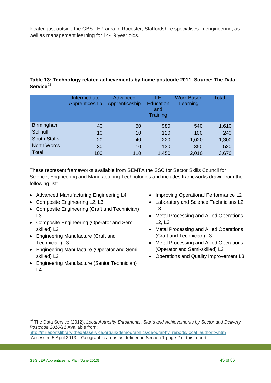located just outside the GBS LEP area in Rocester, Staffordshire specialises in engineering, as well as management learning for 14-19 year olds.

#### **Table 13: Technology related achievements by home postcode 2011. Source: The Data Service[24](#page-44-0)**

|                     | Intermediate<br>Apprenticeship | Advanced<br>Apprenticeship | FE.<br><b>Education</b><br>and<br>Training | <b>Work Based</b><br>Learning | Total |
|---------------------|--------------------------------|----------------------------|--------------------------------------------|-------------------------------|-------|
| Birmingham          | 40                             | 50                         | 980                                        | 540                           | 1,610 |
| Solihull            | 10                             | 10                         | 120                                        | 100                           | 240   |
| <b>South Staffs</b> | 20                             | 40                         | 220                                        | 1,020                         | 1,300 |
| <b>North Worcs</b>  | 30                             | 10                         | 130                                        | 350                           | 520   |
| Total               | 100                            | 110                        | 1,450                                      | 2,010                         | 3,670 |

These represent frameworks available from SEMTA the SSC for Sector Skills Council for Science, Engineering and Manufacturing Technologies and includes frameworks drawn from the following list:

- Advanced Manufacturing Engineering L4
- Composite Engineering L2, L3
- Composite Engineering (Craft and Technician) L3
- Composite Engineering (Operator and Semiskilled) L2
- Engineering Manufacture (Craft and Technician) L3
- Engineering Manufacture (Operator and Semiskilled) L2
- Engineering Manufacture (Senior Technician)  $L<sub>4</sub>$
- Improving Operational Performance L2
- Laboratory and Science Technicians L2, L3
- Metal Processing and Allied Operations L2, L3
- Metal Processing and Allied Operations (Craft and Technician) L3
- Metal Processing and Allied Operations (Operator and Semi-skilled) L2
- Operations and Quality Improvement L3

<span id="page-44-0"></span><sup>24</sup> The Data Service (2012). *Local Authority Enrolments, Starts and Achievements by Sector and Delivery Postcode 2010/11* Available from:

[http://mireportslibrary.thedataservice.org.uk/demographics/geography\\_reports/local\\_authority.htm](http://mireportslibrary.thedataservice.org.uk/demographics/geography_reports/local_authority.htm)  [Accessed 5 April 2013]. Geographic areas as defined in Section 1 page 2 of this report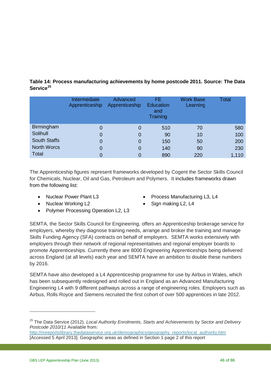| Table 14: Process manufacturing achievements by home postcode 2011. Source: The Data |  |
|--------------------------------------------------------------------------------------|--|
| Service <sup>25</sup>                                                                |  |

|                     | Intermediate<br>Apprenticeship | Advanced<br>Apprenticeship | FE.<br><b>Education</b><br>and<br>Training | <b>Work Base</b><br>Learning | Total |
|---------------------|--------------------------------|----------------------------|--------------------------------------------|------------------------------|-------|
| Birmingham          | 0                              | 0                          | 510                                        | 70                           | 580   |
| Solihull            | 0                              | 0                          | 90                                         | 10                           | 100   |
| <b>South Staffs</b> | 0                              | 0                          | 150                                        | 50                           | 200   |
| <b>North Worcs</b>  | 0                              | 0                          | 140                                        | 90                           | 230   |
| Total               | 0                              |                            | 890                                        | 220                          | 1,110 |

The Apprenticeship figures represent frameworks developed by Cogent the Sector Skills Council for Chemicals, Nuclear, Oil and Gas, Petroleum and Polymers. It includes frameworks drawn from the following list:

- Nuclear Power Plant L3
- Nuclear Working L2
- Process Manufacturing L3, L4
- Sign making L2, L4
- Polymer Processing Operation L2, L3

SEMTA, the Sector Skills Council for Engineering, offers an Apprenticeship brokerage service for employers, whereby they diagnose training needs, arrange and broker the training and manage Skills Funding Agency (SFA) contracts on behalf of employers. SEMTA works extensively with employers through their network of regional representatives and regional employer boards to promote Apprenticeships. Currently there are 8000 Engineering Apprenticeships being delivered across England (at all levels) each year and SEMTA have an ambition to double these numbers by 2016.

SEMTA have also developed a L4 Apprenticeship programme for use by Airbus in Wales, which has been subsequently redesigned and rolled out in England as an Advanced Manufacturing Engineering L4 with 9 different pathways across a range of engineering roles. Employers such as Airbus, Rolls Royce and Siemens recruited the first cohort of over 500 apprentices in late 2012.

<span id="page-45-0"></span><sup>25</sup> The Data Service (2012). *Local Authority Enrolments, Starts and Achievements by Sector and Delivery Postcode 2010/11* Available from:

[http://mireportslibrary.thedataservice.org.uk/demographics/geography\\_reports/local\\_authority.htm](http://mireportslibrary.thedataservice.org.uk/demographics/geography_reports/local_authority.htm)  [Accessed 5 April 2013]. Geographic areas as defined in Section 1 page 2 of this report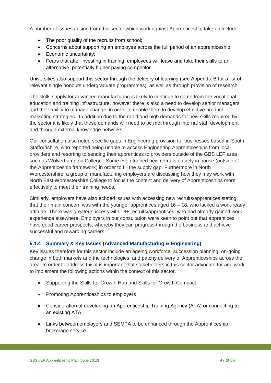A number of issues arising from this sector which work against Apprenticeship take up include:

- The poor quality of the recruits from school;
- Concerns about supporting an employee across the full period of an apprenticeship;
- Economic uncertainty;
- Fears that after investing in training, employees will leave and take their skills to an alternative, potentially higher paying competitor.

Universities also support this sector through the delivery of learning (see Appendix B for a list of relevant single honours undergraduate programmes), as well as through provision of research.

The skills supply for advanced manufacturing is likely to continue to come from the vocational education and training infrastructure, however there is also a need to develop senior managers and their ability to manage change, in order to enable them to develop effective product marketing strategies. In addition due to the rapid and high demands for new skills required by the sector it is likely that these demands will need to be met through internal staff development and through external knowledge networks

Our consultation also noted specific gaps in Engineering provision for businesses based in South Staffordshire, who reported being unable to access Engineering Apprenticeships from local providers and resorting to sending their apprentices to providers outside of the GBS LEP area such as Wolverhampton College. Some even trained new recruits entirely in house (outside of the Apprenticeship framework) in order to fill the supply gap. Furthermore in North Worcestershire, a group of manufacturing employers are discussing how they may work with North East Worcestershire College to focus the content and delivery of Apprenticeships more effectively to meet their training needs.

Similarly, employers have also echoed issues with accessing new recruits/apprentices stating that their main concern was with the younger apprentices aged  $16 - 18$ , who lacked a work-ready attitude. There was greater success with 18+ recruits/apprentices, who had already gained work experience elsewhere. Employers in our consultation were keen to point out that apprentices have good career prospects, whereby they can progress through the business and achieve successful and rewarding careers.

## **5.1.4 Summary & Key Issues (Advanced Manufacturing & Engineering)**

Key issues therefore for this sector include an ageing workforce, succession planning, on-going change in both markets and the technologies, and patchy delivery of Apprenticeships across the area. In order to address this it is important that stakeholders in this sector advocate for and work to implement the following actions within the context of this sector.

- Supporting the Skills for Growth Hub and Skills for Growth Compact.
- Promoting Apprenticeships to employers
- Consideration of developing an Apprenticeship Training Agency (ATA) or connecting to an existing ATA
- Links between employers and SEMTA to be enhanced through the Apprenticeship brokerage service.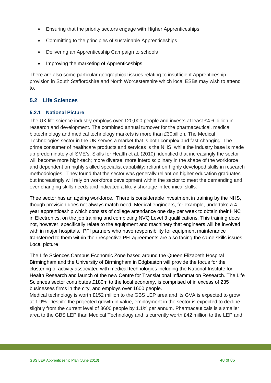- Ensuring that the priority sectors engage with Higher Apprenticeships
- Committing to the principles of sustainable Apprenticeships
- Delivering an Apprenticeship Campaign to schools
- Improving the marketing of Apprenticeships.

There are also some particular geographical issues relating to insufficient Apprenticeship provision in South Staffordshire and North Worcestershire which local ESBs may wish to attend to.

# **5.2 Life Sciences**

#### **5.2.1 National Picture**

The UK life science industry employs over 120,000 people and invests at least £4.6 billion in research and development. The combined annual turnover for the pharmaceutical, medical biotechnology and medical technology markets is more than £30billion. The Medical Technologies sector in the UK serves a market that is both complex and fast-changing. The prime consumer of healthcare products and services is the NHS, while the industry base is made up predominately of SME's. Skills for Health et al. (2010) identified that increasingly the sector will become more high-tech; more diverse; more interdisciplinary in the shape of the workforce and dependent on highly skilled specialist capability; reliant on highly developed skills in research methodologies. They found that the sector was generally reliant on higher education graduates but increasingly will rely on workforce development within the sector to meet the demanding and ever changing skills needs and indicated a likely shortage in technical skills.

Thee sector has an ageing workforce. There is considerable investment in training by the NHS, though provision does not always match need. Medical engineers, for example, undertake a 4 year apprenticeship which consists of college attendance one day per week to obtain their HNC in Electronics, on the job training and completing NVQ Level 3 qualifications. This training does not, however, specifically relate to the equipment and machinery that engineers will be involved with in major hospitals. PFI partners who have responsibility for equipment maintenance transferred to them within their respective PFI agreements are also facing the same skills issues. Local picture

The Life Sciences Campus Economic Zone based around the Queen Elizabeth Hospital Birmingham and the University of Birmingham in Edgbaston will provide the focus for the clustering of activity associated with medical technologies including the National Institute for Health Research and launch of the new Centre for Translational Inflammation Research. The Life Sciences sector contributes £180m to the local economy, is comprised of in excess of 235 businesses firms in the city, and employs over 1600 people.

Medical technology is worth £152 million to the GBS LEP area and its GVA is expected to grow at 1.9%. Despite the projected growth in value, employment in the sector is expected to decline slightly from the current level of 3600 people by 1.1% per annum. Pharmaceuticals is a smaller area to the GBS LEP than Medical Technology and is currently worth £42 million to the LEP and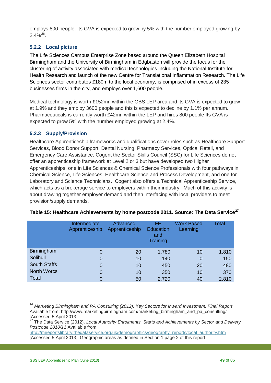employs 800 people. Its GVA is expected to grow by 5% with the number employed growing by 2.4%[26](#page-48-0).

# **5.2.2 Local picture**

The Life Sciences Campus Enterprise Zone based around the Queen Elizabeth Hospital Birmingham and the University of Birmingham in Edgbaston will provide the focus for the clustering of activity associated with medical technologies including the National Institute for Health Research and launch of the new Centre for Translational Inflammation Research. The Life Sciences sector contributes £180m to the local economy, is comprised of in excess of 235 businesses firms in the city, and employs over 1,600 people.

Medical technology is worth £152mn within the GBS LEP area and its GVA is expected to grow at 1.9% and they employ 3600 people and this is expected to decline by 1.1% per annum. Pharmaceuticals is currently worth £42mn within the LEP and hires 800 people Its GVA is expected to grow 5% with the number employed growing at 2.4%.

#### **5.2.3 Supply/Provision**

Healthcare Apprenticeship frameworks and qualifications cover roles such as Healthcare Support Services, Blood Donor Support, Dental Nursing, Pharmacy Services, Optical Retail, and Emergency Care Assistance. Cogent the Sector Skills Council (SSC) for Life Sciences do not offer an apprenticeship framework at Level 2 or 3 but have developed two Higher Apprenticeships, one in Life Sciences & Chemical Science Professionals with four pathways in Chemical Science, Life Sciences, Healthcare Science and Process Development, and one for Laboratory and Science Technicians. Cogent also offers a Technical Apprenticeship Service, which acts as a brokerage service to employers within their industry. Much of this activity is about drawing together employer demand and then interfacing with local providers to meet provision/supply demands.

|                     | Intermediate<br>Apprenticeship | Advanced<br>Apprenticeship | FE.<br><b>Education</b><br>and<br>Training | <b>Work Based</b><br>Learning | Total |
|---------------------|--------------------------------|----------------------------|--------------------------------------------|-------------------------------|-------|
| <b>Birmingham</b>   | 0                              | 20                         | 1,780                                      | 10                            | 1,810 |
| Solihull            | $\overline{0}$                 | 10                         | 140                                        | 0                             | 150   |
| <b>South Staffs</b> | $\overline{0}$                 | 10                         | 450                                        | 20                            | 480   |
| <b>North Worcs</b>  | $\overline{0}$                 | 10                         | 350                                        | 10                            | 370   |
| <b>Total</b>        | 0                              | 50                         | 2,720                                      | 40                            | 2,810 |

|  | Table 15: Healthcare Achievements by home postcode 2011. Source: The Data Service <sup>27</sup> |  |  |  |
|--|-------------------------------------------------------------------------------------------------|--|--|--|
|--|-------------------------------------------------------------------------------------------------|--|--|--|

[http://mireportslibrary.thedataservice.org.uk/demographics/geography\\_reports/local\\_authority.htm](http://mireportslibrary.thedataservice.org.uk/demographics/geography_reports/local_authority.htm)  [Accessed 5 April 2013]. Geographic areas as defined in Section 1 page 2 of this report

<span id="page-48-0"></span><sup>26</sup> *Marketing Birmingham and PA Consulting (2012). Key Sectors for Inward Investment. Final Report*. Available from: http://www.marketingbirmingham.com/marketing\_birmingham\_and\_pa\_consulting/ [Accessed 5 April 2013].

<span id="page-48-1"></span><sup>27</sup> The Data Service (2012). *Local Authority Enrolments, Starts and Achievements by Sector and Delivery Postcode 2010/11* Available from: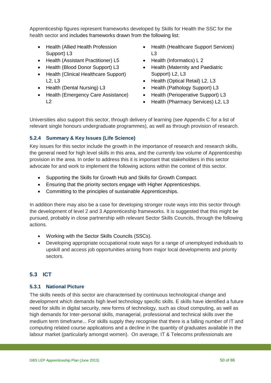Apprenticeship figures represent frameworks developed by Skills for Health the SSC for the health sector and includes frameworks drawn from the following list:

- Health (Allied Health Profession Support) L3
- Health (Assistant Practitioner) L5
- Health (Blood Donor Support) L3
- Health (Clinical Healthcare Support) L2, L3
- Health (Dental Nursing) L3
- Health (Emergency Care Assistance)  $L<sub>2</sub>$
- Health (Healthcare Support Services)  $\overline{1}$
- Health (Informatics) L 2
- Health (Maternity and Paediatric Support) L2, L3
- Health (Optical Retail) L2, L3
- Health (Pathology Support) L3
- Health (Perioperative Support) L3
- Health (Pharmacy Services) L2, L3

Universities also support this sector, through delivery of learning (see Appendix C for a list of relevant single honours undergraduate programmes), as well as through provision of research.

# **5.2.4 Summary & Key Issues (Life Science)**

Key issues for this sector include the growth in the importance of research and research skills, the general need for high level skills in this area, and the currently low volume of Apprenticeship provision in the area. In order to address this it is important that stakeholders in this sector advocate for and work to implement the following actions within the context of this sector.

- Supporting the Skills for Growth Hub and Skills for Growth Compact.
- Ensuring that the priority sectors engage with Higher Apprenticeships.
- Committing to the principles of sustainable Apprenticeships.

In addition there may also be a case for developing stronger route ways into this sector through the development of level 2 and 3 Apprenticeship frameworks. It is suggested that this might be pursued, probably in close partnership with relevant Sector Skills Councils, through the following actions.

- Working with the Sector Skills Councils (SSCs).
- Developing appropriate occupational route ways for a range of unemployed individuals to upskill and access job opportunities arising from major local developments and priority sectors.

# **5.3 ICT**

# **5.3.1 National Picture**

The skills needs of this sector are characterised by continuous technological change and development which demands high level technology specific skills. E skills have identified a future need for skills in digital security, new forms of technology, such as cloud computing, as well as high demands for Inter-personal skills, managerial, professional and technical skills over the medium term timeframe... For skills supply they recognise that there is a falling number of IT and computing related course applications and a decline in the quantity of graduates available in the labour market (particularly amongst women). On average, IT & Telecoms professionals are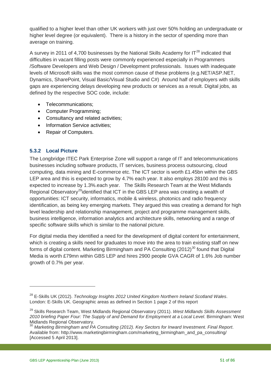qualified to a higher level than other UK workers with just over 50% holding an undergraduate or higher level degree (or equivalent). There is a history in the sector of spending more than average on training.

A survey in 2011 of 4,700 businesses by the National Skills Academy for IT $^{28}$  $^{28}$  $^{28}$  indicated that difficulties in vacant filling posts were commonly experienced especially in Programmers /Software Developers and Web Design / Development professionals. Issues with inadequate levels of Microsoft skills was the most common cause of these problems (e.g.NET/ASP.NET, Dynamics, SharePoint, Visual Basic/Visual Studio and C#) Around half of employers with skills gaps are experiencing delays developing new products or services as a result. Digital jobs, as defined by the respective SOC code, include:

- Telecommunications;
- Computer Programming;
- Consultancy and related activities;
- Information Service activities:
- Repair of Computers.

#### **5.3.2 Local Picture**

The Longbridge ITEC Park Enterprise Zone will support a range of IT and telecommunications businesses including software products, IT services, business process outsourcing, cloud computing, data mining and E-commerce etc. The ICT sector is worth £1.45bn within the GBS LEP area and this is expected to grow by 4.7% each year. It also employs 28100 and this is expected to increase by 1.3%.each year. The Skills Research Team at the West Midlands Regional Observatory<sup>29</sup>identified that ICT in the GBS LEP area was creating a wealth of opportunities: ICT security, informatics, mobile & wireless, photonics and radio frequency identification, as being key emerging markets. They argued this was creating a demand for high level leadership and relationship management, project and programme management skills, business intelligence, information analytics and architecture skills, networking and a range of specific software skills which is similar to the national picture.

For digital media they identified a need for the development of digital content for entertainment, which is creating a skills need for graduates to move into the area to train existing staff on new forms of digital content. Marketing Birmingham and PA Consulting  $(2012)^{30}$  $(2012)^{30}$  $(2012)^{30}$  found that Digital Media is worth £79mn within GBS LEP and hires 2900 people GVA CAGR of 1.6% Job number growth of 0.7% per year.

<span id="page-50-0"></span><sup>28</sup> E-Skills UK (2012). *Technology Insights 2012 United Kingdom Northern Ireland Scotland Wales*. London: E-Skills UK. Geographic areas as defined in Section 1 page 2 of this report

<span id="page-50-1"></span><sup>29</sup> Skills Research Team, West Midlands Regional Observatory (2011). *West Midlands Skills Assessment 2010 briefing Paper Four: The Supply of and Demand for Employment at a Local Level*. Birmingham: West Midlands Regional Observatory.

<span id="page-50-2"></span><sup>30</sup> *Marketing Birmingham and PA Consulting (2012). Key Sectors for Inward Investment. Final Report*. Available from: http://www.marketingbirmingham.com/marketing\_birmingham\_and\_pa\_consulting/ [Accessed 5 April 2013].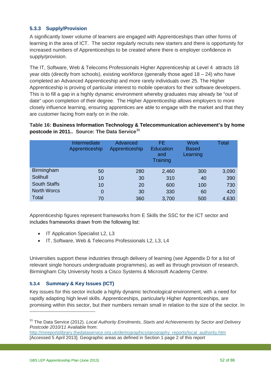## **5.3.3 Supply/Provision**

A significantly lower volume of learners are engaged with Apprenticeships than other forms of learning in the area of ICT. The sector regularly recruits new starters and there is opportunity for increased numbers of Apprenticeships to be created where there is employer confidence in supply/provision.

The IT, Software, Web & Telecoms Professionals Higher Apprenticeship at Level 4 attracts 18 year olds (directly from schools), existing workforce (generally those aged  $18 - 24$ ) who have completed an Advanced Apprenticeship and more rarely individuals over 25. The Higher Apprenticeship is proving of particular interest to mobile operators for their software developers. This is to fill a gap in a highly dynamic environment whereby graduates may already be "out of date" upon completion of their degree. The Higher Apprenticeship allows employers to more closely influence learning, ensuring apprentices are able to engage with the market and that they are customer facing from early on in the role.

**Table 16: Business Information Technology & Telecommunication achievement's by home postcode in 2011.. Source: The Data Service[31](#page-51-0)**

|                     | Intermediate<br>Apprenticeship | Advanced<br>Apprenticeship | FE.<br><b>Education</b><br>and<br>Training | <b>Work</b><br><b>Based</b><br>Learning | Total |
|---------------------|--------------------------------|----------------------------|--------------------------------------------|-----------------------------------------|-------|
| <b>Birmingham</b>   | 50                             | 280                        | 2,460                                      | 300                                     | 3,090 |
| Solihull            | 10                             | 30                         | 310                                        | 40                                      | 390   |
| <b>South Staffs</b> | 10                             | 20                         | 600                                        | 100                                     | 730   |
| <b>North Worcs</b>  | 0                              | 30                         | 330                                        | 60                                      | 420   |
| Total               | 70                             | 360                        | 3,700                                      | 500                                     | 4,630 |

Apprenticeship figures represent frameworks from E Skills the SSC for the ICT sector and includes frameworks drawn from the following list:

- IT Application Specialist L2, L3
- IT, Software, Web & Telecoms Professionals L2, L3, L4

Universities support these industries through delivery of learning (see Appendix D for a list of relevant single honours undergraduate programmes), as well as through provision of research. Birmingham City University hosts a Cisco Systems & Microsoft Academy Centre.

#### **5.3.4 Summary & Key Issues (ICT)**

Key issues for this sector include a highly dynamic technological environment, with a need for rapidly adapting high level skills. Apprenticeships, particularly Higher Apprenticeships, are promising within this sector, but their numbers remain small in relation to the size of the sector. In

<span id="page-51-0"></span><sup>31</sup> The Data Service (2012). *Local Authority Enrolments, Starts and Achievements by Sector and Delivery Postcode 2010/11* Available from:

[http://mireportslibrary.thedataservice.org.uk/demographics/geography\\_reports/local\\_authority.htm](http://mireportslibrary.thedataservice.org.uk/demographics/geography_reports/local_authority.htm)  [Accessed 5 April 2013]. Geographic areas as defined in Section 1 page 2 of this report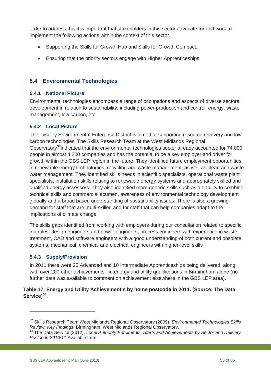order to address this it is important that stakeholders in this sector advocate for and work to implement the following actions within the context of this sector.

- Supporting the Skills for Growth Hub and Skills for Growth Compact.
- Ensuring that the priority sectors engage with Higher Apprenticeships

# **5.4 Environmental Technologies**

#### **5.4.1 National Picture**

Environmental technologies encompass a range of occupations and aspects of diverse sectoral development in relation to sustainability, including power production and control, energy, waste management, low carbon, etc.

#### **5.4.2 Local Picture**

The Tyseley Environmental Enterprise District is aimed at supporting resource recovery and low carbon technologies. The Skills Research Team at the West Midlands Regional Observatory<sup>[32](#page-52-0)</sup>indicated that the environmental technologies sector already accounted for 74,000 people in almost 4,200 companies and has the potential to be a key employer and driver for growth within the GBS LEP region in the future. They identified future employment opportunities in renewable energy technologies, recycling and waste management, as well as clean and waste water management. They identified skills needs in scientific specialists, operational waste plant specialists, installation skills relating to renewable energy systems and appropriately skilled and qualified energy assessors. They also identified more generic skills such as an ability to combine technical skills and commercial acumen, awareness of environmental technology development globally and a broad based understanding of sustainability issues. There is also a growing demand for staff that are multi-skilled and for staff that can help companies adapt to the implications of climate change.

The skills gaps identified from working with employers during our consultation related to specific job roles: design engineers and power engineers, process engineers with experience in waste treatment, CAD and software engineers with a good understanding of both current and obsolete systems, mechanical, chemical and electrical engineers with higher-level skills

#### **5.4.3 Supply/Provision**

 $\overline{a}$ 

In 2011 there were 25 Advanced and 10 Intermediate Apprenticeships being delivered, along with over 200 other achievements in energy and utility qualifications in Birmingham alone (no further data was available to comment on achievement elsewhere in the GBS LEP area).

#### **Table 17: Energy and Utility Achievement's by home postcode in 2011. (Source: The Data Service)[33](#page-52-1).**

<span id="page-52-0"></span><sup>&</sup>lt;sup>32</sup> Skills Research Team West Midlands Regional Observatory (2009). *Environmental Technologies Skills*<br>*Review: Key Findings*. Birmingham: West Midlands Regional Observatory.

<span id="page-52-1"></span>*Review: Key Findings*. Birmingham: West Midlands Regional Observatory. <sup>33</sup> The Data Service (2012). *Local Authority Enrolments, Starts and Achievements by Sector and Delivery Postcode 2010/11* Available from: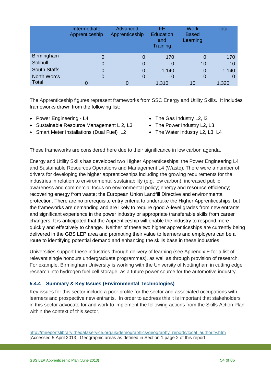|                     | Intermediate<br>Apprenticeship | Advanced<br>Apprenticeship | FE<br><b>Education</b><br>and<br>Training | <b>Work</b><br><b>Based</b><br>Learning | Total |
|---------------------|--------------------------------|----------------------------|-------------------------------------------|-----------------------------------------|-------|
| <b>Birmingham</b>   | 0                              | 0                          | 170                                       |                                         | 170   |
| Solihull            | 0                              | 0                          | O                                         | 10                                      | 10    |
| <b>South Staffs</b> | 0                              | 0                          | 1,140                                     | 0                                       | 1,140 |
| <b>North Worcs</b>  | 0                              | 0                          | O                                         | 0                                       | O     |
| <b>Total</b>        | 0                              |                            | 1,310                                     | 10                                      | 1,320 |

The Apprenticeship figures represent frameworks from SSC Energy and Utility Skills. It includes frameworks drawn from the following list:

- Power Engineering L4
- Sustainable Resource Management L 2, L3
- Smart Meter Installations (Dual Fuel) L2
- The Gas Industry L2, I3
- The Power Industry L2, L3
- The Water Industry L2, L3, L4

These frameworks are considered here due to their significance in low carbon agenda.

Energy and Utility Skills has developed two Higher Apprenticeships: the Power Engineering L4 and Sustainable Resources Operations and Management L4 (Waste). There were a number of drivers for developing the higher apprenticeships including the growing requirements for the industries in relation to environmental sustainability (e.g. low carbon); increased public awareness and commercial focus on environmental policy; energy and resource efficiency; recovering energy from waste; the European Union Landfill Directive and environmental protection. There are no prerequisite entry criteria to undertake the Higher Apprenticeships, but the frameworks are demanding and are likely to require good A-level grades from new entrants and significant experience in the power industry or appropriate transferable skills from career changers. It is anticipated that the Apprenticeship will enable the industry to respond more quickly and effectively to change. Neither of these two higher apprenticeships are currently being delivered in the GBS LEP area and promoting their value to learners and employers can be a route to identifying potential demand and enhancing the skills base in these industries

Universities support these industries through delivery of learning (see Appendix E for a list of relevant single honours undergraduate programmes), as well as through provision of research. For example, Birmingham University is working with the University of Nottingham in cutting edge research into hydrogen fuel cell storage, as a future power source for the automotive industry.

## **5.4.4 Summary & Key Issues (Environmental Technologies)**

Key issues for this sector include a poor profile for the sector and associated occupations with learners and prospective new entrants. In order to address this it is important that stakeholders in this sector advocate for and work to implement the following actions from the Skills Action Plan within the context of this sector.

-

[http://mireportslibrary.thedataservice.org.uk/demographics/geography\\_reports/local\\_authority.htm](http://mireportslibrary.thedataservice.org.uk/demographics/geography_reports/local_authority.htm)  [Accessed 5 April 2013]. Geographic areas as defined in Section 1 page 2 of this report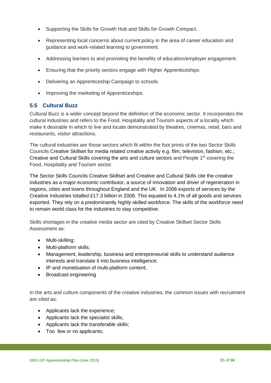- Supporting the Skills for Growth Hub and Skills for Growth Compact.
- Representing local concerns about current policy in the area of career education and guidance and work-related learning to government.
- Addressing barriers to and promoting the benefits of education/employer engagement.
- Ensuring that the priority sectors engage with Higher Apprenticeships
- Delivering an Apprenticeship Campaign to schools
- Improving the marketing of Apprenticeships.

# **5.5 Cultural Buzz**

Cultural Buzz is a wider concept beyond the definition of the economic sector. It incorporates the cultural industries and refers to the Food, Hospitality and Tourism aspects of a locality which make it desirable in which to live and locate demonstrated by theatres, cinemas, retail, bars and restaurants, visitor attractions.

The cultural industries are those sectors which fit within the foot prints of the two Sector Skills Councils Creative Skillset for media related creative activity e.g. film, television, fashion, etc.; Creative and Cultural Skills covering the arts and culture sectors and People 1<sup>st</sup> covering the Food, Hospitality and Tourism sector.

The Sector Skills Councils Creative Skillset and Creative and Cultural Skills cite the creative industries as a major economic contributor, a source of innovation and driver of regeneration in regions, cities and towns throughout England and the UK. In 2008 exports of services by the Creative Industries totalled £17.3 billion in 2008. This equated to 4.1% of all goods and services exported. They rely on a predominantly highly-skilled workforce. The skills of the workforce need to remain world class for the industries to stay competitive.

Skills shortages in the creative media sector are cited by Creative Skillset Sector Skills Assessment as:

- Multi-skilling;
- Multi-platform skills;
- Management, leadership, business and entrepreneurial skills to understand audience interests and translate it into business intelligence;
- IP and monetisation of multi-platform content;
- Broadcast engineering

In the arts and culture components of the creative industries, the common issues with recruitment are cited as:

- Applicants lack the experience;
- Applicants lack the specialist skills;
- Applicants lack the transferable skills;
- Too few or no applicants;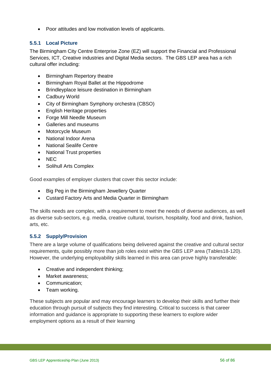• Poor attitudes and low motivation levels of applicants.

## **5.5.1 Local Picture**

The Birmingham City Centre Enterprise Zone (EZ) will support the Financial and Professional Services, ICT, Creative industries and Digital Media sectors. The GBS LEP area has a rich cultural offer including:

- Birmingham Repertory theatre
- Birmingham Royal Ballet at the Hippodrome
- Brindleyplace leisure destination in Birmingham
- Cadbury World
- City of Birmingham Symphony orchestra (CBSO)
- English Heritage properties
- Forge Mill Needle Museum
- Galleries and museums
- Motorcycle Museum
- National Indoor Arena
- National Sealife Centre
- National Trust properties
- NEC
- Solihull Arts Complex

Good examples of employer clusters that cover this sector include:

- Big Peg in the Birmingham Jewellery Quarter
- Custard Factory Arts and Media Quarter in Birmingham

The skills needs are complex, with a requirement to meet the needs of diverse audiences, as well as diverse sub-sectors, e.g. media, creative cultural, tourism, hospitality, food and drink, fashion, arts, etc.

## **5.5.2 Supply/Provision**

There are a large volume of qualifications being delivered against the creative and cultural sector requirements, quite possibly more than job roles exist within the GBS LEP area (Tables18-120). However, the underlying employability skills learned in this area can prove highly transferable:

- Creative and independent thinking:
- Market awareness;
- Communication;
- Team working.

These subjects are popular and may encourage learners to develop their skills and further their education through pursuit of subjects they find interesting. Critical to success is that career information and guidance is appropriate to supporting these learners to explore wider employment options as a result of their learning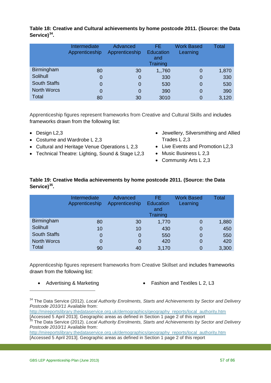|                     | Intermediate<br>Apprenticeship | Advanced<br>Apprenticeship | FE.<br><b>Education</b><br>and<br>Training | <b>Work Based</b><br>Learning | Total |
|---------------------|--------------------------------|----------------------------|--------------------------------------------|-------------------------------|-------|
| <b>Birmingham</b>   | 80                             | 30                         | 1,760                                      | 0                             | 1,870 |
| Solihull            | 0                              | 0                          | 330                                        | 0                             | 330   |
| <b>South Staffs</b> | $\Omega$                       | 0                          | 530                                        | 0                             | 530   |
| <b>North Worcs</b>  | 0                              | 0                          | 390                                        | 0                             | 390   |
| <b>Total</b>        | 80                             | 30                         | 3010                                       | 0                             | 3,120 |

**Table 18: Creative and Cultural achievements by home postcode 2011. (Source: the Data Service)[34](#page-56-0).**

Apprenticeship figures represent frameworks from Creative and Cultural Skills and includes frameworks drawn from the following list:

- Design L2,3
- Costume and Wardrobe L 2,3
- Cultural and Heritage Venue Operations L 2,3
- Technical Theatre: Lighting, Sound & Stage L2,3
- Jewellery, Silversmithing and Allied Trades L 2,3
- Live Events and Promotion L2,3
- Music Business L 2,3
- Community Arts L 2,3

#### **Table 19: Creative Media achievements by home postcode 2011. (Source: the Data Service)[35](#page-56-1).**

|                     | Intermediate<br>Apprenticeship | Advanced<br>Apprenticeship | FE.<br><b>Education</b><br>and<br>Training | <b>Work Based</b><br>Learning | Total |
|---------------------|--------------------------------|----------------------------|--------------------------------------------|-------------------------------|-------|
| <b>Birmingham</b>   | 80                             | 30                         | 1,770                                      | 0                             | 1,880 |
| Solihull            | 10                             | 10                         | 430                                        | 0                             | 450   |
| <b>South Staffs</b> | 0                              | 0                          | 550                                        | 0                             | 550   |
| <b>North Worcs</b>  | 0                              | 0                          | 420                                        | 0                             | 420   |
| Total               | 90                             | 40                         | 3,170                                      | 0                             | 3,300 |

Apprenticeship figures represent frameworks from Creative Skillset and includes frameworks drawn from the following list:

 $\overline{a}$ 

• Advertising & Marketing **• Fashion and Textiles L 2, L3** 

[http://mireportslibrary.thedataservice.org.uk/demographics/geography\\_reports/local\\_authority.htm](http://mireportslibrary.thedataservice.org.uk/demographics/geography_reports/local_authority.htm)  [Accessed 5 April 2013]. Geographic areas as defined in Section 1 page 2 of this report

<span id="page-56-0"></span><sup>34</sup> The Data Service (2012). *Local Authority Enrolments, Starts and Achievements by Sector and Delivery Postcode 2010/11* Available from:

[http://mireportslibrary.thedataservice.org.uk/demographics/geography\\_reports/local\\_authority.htm](http://mireportslibrary.thedataservice.org.uk/demographics/geography_reports/local_authority.htm)  [Accessed 5 April 2013]. Geographic areas as defined in Section 1 page 2 of this report <sup>35</sup> The Data Service (2012). *Local Authority Enrolments, Starts and Achievements by Sector and Delivery* 

<span id="page-56-1"></span>*Postcode 2010/11* Available from: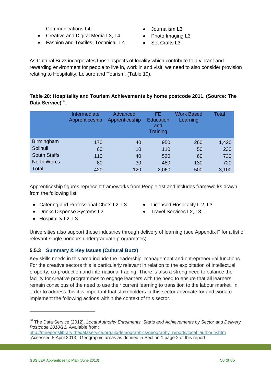Communications L4

- Creative and Digital Media L3, L4
- Fashion and Textiles: Technical L4
- Journalism L3
- Photo Imaging L3
- Set Crafts L<sub>3</sub>

As Cultural Buzz incorporates those aspects of locality which contribute to a vibrant and rewarding environment for people to live in, work in and visit, we need to also consider provision relating to Hospitality, Leisure and Tourism. (Table 19).

## **Table 20: Hospitality and Tourism Achievements by home postcode 2011. (Source: The Data Service)[36](#page-57-0).**

|                     | Intermediate<br>Apprenticeship | Advanced<br>Apprenticeship | FE.<br><b>Education</b><br>and<br>Training | <b>Work Based</b><br>Learning | Total |
|---------------------|--------------------------------|----------------------------|--------------------------------------------|-------------------------------|-------|
| Birmingham          | 170                            | 40                         | 950                                        | 260                           | 1,420 |
| Solihull            | 60                             | 10                         | 110                                        | 50                            | 230   |
| <b>South Staffs</b> | 110                            | 40                         | 520                                        | 60                            | 730   |
| <b>North Worcs</b>  | 80                             | 30                         | 480                                        | 130                           | 720   |
| Total               | 420                            | 120                        | 2,060                                      | 500                           | 3,100 |

Apprenticeship figures represent frameworks from People 1st and includes frameworks drawn from the following list:

- Catering and Professional Chefs L2, L3
	-
- Licensed Hospitality L 2, L3
- Drinks Dispense Systems L2
- Travel Services L2, L3

• Hospitality L2, L3

 $\overline{a}$ 

Universities also support these industries through delivery of learning (see Appendix F for a list of relevant single honours undergraduate programmes).

# **5.5.3 Summary & Key Issues (Cultural Buzz)**

Key skills needs in this area include the leadership, management and entrepreneurial functions. For the creative sectors this is particularly relevant in relation to the exploitation of intellectual property, co-production and international trading. There is also a strong need to balance the facility for creative programmes to engage learners with the need to ensure that all learners remain conscious of the need to use their current learning to transition to the labour market. In order to address this it is important that stakeholders in this sector advocate for and work to implement the following actions within the context of this sector.

<span id="page-57-0"></span><sup>36</sup> The Data Service (2012). *Local Authority Enrolments, Starts and Achievements by Sector and Delivery Postcode 2010/11.* Available from:

[http://mireportslibrary.thedataservice.org.uk/demographics/geography\\_reports/local\\_authority.htm](http://mireportslibrary.thedataservice.org.uk/demographics/geography_reports/local_authority.htm)  [Accessed 5 April 2013]. Geographic areas as defined in Section 1 page 2 of this report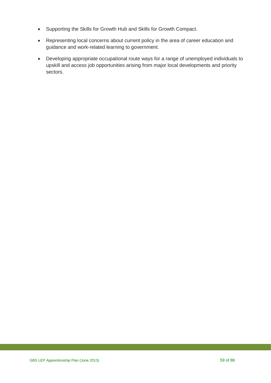- Supporting the Skills for Growth Hub and Skills for Growth Compact.
- Representing local concerns about current policy in the area of career education and guidance and work-related learning to government.
- Developing appropriate occupational route ways for a range of unemployed individuals to upskill and access job opportunities arising from major local developments and priority sectors.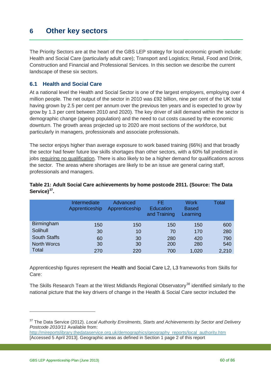# **6 Other key sectors**

The Priority Sectors are at the heart of the GBS LEP strategy for local economic growth include: Health and Social Care (particularly adult care); Transport and Logistics; Retail, Food and Drink, Construction and Financial and Professional Services. In this section we describe the current landscape of these six sectors.

## **6.1 Health and Social Care**

At a national level the Health and Social Sector is one of the largest employers, employing over 4 million people. The net output of the sector in 2010 was £92 billion, nine per cent of the UK total having grown by 2.5 per cent per annum over the previous ten years and is expected to grow by grow by 1.3 per cent between 2010 and 2020). The key driver of skill demand within the sector is demographic change (ageing population) and the need to cut costs caused by the economic downturn. The growth areas projected up to 2020 are most sections of the workforce, but particularly in managers, professionals and associate professionals.

The sector enjoys higher than average exposure to work based training (66%) and that broadly the sector had fewer future low skills shortages than other sectors, with a 60% fall predicted in jobs requiring no qualification. There is also likely to be a higher demand for qualifications across the sector. The areas where shortages are likely to be an issue are general caring staff, professionals and managers.

|                     | Intermediate<br>Apprenticeship | Advanced<br>Apprenticeship | FE.<br><b>Education</b><br>and Training | <b>Work</b><br><b>Based</b><br>Learning | Total |
|---------------------|--------------------------------|----------------------------|-----------------------------------------|-----------------------------------------|-------|
| Birmingham          | 150                            | 150                        | 150                                     | 150                                     | 600   |
| Solihull            | 30                             | 10                         | 70                                      | 170                                     | 280   |
| <b>South Staffs</b> | 60                             | 30                         | 280                                     | 420                                     | 790   |
| <b>North Worcs</b>  | 30                             | 30                         | 200                                     | 280                                     | 540   |
| Total               | 270                            | 220                        | 700                                     | 1,020                                   | 2,210 |

#### **Table 21: Adult Social Care achievements by home postcode 2011. (Source: The Data Service)[37](#page-59-0).**

Apprenticeship figures represent the Health and Social Care L2, L3 frameworks from Skills for Care:

The Skills Research Team at the West Midlands Regional Observatory<sup>[38](#page-59-1)</sup> identified similarly to the national picture that the key drivers of change in the Health & Social Care sector included the

<span id="page-59-1"></span><span id="page-59-0"></span><sup>37</sup> The Data Service (2012). *Local Authority Enrolments, Starts and Achievements by Sector and Delivery Postcode 2010/11* Available from:

[http://mireportslibrary.thedataservice.org.uk/demographics/geography\\_reports/local\\_authority.htm](http://mireportslibrary.thedataservice.org.uk/demographics/geography_reports/local_authority.htm)  [Accessed 5 April 2013]. Geographic areas as defined in Section 1 page 2 of this report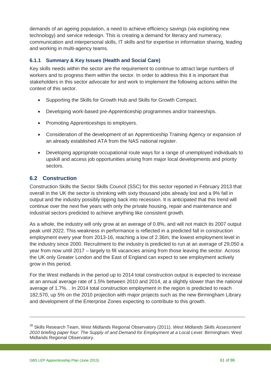demands of an ageing population, a need to achieve efficiency savings (via exploiting new technology) and service redesign. This is creating a demand for literacy and numeracy, communication and interpersonal skills, IT skills and for expertise in information sharing, leading and working in multi-agency teams.

#### **6.1.1 Summary & Key Issues (Health and Social Care)**

Key skills needs within the sector are the requirement to continue to attract large numbers of workers and to progress them within the sector. In order to address this it is important that stakeholders in this sector advocate for and work to implement the following actions within the context of this sector.

- Supporting the Skills for Growth Hub and Skills for Growth Compact.
- Developing work-based pre-Apprenticeship programmes and/or traineeships.
- Promoting Apprenticeships to employers.
- Consideration of the development of an Apprenticeship Training Agency or expansion of an already established ATA from the NAS national register.
- Developing appropriate occupational route ways for a range of unemployed individuals to upskill and access job opportunities arising from major local developments and priority sectors.

# **6.2 Construction**

Construction Skills the Sector Skills Council (SSC) for this sector reported in February 2013 that overall in the UK the sector is shrinking with sixty thousand jobs already lost and a 9% fall in output and the industry possibly tipping back into recession. It is anticipated that this trend will continue over the next five years with only the private housing, repair and maintenance and industrial sectors predicted to achieve anything like consistent growth.

As a whole, the industry will only grow at an average of 0.8%, and will not match its 2007 output peak until 2022. This weakness in performance is reflected in a predicted fall in construction employment every year from 2013-16, reaching a low of 2.36m, the lowest employment level in the industry since 2000. Recruitment to the industry is predicted to run at an average of 29,050 a year from now until 2017 – largely to fill vacancies arising from those leaving the sector. Across the UK only Greater London and the East of England can expect to see employment actively grow in this period.

For the West midlands in the period up to 2014 total construction output is expected to increase at an annual average rate of 1.5% between 2010 and 2014, at a slightly slower than the national average of 1.7%. . In 2014 total construction employment in the region is predicted to reach 182,570, up 5% on the 2010 projection with major projects such as the new Birmingham Library and development of the Enterprise Zones expecting to contribute to this growth.

-

<sup>38</sup> Skills Research Team, West Midlands Regional Observatory (2011). *West Midlands Skills Assessment 2010 briefing paper four: The Supply of and Demand for Employment at a Local Level*. Birmingham: West Midlands Regional Observatory.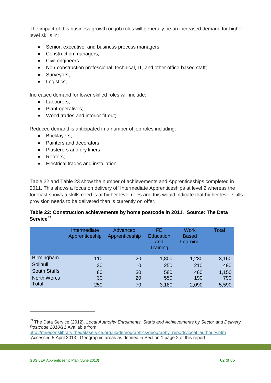The impact of this business growth on job roles will generally be an increased demand for higher level skills in:

- Senior, executive, and business process managers;
- Construction managers:
- Civil engineers ;
- Non-construction professional, technical, IT, and other office-based staff;
- Surveyors;
- Logistics;

Increased demand for lower skilled roles will include:

- Labourers;
- Plant operatives:
- Wood trades and interior fit-out;

Reduced demand is anticipated in a number of job roles including:

- Bricklayers;
- Painters and decorators:
- Plasterers and dry liners:
- Roofers;
- Electrical trades and installation.

Table 22 and Table 23 show the number of achievements and Apprenticeships completed in 2011. This shows a focus on delivery off Intermediate Apprenticeships at level 2 whereas the forecast shows a skills need is at higher level roles and this would indicate that higher level skills provision needs to be delivered than is currently on offer.

#### **Table 22: Construction achievements by home postcode in 2011. Source: The Data Service[39](#page-61-0)**

|                     | Intermediate<br>Apprenticeship | Advanced<br>Apprenticeship | FE<br><b>Education</b><br>and<br>Training | <b>Work</b><br><b>Based</b><br>Learning | Total |
|---------------------|--------------------------------|----------------------------|-------------------------------------------|-----------------------------------------|-------|
| <b>Birmingham</b>   | 110                            | 20                         | 1,800                                     | 1,230                                   | 3,160 |
| Solihull            | 30                             | 0                          | 250                                       | 210                                     | 490   |
| <b>South Staffs</b> | 80                             | 30                         | 580                                       | 460                                     | 1,150 |
| <b>North Worcs</b>  | 30                             | 20                         | 550                                       | 190                                     | 790   |
| <b>Total</b>        | 250                            | 70                         | 3,180                                     | 2,090                                   | 5,590 |

<span id="page-61-0"></span><sup>39</sup> The Data Service (2012). *Local Authority Enrolments, Starts and Achievements by Sector and Delivery Postcode 2010/11* Available from:

[http://mireportslibrary.thedataservice.org.uk/demographics/geography\\_reports/local\\_authority.htm](http://mireportslibrary.thedataservice.org.uk/demographics/geography_reports/local_authority.htm)  [Accessed 5 April 2013]. Geographic areas as defined in Section 1 page 2 of this report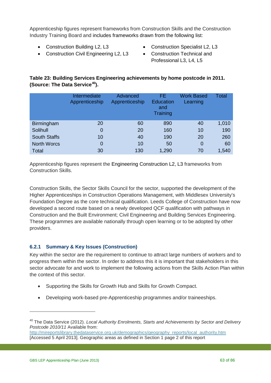Apprenticeship figures represent frameworks from Construction Skills and the Construction Industry Training Board and includes frameworks drawn from the following list:

- Construction Building L2, L3
- Construction Civil Engineering L2, L3
- Construction Specialist L2, L3
- Construction Technical and Professional L3, L4, L5

# **Table 23: Building Services Engineering achievements by home postcode in 2011. (Source: The Data Service[40\)](#page-62-0).**

|                     | Intermediate<br>Apprenticeship | Advanced<br>Apprenticeship | FE.<br><b>Education</b><br>and<br>Training | <b>Work Based</b><br>Learning | Total |
|---------------------|--------------------------------|----------------------------|--------------------------------------------|-------------------------------|-------|
| Birmingham          | 20                             | 60                         | 890                                        | 40                            | 1,010 |
| Solihull            | $\mathbf 0$                    | 20                         | 160                                        | 10                            | 190   |
| <b>South Staffs</b> | 10                             | 40                         | 190                                        | 20                            | 260   |
| <b>North Worcs</b>  | 0                              | 10                         | 50                                         | $\Omega$                      | 60    |
| Total               | 30                             | 130                        | 1,290                                      | 70                            | 1,540 |

Apprenticeship figures represent the [Engineering Construction L2](http://www.afo.sscalliance.org/frameworkslibrary/index.cfm?id=FR01268), L3 frameworks from Construction Skills.

Construction Skills, the Sector Skills Council for the sector, supported the development of the Higher Apprenticeships in Construction Operations Management, with Middlesex University's Foundation Degree as the core technical qualification. Leeds College of Construction have now developed a second route based on a newly developed QCF qualification with pathways in Construction and the Built Environment; Civil Engineering and Building Services Engineering. These programmes are available nationally through open learning or to be adopted by other providers.

# **6.2.1 Summary & Key Issues (Construction)**

Key within the sector are the requirement to continue to attract large numbers of workers and to progress them within the sector. In order to address this it is important that stakeholders in this sector advocate for and work to implement the following actions from the Skills Action Plan within the context of this sector.

- Supporting the Skills for Growth Hub and Skills for Growth Compact.
- Developing work-based pre-Apprenticeship programmes and/or traineeships.

<span id="page-62-0"></span><sup>40</sup> The Data Service (2012). *Local Authority Enrolments, Starts and Achievements by Sector and Delivery Postcode 2010/11* Available from:

[http://mireportslibrary.thedataservice.org.uk/demographics/geography\\_reports/local\\_authority.htm](http://mireportslibrary.thedataservice.org.uk/demographics/geography_reports/local_authority.htm)  [Accessed 5 April 2013]. Geographic areas as defined in Section 1 page 2 of this report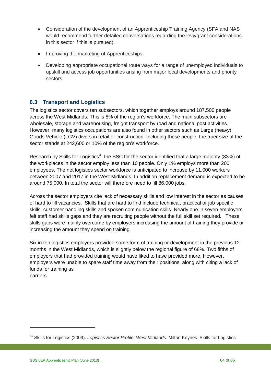- Consideration of the development of an Apprenticeship Training Agency (SFA and NAS would recommend further detailed conversations regarding the levy/grant considerations in this sector if this is pursued).
- Improving the marketing of Apprenticeships.
- Developing appropriate occupational route ways for a range of unemployed individuals to upskill and access job opportunities arising from major local developments and priority sectors.

# **6.3 Transport and Logistics**

The logistics sector covers ten subsectors, which together employs around 187,500 people across the West Midlands. This is 8% of the region's workforce. The main subsectors are wholesale, storage and warehousing, freight transport by road and national post activities. However, many logistics occupations are also found in other sectors such as Large (heavy) Goods Vehicle (LGV) divers in retail or construction. Including these people, the truer size of the sector stands at 242,600 or 10% of the region's workforce.

Research by Skills for Logistics<sup>[41](#page-63-0)</sup> the SSC for the sector identified that a large majority (83%) of the workplaces in the sector employ less than 10 people. Only 1% employs more than 200 employees. The net logistics sector workforce is anticipated to increase by 11,000 workers between 2007 and 2017 in the West Midlands. In addition replacement demand is expected to be around 75,000. In total the sector will therefore need to fill 86,000 jobs.

Across the sector employers cite lack of necessary skills and low interest in the sector as causes of hard to fill vacancies. Skills that are hard to find include technical, practical or job specific skills, customer handling skills and spoken communication skills. Nearly one in seven employers felt staff had skills gaps and they are recruiting people without the full skill set required. These skills gaps were mainly overcome by employers increasing the amount of training they provide or increasing the amount they spend on training.

Six in ten logistics employers provided some form of training or development in the previous 12 months in the West Midlands, which is slightly below the regional figure of 68%. Two fifths of employers that had provided training would have liked to have provided more. However, employers were unable to spare staff time away from their positions, along with citing a lack of funds for training as barriers.

<span id="page-63-0"></span><sup>41</sup> Skills for Logistics (2009). *Logistics Sector Profile: West Midlands*. Milton Keynes: Skills for Logistics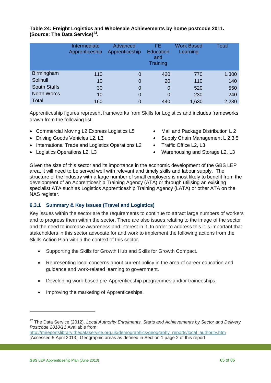|                     | Intermediate<br>Apprenticeship | Advanced<br>Apprenticeship | FE.<br><b>Education</b><br>and<br>Training | <b>Work Based</b><br>Learning | Total |
|---------------------|--------------------------------|----------------------------|--------------------------------------------|-------------------------------|-------|
| <b>Birmingham</b>   | 110                            | 0                          | 420                                        | 770                           | 1,300 |
| Solihull            | 10                             | 0                          | 20                                         | 110                           | 140   |
| <b>South Staffs</b> | 30                             | 0                          | 0                                          | 520                           | 550   |
| <b>North Worcs</b>  | 10                             | 0                          | 0                                          | 230                           | 240   |
| Total               | 160                            |                            | 440                                        | 1,630                         | 2,230 |

**Table 24: Freight Logistics and Wholesale Achievements by home postcode 2011. (Source: The Data Service)[42](#page-64-0).** 

Apprenticeship figures represent frameworks from Skills for Logistics and includes frameworks drawn from the following list:

- Commercial Moving L2 Express Logistics L5
- Driving Goods Vehicles L2, L3
- International Trade and Logistics Operations L2
- Logistics Operations L2, L3
- Mail and Package Distribution L 2
- Supply Chain Management L 2,3,5
- Traffic Office L2, L3
- Warehousing and Storage L2, L3

Given the size of this sector and its importance in the economic development of the GBS LEP area, it will need to be served well with relevant and timely skills and labour supply. The structure of the industry with a large number of small employers is most likely to benefit from the development of an Apprenticeship Training Agency (ATA) or through utilising an exisiting specialist ATA such as Logistics Apprenticeship Training Agency (LATA) or other ATA on the NAS register.

#### **6.3.1 Summary & Key Issues (Travel and Logistics)**

Key issues within the sector are the requirements to continue to attract large numbers of workers and to progress them within the sector. There are also issues relating to the image of the sector and the need to increase awareness and interest in it. In order to address this it is important that stakeholders in this sector advocate for and work to implement the following actions from the Skills Action Plan within the context of this sector.

- Supporting the Skills for Growth Hub and Skills for Growth Compact.
- Representing local concerns about current policy in the area of career education and guidance and work-related learning to government.
- Developing work-based pre-Apprenticeship programmes and/or traineeships.
- Improving the marketing of Apprenticeships.

<span id="page-64-0"></span><sup>42</sup> The Data Service (2012). *Local Authority Enrolments, Starts and Achievements by Sector and Delivery Postcode 2010/11* Available from:

[http://mireportslibrary.thedataservice.org.uk/demographics/geography\\_reports/local\\_authority.htm](http://mireportslibrary.thedataservice.org.uk/demographics/geography_reports/local_authority.htm)  [Accessed 5 April 2013]. Geographic areas as defined in Section 1 page 2 of this report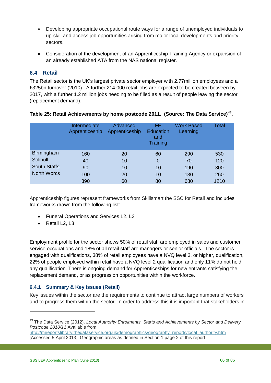- Developing appropriate occupational route ways for a range of unemployed individuals to up-skill and access job opportunities arising from major local developments and priority sectors.
- Consideration of the development of an Apprenticeship Training Agency or expansion of an already established ATA from the NAS national register.

# **6.4 Retail**

The Retail sector is the UK's largest private sector employer with 2.77million employees and a £325bn turnover (2010). A further 214,000 retail jobs are expected to be created between by 2017, with a further 1.2 million jobs needing to be filled as a result of people leaving the sector (replacement demand).

|                     | Intermediate<br>Apprenticeship | Advanced<br>Apprenticeship | FE.<br><b>Education</b><br>and<br>Training | <b>Work Based</b><br>Learning | Total |
|---------------------|--------------------------------|----------------------------|--------------------------------------------|-------------------------------|-------|
| <b>Birmingham</b>   | 160                            | 20                         | 60                                         | 290                           | 530   |
| Solihull            | 40                             | 10                         | 0                                          | 70                            | 120   |
| <b>South Staffs</b> | 90                             | 10                         | 10                                         | 190                           | 300   |
| <b>North Worcs</b>  | 100                            | 20                         | 10                                         | 130                           | 260   |
|                     | 390                            | 60                         | 80                                         | 680                           | 1210  |

#### **Table 25: Retail Achievements by home postcode 2011. (Source: The Data Service)[43.](#page-65-0)**

Apprenticeship figures represent frameworks from Skillsmart the SSC for Retail and includes frameworks drawn from the following list:

- Funeral Operations and Services L2, L3
- Retail L<sub>2</sub>, L<sub>3</sub>

Employment profile for the sector shows 50% of retail staff are employed in sales and customer service occupations and 18% of all retail staff are managers or senior officials. The sector is engaged with qualifications, 38% of retail employees have a NVQ level 3, or higher, qualification, 22% of people employed within retail have a NVQ level 2 qualification and only 11% do not hold any qualification. There is ongoing demand for Apprenticeships for new entrants satisfying the replacement demand, or as progression opportunities within the workforce.

## **6.4.1 Summary & Key Issues (Retail)**

Key issues within the sector are the requirements to continue to attract large numbers of workers and to progress them within the sector. In order to address this it is important that stakeholders in

<span id="page-65-0"></span><sup>43</sup> The Data Service (2012). *Local Authority Enrolments, Starts and Achievements by Sector and Delivery Postcode 2010/11* Available from:

[http://mireportslibrary.thedataservice.org.uk/demographics/geography\\_reports/local\\_authority.htm](http://mireportslibrary.thedataservice.org.uk/demographics/geography_reports/local_authority.htm)  [Accessed 5 April 2013]. Geographic areas as defined in Section 1 page 2 of this report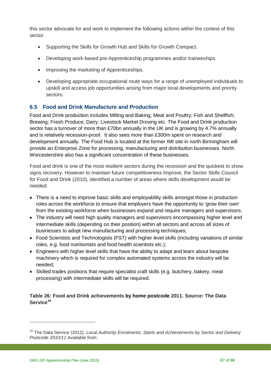this sector advocate for and work to implement the following actions within the context of this sector.

- Supporting the Skills for Growth Hub and Skills for Growth Compact.
- Developing work-based pre-Apprenticeship programmes and/or traineeships.
- Improving the marketing of Apprenticeships.
- Developing appropriate occupational route ways for a range of unemployed individuals to upskill and access job opportunities arising from major local developments and priority sectors.

## **6.5 Food and Drink Manufacture and Production**

Food and Drink production includes Milling and Baking; Meat and Poultry; Fish and Shellfish; Brewing; Fresh Produce; Dairy; Livestock Market Droving etc. The Food and Drink production sector has a turnover of more than £70bn annually in the UK and is growing by 4.7% annually and is relatively recession-proof. It also sees more than £300m spent on research and development annually. The Food Hub is located at the former IMI site in north Birmingham will provide an Enterprise Zone for processing, manufacturing and distribution businesses. North Worcestershire also has a significant concentration of these businesses.

Food and drink is one of the most resilient sectors during the recession and the quickest to show signs recovery. However to maintain future competitiveness Improve, the Sector Skills Council for Food and Drink (2010), identified a number of areas where skills development would be needed:

- There is a need to improve basic skills and employability skills amongst those in production roles across the workforce to ensure that employers have the opportunity to 'grow their own' from the existing workforce when businesses expand and require managers and supervisors;
- The industry will need high quality managers and supervisors encompassing higher level and intermediate skills (depending on their position) within all sectors and across all sizes of businesses to adopt new manufacturing and processing techniques;
- Food Scientists and Technologists (FST) with higher level skills (including variations of similar roles, e.g. food nutritionists and food health scientists etc.);
- Engineers with higher level skills that have the ability to adapt and learn about bespoke machinery which is required for complex automated systems across the industry will be needed;
- Skilled trades positions that require specialist craft skills (e.g. butchery, bakery, meat processing) with intermediate skills will be required.

#### **Table 26: Food and Drink achievements by home postcode 2011. Source: The Data Service[44](#page-66-0)**

<span id="page-66-0"></span><sup>44</sup> The Data Service (2012). *Local Authority Enrolments, Starts and Achievements by Sector and Delivery Postcode 2010/11* Available from: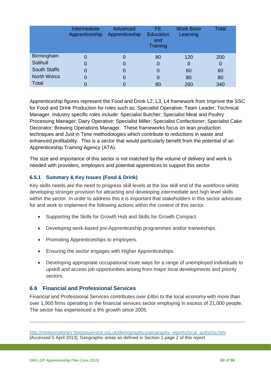|                     | Intermediate<br>Apprenticeship | Advanced<br>Apprenticeship | FE.<br><b>Education</b><br>and<br>Training | <b>Work Base</b><br>Learning | Total |
|---------------------|--------------------------------|----------------------------|--------------------------------------------|------------------------------|-------|
| <b>Birmingham</b>   | 0                              | 0                          | 80                                         | 120                          | 200   |
| Solihull            | 0                              | 0                          | 0                                          | 0                            | 0     |
| <b>South Staffs</b> | 0                              | 0                          | 0                                          | 60                           | 60    |
| <b>North Worcs</b>  | 0                              | 0                          | 0                                          | 80                           | 80    |
| <b>Total</b>        |                                |                            | 80                                         | 260                          | 340   |

Apprenticeship figures represent the Food and Drink L2, L3, L4 framework from Improve the SSC for Food and Drink Production for roles such as: Specialist Operative; Team Leader; Technical Manager. Industry specific roles include: Specialist Butcher; Specialist Meat and Poultry Processing Manager; Dairy Operative; Specialist Miller; Specialist Confectioner; Specialist Cake Decorator; Brewing Operations Manager. These frameworks focus on lean production techniques and Just in Time methodologies which contribute to reductions in waste and enhanced profitability. This is a sector that would particularly benefit from the potential of an Apprenticeship Training Agency (ATA).

The size and importance of this sector is not matched by the volume of delivery and work is needed with providers, employers and potential apprentices to support this sector.

## **6.5.1 Summary & Key Issues (Food & Drink)**

Key skills needs are the need to progress skill levels at the low skill end of the workforce whilst developing stronger provision for attracting and developing intermediate and high level skills within the sector. In order to address this it is important that stakeholders in this sector advocate for and work to implement the following actions within the context of this sector.

- Supporting the Skills for Growth Hub and Skills for Growth Compact.
- Developing work-based pre-Apprenticeship programmes and/or traineeships.
- Promoting Apprenticeships to employers.
- Ensuring the sector engages with Higher Apprenticeships.
- Developing appropriate occupational route ways for a range of unemployed individuals to upskill and access job opportunities arising from major local developments and priority sectors.

## **6.6 Financial and Professional Services**

Financial and Professional Services contributes over £4bn to the local economy with more than over 1,900 firms operating in the financial services sector employing in excess of 21,000 people. The sector has experienced a 9% growth since 2005.

-

[http://mireportslibrary.thedataservice.org.uk/demographics/geography\\_reports/local\\_authority.htm](http://mireportslibrary.thedataservice.org.uk/demographics/geography_reports/local_authority.htm)  [Accessed 5 April 2013]. Geographic areas as defined in Section 1 page 2 of this report.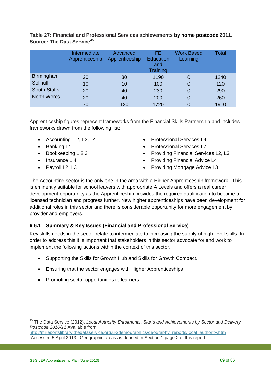|                     | Intermediate<br>Apprenticeship | Advanced<br>Apprenticeship | FE<br><b>Education</b><br>and<br>Training | <b>Work Based</b><br>Learning | Total |
|---------------------|--------------------------------|----------------------------|-------------------------------------------|-------------------------------|-------|
| <b>Birmingham</b>   | 20                             | 30                         | 1190                                      | 0                             | 1240  |
| Solihull            | 10                             | 10                         | 100                                       | 0                             | 120   |
| <b>South Staffs</b> | 20                             | 40                         | 230                                       | 0                             | 290   |
| <b>North Worcs</b>  | 20                             | 40                         | 200                                       | 0                             | 260   |
|                     | 70                             | 120                        | 1720                                      | 0                             | 1910  |

**Table 27: Financial and Professional Services achievements by home postcode 2011. Source: The Data Service[45](#page-68-0).** 

Apprenticeship figures represent frameworks from the Financial Skills Partnership and includes frameworks drawn from the following list:

- Accounting L 2, L3, L4
- Banking L4
- Bookkeeping L 2,3
- Insurance L 4
- Pavroll L<sub>2</sub>, L<sub>3</sub>
- Professional Services L4
- Professional Services L7
- Providing Financial Services L2, L3
- Providing Financial Advice L4
- Providing Mortgage Advice L3

The Accounting sector is the only one in the area with a Higher Apprenticeship framework. This is eminently suitable for school leavers with appropriate A Levels and offers a real career development opportunity as the Apprenticeship provides the required qualification to become a licensed technician and progress further. New higher apprenticeships have been development for additional roles in this sector and there is considerable opportunity for more engagement by provider and employers.

## **6.6.1 Summary & Key Issues (Financial and Professional Service)**

Key skills needs in the sector relate to intermediate to increasing the supply of high level skills. In order to address this it is important that stakeholders in this sector advocate for and work to implement the following actions within the context of this sector.

- Supporting the Skills for Growth Hub and Skills for Growth Compact.
- Ensuring that the sector engages with Higher Apprenticeships
- Promoting sector opportunities to learners

<span id="page-68-0"></span><sup>45</sup> The Data Service (2012). *Local Authority Enrolments, Starts and Achievements by Sector and Delivery Postcode 2010/11* Available from:

[http://mireportslibrary.thedataservice.org.uk/demographics/geography\\_reports/local\\_authority.htm](http://mireportslibrary.thedataservice.org.uk/demographics/geography_reports/local_authority.htm)  [Accessed 5 April 2013]. Geographic areas as defined in Section 1 page 2 of this report.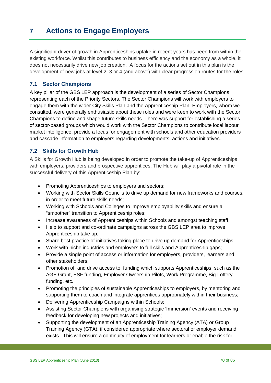# **7 Actions to Engage Employers**

A significant driver of growth in Apprenticeships uptake in recent years has been from within the existing workforce. Whilst this contributes to business efficiency and the economy as a whole, it does not necessarily drive new job creation. A focus for the actions set out in this plan is the development of new jobs at level 2, 3 or 4 (and above) with clear progression routes for the roles.

#### **7.1 Sector Champions**

A key pillar of the GBS LEP approach is the development of a series of Sector Champions representing each of the Priority Sectors. The Sector Champions will work with employers to engage them with the wider City Skills Plan and the Apprenticeship Plan. Employers, whom we consulted, were generally enthusiastic about these roles and were keen to work with the Sector Champions to define and shape future skills needs. There was support for establishing a series of sector-based groups which would work with the Sector Champions to contribute local labour market intelligence, provide a focus for engagement with schools and other education providers and cascade information to employers regarding developments, actions and initiatives.

#### **7.2 Skills for Growth Hub**

A Skills for Growth Hub is being developed in order to promote the take-up of Apprenticeships with employers, providers and prospective apprentices. The Hub will play a pivotal role in the successful delivery of this Apprenticeship Plan by:

- Promoting Apprenticeships to employers and sectors;
- Working with Sector Skills Councils to drive up demand for new frameworks and courses, in order to meet future skills needs;
- Working with Schools and Colleges to improve employability skills and ensure a "smoother" transition to Apprenticeship roles;
- Increase awareness of Apprenticeships within Schools and amongst teaching staff;
- Help to support and co-ordinate campaigns across the GBS LEP area to improve Apprenticeship take up;
- Share best practice of initiatives taking place to drive up demand for Apprenticeships;
- Work with niche industries and employers to full skills and Apprenticeship gaps;
- Provide a single point of access or information for employers, providers, learners and other stakeholders;
- Promotion of, and drive access to, funding which supports Apprenticeships, such as the AGE Grant, ESF funding, Employer Ownership Pilots, Work Programme, Big Lottery funding, etc.
- Promoting the principles of sustainable Apprenticeships to employers, by mentoring and supporting them to coach and integrate apprentices appropriately within their business;
- Delivering Apprenticeship Campaigns within Schools;
- Assisting Sector Champions with organising strategic 'Immersion' events and receiving feedback for developing new projects and initiatives;
- Supporting the development of an Apprenticeship Training Agency (ATA) or Group Training Agency (GTA), if considered appropriate where sectoral or employer demand exists. This will ensure a continuity of employment for learners or enable the risk for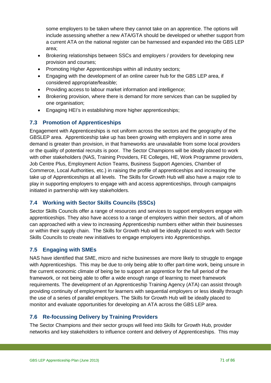some employers to be taken where they cannot take on an apprentice. The options will include assessing whether a new ATA/GTA should be developed or whether support from a current ATA on the national register can be harnessed and expanded into the GBS LEP area;

- Brokering relationships between SSCs and employers / providers for developing new provision and courses;
- Promoting Higher Apprenticeships within all industry sectors;
- Engaging with the development of an online career hub for the GBS LEP area, if considered appropriate/feasible;
- Providing access to labour market information and intelligence;
- Brokering provision, where there is demand for more services than can be supplied by one organisation;
- Engaging HEI's in establishing more higher apprenticeships;

# **7.3 Promotion of Apprenticeships**

Engagement with Apprenticeships is not uniform across the sectors and the geography of the GBSLEP area. Apprenticeship take up has been growing with employers and in some area demand is greater than provision, in that frameworks are unavailable from some local providers or the quality of potential recruits is poor. The Sector Champions will be ideally placed to work with other stakeholders (NAS, Training Providers, FE Colleges, HE, Work Programme providers, Job Centre Plus, Employment Action Teams, Business Support Agencies, Chamber of Commerce, Local Authorities, etc.) in raising the profile of apprenticeships and increasing the take up of Apprenticeships at all levels. The Skills for Growth Hub will also have a major role to play in supporting employers to engage with and access apprenticeships, through campaigns initiated in partnership with key stakeholders.

# **7.4 Working with Sector Skills Councils (SSCs)**

Sector Skills Councils offer a range of resources and services to support employers engage with apprenticeships. They also have access to a range of employers within their sectors, all of whom can approached with a view to increasing Apprenticeship numbers either within their businesses or within their supply chain. The Skills for Growth Hub will be ideally placed to work with Sector Skills Councils to create new initiatives to engage employers into Apprenticeships.

# **7.5 Engaging with SMEs**

NAS have identified that SME, micro and niche businesses are more likely to struggle to engage with Apprenticeships. This may be due to only being able to offer part-time work, being unsure in the current economic climate of being be to support an apprentice for the full period of the framework, or not being able to offer a wide enough range of learning to meet framework requirements. The development of an Apprenticeship Training Agency (ATA) can assist through providing continuity of employment for learners with sequential employers or less ideally through the use of a series of parallel employers. The Skills for Growth Hub will be ideally placed to monitor and evaluate opportunities for developing an ATA across the GBS LEP area.

# **7.6 Re-focussing Delivery by Training Providers**

The Sector Champions and their sector groups will feed into Skills for Growth Hub, provider networks and key stakeholders to influence content and delivery of Apprenticeships. This may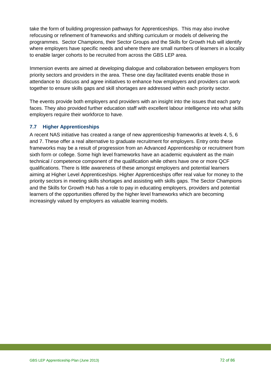take the form of building progression pathways for Apprenticeships. This may also involve refocusing or refinement of frameworks and shifting curriculum or models of delivering the programmes. Sector Champions, their Sector Groups and the Skills for Growth Hub will identify where employers have specific needs and where there are small numbers of learners in a locality to enable larger cohorts to be recruited from across the GBS LEP area.

Immersion events are aimed at developing dialogue and collaboration between employers from priority sectors and providers in the area. These one day facilitated events enable those in attendance to discuss and agree initiatives to enhance how employers and providers can work together to ensure skills gaps and skill shortages are addressed within each priority sector.

The events provide both employers and providers with an insight into the issues that each party faces. They also provided further education staff with excellent labour intelligence into what skills employers require their workforce to have.

#### **7.7 Higher Apprenticeships**

A recent NAS initiative has created a range of new apprenticeship frameworks at levels 4, 5, 6 and 7. These offer a real alternative to graduate recruitment for employers. Entry onto these frameworks may be a result of progression from an Advanced Apprenticeship or recruitment from sixth form or college. Some high level frameworks have an academic equivalent as the main technical / competence component of the qualification while others have one or more QCF qualifications. There is little awareness of these amongst employers and potential learners aiming at Higher Level Apprenticeships. Higher Apprenticeships offer real value for money to the priority sectors in meeting skills shortages and assisting with skills gaps. The Sector Champions and the Skills for Growth Hub has a role to pay in educating employers, providers and potential learners of the opportunities offered by the higher level frameworks which are becoming increasingly valued by employers as valuable learning models.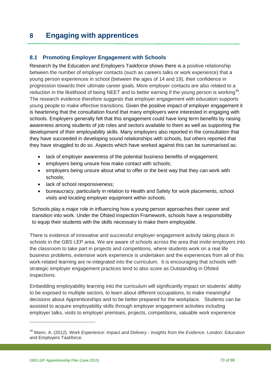# **8 Engaging with apprentices**

#### **8.1 Promoting Employer Engagement with Schools**

Research by the Education and Employers Taskforce shows there is a positive relationship between the number of employer contacts (such as careers talks or work experience) that a young person experiences in school (between the ages of 14 and 19), their confidence in progression towards their ultimate career goals. More employer contacts are also related to a reduction in the likelihood of being NEET and to better earning if the young person is working<sup>[46](#page-72-0)</sup>. The research evidence therefore suggests that employer engagement with education supports young people to make effective transitions. Given the positive impact of employer engagement it is heartening that the consultation found that many employers were interested in engaging with schools. Employers generally felt that this engagement could have long term benefits by raising awareness among students of job roles and sectors available to them as well as supporting the development of their employability skills. Many employers also reported in the consultation that they have succeeded in developing sound relationships with schools, but others reported that they have struggled to do so. Aspects which have worked against this can be summarised as:

- lack of employer awareness of the potential business benefits of engagement;
- employers being unsure how make contact with schools;
- employers being unsure about what to offer or the best way that they can work with schools;
- lack of school responsiveness;
- bureaucracy, particularly in relation to Health and Safety for work placements, school visits and locating employer equipment within schools.

Schools play a major role in influencing how a young person approaches their career and transition into work. Under the Ofsted Inspection Framework, schools have a responsibility to equip their students with the skills necessary to make them employable.

There is evidence of innovative and successful employer engagement activity taking place in schools in the GBS LEP area. We are aware of schools across the area that invite employers into the classroom to take part in projects and competitions, where students work on a real life business problems, extensive work experience is undertaken and the experiences from all of this work-related learning are re-integrated into the curriculum. It is encouraging that schools with strategic employer engagement practices tend to also score as Outstanding in Ofsted inspections.

Embedding employability learning into the curriculum will significantly impact on students' ability to be exposed to multiple sectors, to learn about different occupations, to make meaningful decisions about Apprenticeships and to be better prepared for the workplace. Students can be assisted to acquire employability skills through employer engagement activities including employer talks, visits to employer premises, projects, competitions, valuable work experience

<span id="page-72-0"></span><sup>46</sup> Mann, A. (2012). *Work Experience: Impact and Delivery - Insights from the Evidence*. London: Education and Employers Taskforce.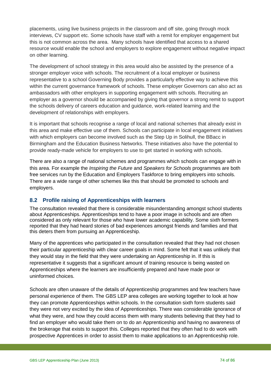placements, using live business projects in the classroom and off site, going through mock interviews, CV support etc. Some schools have staff with a remit for employer engagement but this is not common across the area. Many schools have identified that access to a shared resource would enable the school and employers to explore engagement without negative impact on other learning.

The development of school strategy in this area would also be assisted by the presence of a stronger employer voice with schools. The recruitment of a local employer or business representative to a school Governing Body provides a particularly effective way to achieve this within the current governance framework of schools. These employer Governors can also act as ambassadors with other employers in supporting engagement with schools. Recruiting an employer as a governor should be accompanied by giving that governor a strong remit to support the schools delivery of careers education and guidance, work-related learning and the development of relationships with employers.

It is important that schools recognise a range of local and national schemes that already exist in this area and make effective use of them. Schools can participate in local engagement initiatives with which employers can become involved such as the Step Up in Solihull, the BBacc in Birmingham and the Education Business Networks. These initiatives also have the potential to provide ready-made vehicle for employers to use to get started in working with schools.

There are also a range of national schemes and programmes which schools can engage with in this area. For example the *Inspiring the Future* and *Speakers for Schools* programmes are both free services run by the Education and Employers Taskforce to bring employers into schools. There are a wide range of other schemes like this that should be promoted to schools and employers.

#### **8.2 Profile raising of Apprenticeships with learners**

The consultation revealed that there is considerable misunderstanding amongst school students about Apprenticeships. Apprenticeships tend to have a poor image in schools and are often considered as only relevant for those who have lower academic capability. Some sixth formers reported that they had heard stories of bad experiences amongst friends and families and that this deters them from pursuing an Apprenticeship.

Many of the apprentices who participated in the consultation revealed that they had not chosen their particular apprenticeship with clear career goals in mind. Some felt that it was unlikely that they would stay in the field that they were undertaking an Apprenticeship in. If this is representative it suggests that a significant amount of training resource is being wasted on Apprenticeships where the learners are insufficiently prepared and have made poor or uninformed choices.

Schools are often unaware of the details of Apprenticeship programmes and few teachers have personal experience of them. The GBS LEP area colleges are working together to look at how they can promote Apprenticeships within schools. In the consultation sixth form students said they were not very excited by the idea of Apprenticeships. There was considerable ignorance of what they were, and how they could access them with many students believing that they had to find an employer who would take them on to do an Apprenticeship and having no awareness of the brokerage that exists to support this. Colleges reported that they often had to do work with prospective Apprentices in order to assist them to make applications to an Apprenticeship role.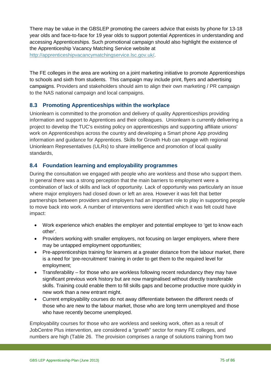There may be value in the GBSLEP promoting the careers advice that exists by phone for 13-18 year olds and face-to-face for 19 year olds to support potential Apprentices in understanding and accessing Apprenticeships. Such promotional campaign should also highlight the existence of the Apprenticeship Vacancy Matching Service website at [http://apprenticeshipvacancymatchingservice.lsc.gov.uk/.](http://apprenticeshipvacancymatchingservice.lsc.gov.uk/)

The FE colleges in the area are working on a joint marketing initiative to promote Apprenticeships to schools and sixth from students. This campaign may include print, flyers and advertising campaigns. Providers and stakeholders should aim to align their own marketing / PR campaign to the NAS national campaign and local campaigns.

#### **8.3 Promoting Apprenticeships within the workplace**

Unionlearn is committed to the promotion and delivery of quality Apprenticeships providing information and support to Apprentices and their colleagues. Unionlearn is currently delivering a project to develop the TUC's existing policy on apprenticeships and supporting affiliate unions' work on Apprenticeships across the country and developing a Smart phone App providing information and guidance for Apprentices. Skills for Growth Hub can engage with regional Unionlearn Representatives (ULRs) to share intelligence and promotion of local quality standards,

#### **8.4 Foundation learning and employability programmes**

During the consultation we engaged with people who are workless and those who support them. In general there was a strong perception that the main barriers to employment were a combination of lack of skills and lack of opportunity. Lack of opportunity was particularly an issue where major employers had closed down or left an area. However it was felt that better partnerships between providers and employers had an important role to play in supporting people to move back into work. A number of interventions were identified which it was felt could have impact:

- Work experience which enables the employer and potential employee to 'get to know each other'.
- Providers working with smaller employers, not focusing on larger employers, where there may be untapped employment opportunities;
- Pre-apprenticeships training for learners at a greater distance from the labour market, there is a need for 'pre-recruitment' training in order to get them to the required level for employment;
- Transferability for those who are workless following recent redundancy they may have significant previous work history but are now marginalised without directly transferable skills. Training could enable them to fill skills gaps and become productive more quickly in new work than a new entrant might.
- Current employability courses do not away differentiate between the different needs of those who are new to the labour market, those who are long term unemployed and those who have recently become unemployed.

Employability courses for those who are workless and seeking work, often as a result of JobCentre Plus intervention, are considered a "growth" sector for many FE colleges, and numbers are high (Table 26. The provision comprises a range of solutions training from two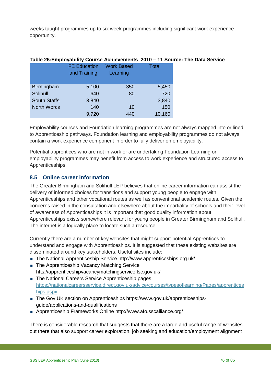weeks taught programmes up to six week programmes including significant work experience opportunity.

| Table 26: Employability Course Achievements $2010 - 11$ Source: The Da |                     |                                     |                               |              |  |  |  |
|------------------------------------------------------------------------|---------------------|-------------------------------------|-------------------------------|--------------|--|--|--|
|                                                                        |                     | <b>FE Education</b><br>and Training | <b>Work Based</b><br>Learning | <b>Total</b> |  |  |  |
|                                                                        | Birmingham          | 5,100                               | 350                           | 5,450        |  |  |  |
|                                                                        | Solihull            | 640                                 | 80                            | 720          |  |  |  |
|                                                                        | <b>South Staffs</b> | 3,840                               |                               | 3,840        |  |  |  |
|                                                                        | <b>North Worcs</b>  | 140                                 | 10                            | 150          |  |  |  |
|                                                                        |                     | 9,720                               | 440                           | 10,160       |  |  |  |
|                                                                        |                     |                                     |                               |              |  |  |  |

## **Table 26:Employability Course Achievements 2010 – 11 Source: The Data Service**

Employability courses and Foundation learning programmes are not always mapped into or lined to Apprenticeship pathways. Foundation learning and employability programmes do not always contain a work experience component in order to fully deliver on employability.

Potential apprentices who are not in work or are undertaking Foundation Learning or employability programmes may benefit from access to work experience and structured access to Apprenticeships.

### **8.5 Online career information**

The Greater Birmingham and Solihull LEP believes that online career information can assist the delivery of informed choices for transitions and support young people to engage with Apprenticeships and other vocational routes as well as conventional academic routes. Given the concerns raised in the consultation and elsewhere about the impartiality of schools and their level of awareness of Apprenticeships it is important that good quality information about Apprenticeships exists somewhere relevant for young people in Greater Birmingham and Solihull. The internet is a logically place to locate such a resource.

Currently there are a number of key websites that might support potential Apprentices to understand and engage with Apprenticeships. It is suggested that these existing websites are disseminated around key stakeholders. Useful sites include:

- The National Apprenticeship Service http://www.apprenticeships.org.uk/
- The Apprenticeship Vacancy Matching Service htts://apprenticeshipvacancymatchingservice.lsc.gov.uk/
- The National Careers Service Apprenticeship pages [https://nationalcareersservice.direct.gov.uk/advice/courses/typesoflearning/Pages/apprentices](https://nationalcareersservice.direct.gov.uk/advice/courses/typesoflearning/Pages/apprenticeships.aspx) [hips.aspx](https://nationalcareersservice.direct.gov.uk/advice/courses/typesoflearning/Pages/apprenticeships.aspx)
- The Gov.UK section on Apprenticeships https://www.gov.uk/apprenticeshipsguide/applications-and-qualifications
- Apprenticeship Frameworks Online http://www.afo.sscalliance.org/

There is considerable research that suggests that there are a large and useful range of websites out there that also support career exploration, job seeking and education/employment alignment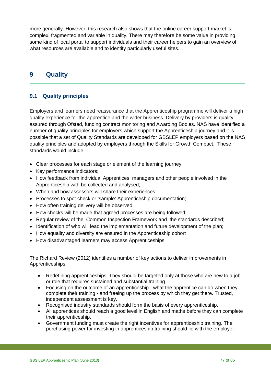more generally. However, this research also shows that the online career support market is complex, fragmented and variable in quality. There may therefore be some value in providing some kind of local portal to support individuals and their career helpers to gain an overview of what resources are available and to identify particularly useful sites.

## **9 Quality**

### **9.1 Quality principles**

Employers and learners need reassurance that the Apprenticeship programme will deliver a high quality experience for the apprentice and the wider business. Delivery by providers is quality assured through Ofsted, funding contract monitoring and Awarding Bodies. NAS have identified a number of quality principles for employers which support the Apprenticeship journey and it is possible that a set of Quality Standards are developed for GBSLEP employers based on the NAS quality principles and adopted by employers through the Skills for Growth Compact. These standards would include:

- Clear processes for each stage or element of the learning journey;
- Key performance indicators;
- How feedback from individual Apprentices, managers and other people involved in the Apprenticeship with be collected and analysed;
- When and how assessors will share their experiences;
- Processes to spot check or 'sample' Apprenticeship documentation:
- How often training delivery will be observed;
- How checks will be made that agreed processes are being followed;
- Regular review of the Common Inspection Framework and the standards described;
- Identification of who will lead the implementation and future development of the plan;
- How equality and diversity are ensured in the Apprenticeship cohort
- How disadvantaged learners may access Apprenticeships

The Richard Review (2012) identifies a number of key actions to deliver improvements in Apprenticeships:

- Redefining apprenticeships: They should be targeted only at those who are new to a job or role that requires sustained and substantial training.
- Focusing on the outcome of an apprenticeship what the apprentice can do when they complete their training - and freeing up the process by which they get there. Trusted, independent assessment is key.
- Recognised industry standards should form the basis of every apprenticeship.
- All apprentices should reach a good level in English and maths before they can complete their apprenticeship.
- Government funding must create the right incentives for apprenticeship training. The purchasing power for investing in apprenticeship training should lie with the employer.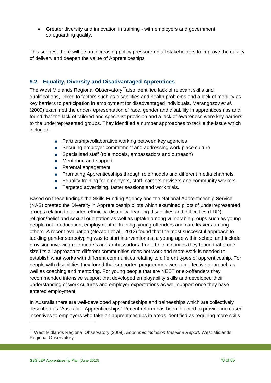• Greater diversity and innovation in training - with employers and government safeguarding quality.

This suggest there will be an increasing policy pressure on all stakeholders to improve the quality of delivery and deepen the value of Apprenticeships

#### **9.2 Equality, Diversity and Disadvantaged Apprentices**

The West Midlands Regional Observatory<sup>47</sup>also identified lack of relevant skills and qualifications, linked to factors such as disabilities and health problems and a lack of mobility as key barriers to participation in employment for disadvantaged individuals. Marangozov *et al.*, (2009) examined the under-representation of race, gender and disability in apprenticeships and found that the lack of tailored and specialist provision and a lack of awareness were key barriers to the underrepresented groups. They identified a number approaches to tackle the issue which included:

- Partnership/collaborative working between key agencies
- Securing employer commitment and addressing work place culture
- Specialised staff (role models, ambassadors and outreach)
- **Mentoring and support**
- **Parental engagement**
- **Promoting Apprenticeships through role models and different media channels**
- **Equality training for employers, staff, careers advisers and community workers**
- Targeted advertising, taster sessions and work trials.

Based on these findings the Skills Funding Agency and the National Apprenticeship Service (NAS) created the Diversity in Apprenticeship pilots which examined pilots of underrepresented groups relating to gender, ethnicity, disability, learning disabilities and difficulties (LDD), religion/belief and sexual orientation as well as uptake among vulnerable groups such as young people not in education, employment or training, young offenders and care leavers among others. A recent evaluation (Newton et al., 2012) found that the most successful approach to tackling gender stereotyping was to start interventions at a young age within school and include provision involving role models and ambassadors. For ethnic minorities they found that a one size fits all approach to different communities does not work and more work is needed to establish what works with different communities relating to different types of apprenticeship. For people with disabilities they found that supported programmes were an effective approach as well as coaching and mentoring. For young people that are NEET or ex-offenders they recommended intensive support that developed employability skills and developed their understanding of work cultures and employer expectations as well support once they have entered employment.

In Australia there are well-developed apprenticeships and traineeships which are collectively described as "Australian Apprenticeships" Recent reform has been in acted to provide increased incentives to employers who take on apprenticeships in areas identified as requiring more skills

<span id="page-77-0"></span><sup>47</sup> West Midlands Regional Observatory (2009). *Economic Inclusion Baseline Report*. West Midlands Regional Observatory.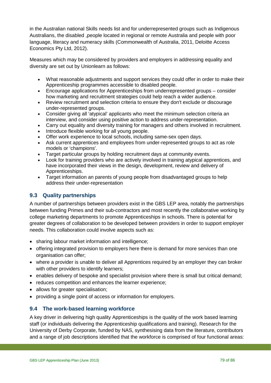in the Australian national Skills needs list and for underrepresented groups such as Indigenous Australians, the disabled ,people located in regional or remote Australia and people with poor language, literacy and numeracy skills (Commonwealth of Australia, 2011, Deloitte Access Economics Pty Ltd, 2012).

Measures which may be considered by providers and employers in addressing equality and diversity are set out by Unionlearn as follows:

- What reasonable adjustments and support services they could offer in order to make their Apprenticeship programmes accessible to disabled people.
- Encourage applications for Apprenticeships from underrepresented groups consider how marketing and recruitment strategies could help reach a wider audience.
- Review recruitment and selection criteria to ensure they don't exclude or discourage under-represented groups.
- Consider giving all 'atypical' applicants who meet the minimum selection criteria an interview, and consider using positive action to address under-representation.
- Carry out equality and diversity training for managers and others involved in recruitment.
- Introduce flexible working for all young people.
- Offer work experience to local schools, including same-sex open days.
- Ask current apprentices and employees from under-represented groups to act as role models or 'champions'.
- Target particular groups by holding recruitment days at community events.
- Look for training providers who are actively involved in training atypical apprentices, and have incorporated their views in the design, development, review and delivery of Apprenticeships.
- Target information an parents of young people from disadvantaged groups to help address their under-representation

#### **9.3 Quality partnerships**

A number of partnerships between providers exist in the GBS LEP area, notably the partnerships between funding Primes and their sub-contractors and most recently the collaborative working by college marketing departments to promote Apprenticeships in schools. There is potential for greater degrees of collaboration to be developed between providers in order to support employer needs. This collaboration could involve aspects such as:

- sharing labour market information and intelligence:
- offering integrated provision to employers here there is demand for more services than one organisation can offer;
- where a provider is unable to deliver all Apprentices required by an employer they can broker with other providers to identify learners;
- enables delivery of bespoke and specialist provision where there is small but critical demand;
- reduces competition and enhances the learner experience;
- allows for greater specialisation;
- providing a single point of access or information for employers.

#### **9.4 The work-based learning workforce**

A key driver in delivering high quality Apprenticeships is the quality of the work based learning staff (or individuals delivering the Apprenticeship qualifications and training). Research for the University of Derby Corporate, funded by NAS, synthesising data from the literature, contributors and a range of job descriptions identified that the workforce is comprised of four functional areas: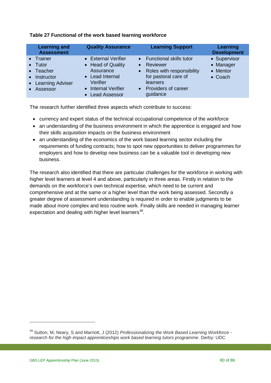| <b>Learning and</b><br><b>Assessment</b>                                        | <b>Quality Assurance</b>                                                                                    | <b>Learning Support</b>                                                                                                                                              | Learning<br><b>Development</b>                   |
|---------------------------------------------------------------------------------|-------------------------------------------------------------------------------------------------------------|----------------------------------------------------------------------------------------------------------------------------------------------------------------------|--------------------------------------------------|
| • Trainer<br>$\bullet$ Tutor<br>• Teacher<br>• Instructor<br>• Learning Adviser | • External Verifier<br>• Head of Quality<br>Assurance<br>• Lead Internal<br>Verifier<br>• Internal Verifier | • Functional skills tutor<br>Reviewer<br>$\bullet$<br>Roles with responsibility<br>$\bullet$<br>for pastoral care of<br>learners<br>Providers of career<br>$\bullet$ | • Supervisor<br>• Manager<br>• Mentor<br>• Coach |
| • Assessor                                                                      | • Lead Assessor                                                                                             | guidance                                                                                                                                                             |                                                  |

#### **Table 27 Functional of the work based learning workforce**

The research further identified three aspects which contribute to success:

- currency and expert status of the technical occupational competence of the workforce
- an understanding of the business environment in which the apprentice is engaged and how their skills acquisition impacts on the business environment
- an understanding of the economics of the work based learning sector including the requirements of funding contracts; how to spot new opportunities to deliver programmes for employers and how to develop new business can be a valuable tool in developing new business.

The research also identified that there are particular challenges for the workforce in working with higher level learners at level 4 and above, particularly in three areas. Firstly in relation to the demands on the workforce's own technical expertise, which need to be current and comprehensive and at the same or a higher level than the work being assessed. Secondly a greater degree of assessment understanding is required in order to enable judgments to be made about more complex and less routine work. Finally skills are needed in managing learner expectation and dealing with higher level learners<sup>[48](#page-79-0)</sup>.

<span id="page-79-0"></span><sup>48</sup> Sutton, M, Neary, S and Marriott, J (2012) *Professionalizing the Work Based Learning Workforce research for the high impact apprenticeships work based learning tutors programme*. Derby: UDC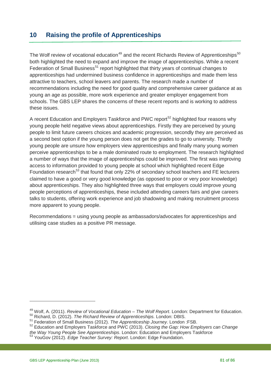### **10 Raising the profile of Apprenticeships**

The Wolf review of vocational education<sup>[49](#page-80-0)</sup> and the recent Richards Review of Apprenticeships<sup>[50](#page-80-1)</sup> both highlighted the need to expand and improve the image of apprenticeships. While a recent Federation of Small Business<sup>[51](#page-80-2)</sup> report highlighted that thirty years of continual changes to apprenticeships had undermined business confidence in apprenticeships and made them less attractive to teachers, school leavers and parents. The research made a number of recommendations including the need for good quality and comprehensive career guidance at as young an age as possible, more work experience and greater employer engagement from schools. The GBS LEP shares the concerns of these recent reports and is working to address these issues.

A recent Education and Employers Taskforce and PWC report<sup>[52](#page-80-3)</sup> highlighted four reasons why young people held negative views about apprenticeships. Firstly they are perceived by young people to limit future careers choices and academic progression, secondly they are perceived as a second best option if the young person does not get the grades to go to university. Thirdly young people are unsure how employers view apprenticeships and finally many young women perceive apprenticeships to be a male dominated route to employment. The research highlighted a number of ways that the image of apprenticeships could be improved. The first was improving access to information provided to young people at school which highlighted recent Edge Foundation research<sup>[53](#page-80-4)</sup> that found that only 22% of secondary school teachers and FE lecturers claimed to have a good or very good knowledge (as opposed to poor or very poor knowledge) about apprenticeships. They also highlighted three ways that employers could improve young people perceptions of apprenticeships, these included attending careers fairs and give careers talks to students, offering work experience and job shadowing and making recruitment process more apparent to young people.

Recommendations = using young people as ambassadors/advocates for apprenticeships and utilising case studies as a positive PR message.

<span id="page-80-0"></span><sup>&</sup>lt;sup>49</sup> Wolf, A. (2011). *Review of Vocational Education – The Wolf Report*. London: Department for Education.<br><sup>50</sup> Richard. D. (2012). *The Richard Review of Apprenticeships.* London: DBIS.

<span id="page-80-2"></span><span id="page-80-1"></span><sup>51</sup> Federation of Small Business (2012). *The Apprenticeship Journey*. London :FSB.

<span id="page-80-3"></span><sup>52</sup> Education and Employers Taskforce and PWC (2013). *Closing the Gap: How Employers can Change* 

<span id="page-80-4"></span><sup>&</sup>lt;sup>53</sup> YouGov (2012). *Edge Teacher Survey: Report.* London: Edge Foundation.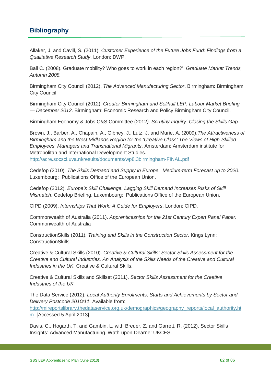### **Bibliography**

Allaker, J. and Cavill, S. (2011). *Customer Experience of the Future Jobs Fund: Findings from a Qualitative Research Study*. London: DWP.

Ball C. (2008). Graduate mobility? Who goes to work in each region?', *Graduate Market Trends, Autumn 2008.*

Birmingham City Council (2012). *The Advanced Manufacturing Sector*. Birmingham: Birmingham City Council.

Birmingham City Council (2012). *Greater Birmingham and Solihull LEP. Labour Market Briefing — December 2012*. Birmingham: Economic Research and Policy Birmingham City Council.

Birmingham Economy & Jobs O&S Committee (2012*). Scrutiny Inquiry: Closing the Skills Gap*.

Brown, J., Barber, A., Chapain, A., Gibney, J., Lutz, J. and Murie, A. (2009).*The Attractiveness of Birmingham and the West Midlands Region for the 'Creative Class' The Views of High-Skilled Employees, Managers and Transnational Migrants*. Amsterdam: Amsterdam institute for Metropolitan and International Development Studies.

<http://acre.socsci.uva.nl/results/documents/wp8.3birmingham-FINAL.pdf>

Cedefop (2010). *The Skills Demand and Supply in Europe. Medium-term Forecast up to 2020*. Luxembourg: Publications Office of the European Union.

Cedefop (2012). *Europe's Skill Challenge. Lagging Skill Demand Increases Risks of Skill Mismatch*. Cedefop Briefing. Luxembourg: Publications Office of the European Union.

CIPD (2009). *Internships That Work: A Guide for Employers*. London: CIPD.

Commonwealth of Australia (2011). *Apprenticeships for the 21st Century Expert Panel Paper.*  Commonwealth of Australia

ConstructionSkills (2011). *Training and Skills in the Construction Sector.* Kings Lynn: ConstructionSkills*.*

Creative & Cultural Skills (2010). *Creative & Cultural Skills: Sector Skills Assessment for the Creative and Cultural Industries. An Analysis of the Skills Needs of the Creative and Cultural Industries in the UK*. Creative & Cultural Skills.

Creative & Cultural Skills and Skillset (2011). *Sector Skills Assessment for the Creative Industries of the UK.* 

The Data Service (2012). *Local Authority Enrolments, Starts and Achievements by Sector and Delivery Postcode 2010/11.* Available from: [http://mireportslibrary.thedataservice.org.uk/demographics/geography\\_reports/local\\_authority.ht](http://mireportslibrary.thedataservice.org.uk/demographics/geography_reports/local_authority.htm) [m](http://mireportslibrary.thedataservice.org.uk/demographics/geography_reports/local_authority.htm) [Accessed 5 April 2013].

Davis, C., Hogarth, T. and Gambin, L. with Breuer, Z. and Garrett, R. (2012). Sector Skills Insights: Advanced Manufacturing. Wath-upon-Dearne: UKCES.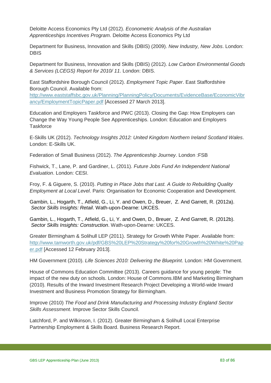Deloitte Access Economics Pty Ltd (2012). *Econometric Analysis of the Australian Apprenticeships Incentives Program*. Deloitte Access Economics Pty Ltd

Department for Business, Innovation and Skills (DBIS) (2009). *New Industry, New Jobs*. London: DBIS

Department for Business, Innovation and Skills (DBIS) (2012). *Low Carbon Environmental Goods & Services (LCEGS) Report for 2010/ 11*. London: DBIS.

East Staffordshire Borough Council (2012). *Employment Topic Paper*. East Staffordshire Borough Council. Available from:

[http://www.eaststaffsbc.gov.uk/Planning/PlanningPolicy/Documents/EvidenceBase/EconomicVibr](http://www.eaststaffsbc.gov.uk/Planning/PlanningPolicy/Documents/EvidenceBase/EconomicVibrancy/EmploymentTopicPaper.pdf) [ancy/EmploymentTopicPaper.pdf](http://www.eaststaffsbc.gov.uk/Planning/PlanningPolicy/Documents/EvidenceBase/EconomicVibrancy/EmploymentTopicPaper.pdf) [Accessed 27 March 2013].

Education and Employers Taskforce and PWC (2013). Closing the Gap: How Employers can Change the Way Young People See Apprenticeships. London: Education and Employers **Taskforce** 

E-Skills UK (2012). *Technology Insights 2012: United Kingdom Northern Ireland Scotland Wales*. London: E-Skills UK.

Federation of Small Business (2012). *The Apprenticeship Journey*. London :FSB

Fishwick, T., Lane, P. and Gardiner, L. (2011). *Future Jobs Fund An Independent National Evaluation*. London: CESI.

Froy, F. & Giguere, S. (2010). *Putting in Place Jobs that Last. A Guide to Rebuilding Quality Employment at Local Level*. Paris: Organisation for Economic Cooperation and Development.

Gambin, L., Hogarth, T., Atfield, G., Li, Y. and Owen, D., Breuer, Z. And Garrett, R. (2012a). *Sector Skills Insights: Retail*. Wath-upon-Dearne: UKCES.

Gambin, L., Hogarth, T., Atfield, G., Li, Y. and Owen, D., Breuer, Z. And Garrett, R. (2012b). *Sector Skills Insights: Construction*. Wath-upon-Dearne: UKCES.

Greater Birmingham & Solihull LEP (2011). Strategy for Growth White Paper. Available from: [http://www.tamworth.gov.uk/pdf/GBS%20LEP%20Strategy%20for%20Growth%20White%20Pap](http://www.tamworth.gov.uk/pdf/GBS%20LEP%20Strategy%20for%20Growth%20White%20Paper.pdf) [er.pdf](http://www.tamworth.gov.uk/pdf/GBS%20LEP%20Strategy%20for%20Growth%20White%20Paper.pdf) [Accessed 12 February 2013].

HM Government (2010). *Life Sciences 2010: Delivering the Blueprint*. London: HM Government.

House of Commons Education Committee (2013). Careers guidance for young people: The impact of the new duty on schools. London: House of Commons.IBM and Marketing Birmingham (2010). Results of the Inward Investment Research Project Developing a World-wide Inward Investment and Business Promotion Strategy for Birmingham.

Improve (2010) *The Food and Drink Manufacturing and Processing Industry England Sector Skills Assessment*. Improve Sector Skills Council.

Latchford, P. and Wilkinson, I. (2012). Greater Birmingham & Solihull Local Enterprise Partnership Employment & Skills Board. Business Research Report.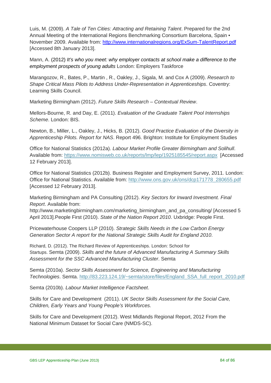Luis, M. (2009). *A Tale of Ten Cities: Attracting and Retaining Talent*. Prepared for the 2nd Annual Meeting of the International Regions Benchmarking Consortium Barcelona, Spain • November 2009. Available from:<http://www.internationalregions.org/ExSum-TalentReport.pdf> [Accessed 8th January 2013].

Mann, A. (2012) *It's who you meet: why employer contacts at school make a difference to the employment prospects of young adults* London: Employers Taskforce

Marangozov, R., Bates, P., Martin , R., Oakley, J., Sigala, M. and Cox A (2009). *Research to Shape Critical Mass Pilots to Address Under-Representation in Apprenticeships*. Coventry: Learning Skills Council.

Marketing Birmingham (2012). *Future Skills Research – Contextual Review*.

Mellors-Bourne, R. and Day, E. (2011). *Evaluation of the Graduate Talent Pool Internships Scheme*. London: BIS.

Newton, B., Miller, L., Oakley, J., Hicks, B. (2012). *Good Practice Evaluation of the Diversity in Apprenticeship Pilots. Report for NAS*. Report 496. Brighton: Institute for Employment Studies

Office for National Statistics (2012a). *Labour Market Profile Greater Birmingham and Solihull*. Available from:<https://www.nomisweb.co.uk/reports/lmp/lep/1925185545/report.aspx>[Accessed 12 February 2013].

Office for National Statistics (2012b). Business Register and Employment Survey, 2011. London: Office for National Statistics. Available from: [http://www.ons.gov.uk/ons/dcp171778\\_280655.pdf](http://www.ons.gov.uk/ons/dcp171778_280655.pdf) [Accessed 12 February 2013].

Marketing Birmingham and PA Consulting (2012). *Key Sectors for Inward Investment. Final Report*. Available from:

http://www.marketingbirmingham.com/marketing\_birmingham\_and\_pa\_consulting/ [Accessed 5 April 2013].People First (2010). *State of the Nation Report 2010*. Uxbridge: People First.

Pricewaterhouse Coopers LLP (2010). *Strategic Skills Needs in the Low Carbon Energy Generation Sector A report for the National Strategic Skills Audit for England 2010*.

Richard, D. (2012). The Richard Review of Apprenticeships. London: School for Startups. Semta (2009). *Skills and the future of Advanced Manufacturing A Summary Skills Assessment for the SSC Advanced Manufacturing Cluster*. Semta

Semta (2010a). *Sector Skills Assessment for Science, Engineering and Manufacturing Technologies*. Semta. [http://83.223.124.19/~semta/store/files/England\\_SSA\\_full\\_report\\_2010.pdf](http://83.223.124.19/~semta/store/files/England_SSA_full_report_2010.pdf) 

Semta (2010b). *Labour Market Intelligence Factsheet*.

Skills for Care and Development (2011). *UK Sector Skills Assessment for the Social Care, Children, Early Years and Young People's Workforces.*

Skills for Care and Development (2012). West Midlands Regional Report, 2012 From the National Minimum Dataset for Social Care (NMDS-SC).